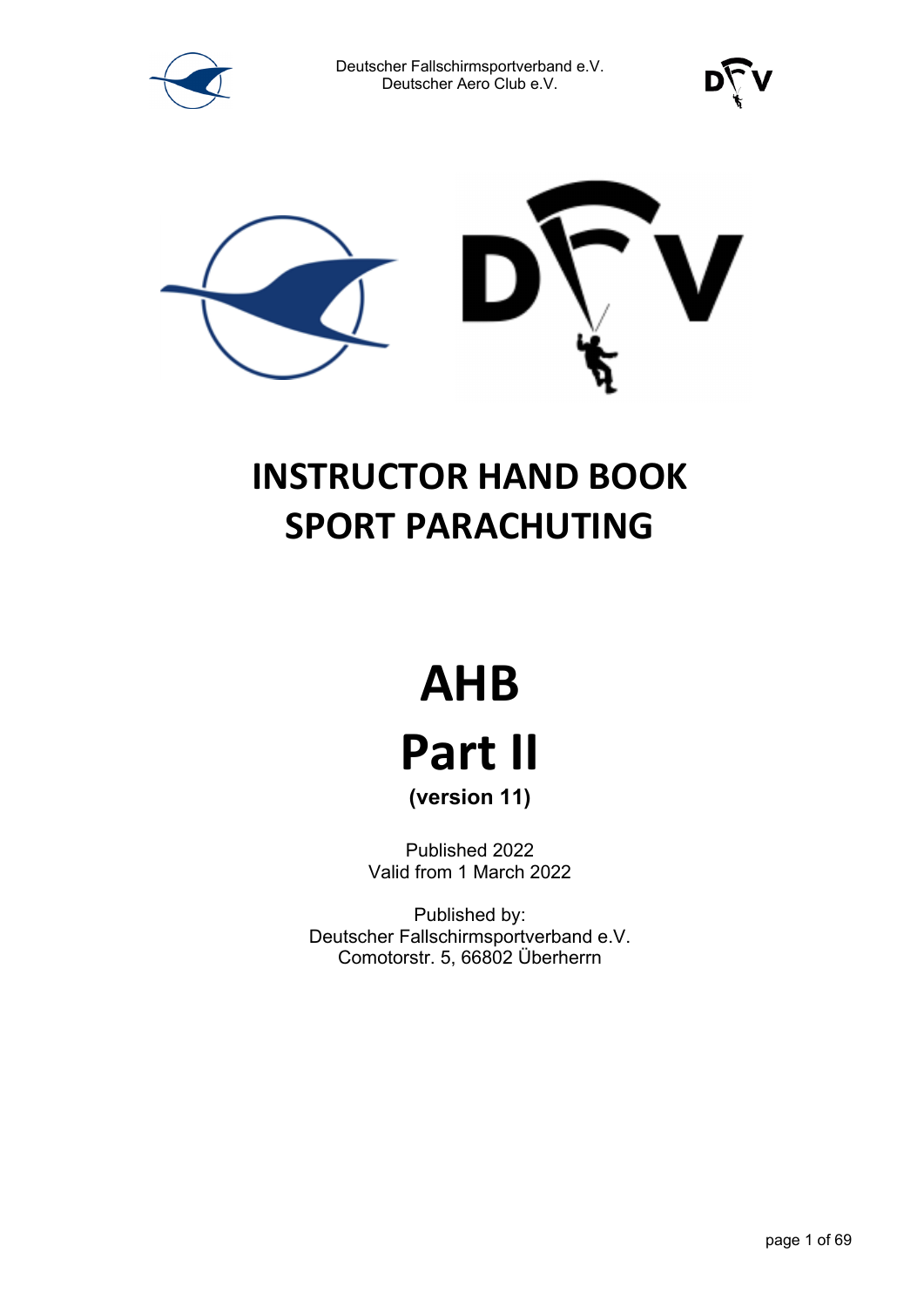





### **INSTRUCTOR HAND BOOK SPORT PARACHUTING**

# **AHB Part II**

**(version 11)** 

Published 2022 Valid from 1 March 2022

Published by: Deutscher Fallschirmsportverband e.V. Comotorstr. 5, 66802 Überherrn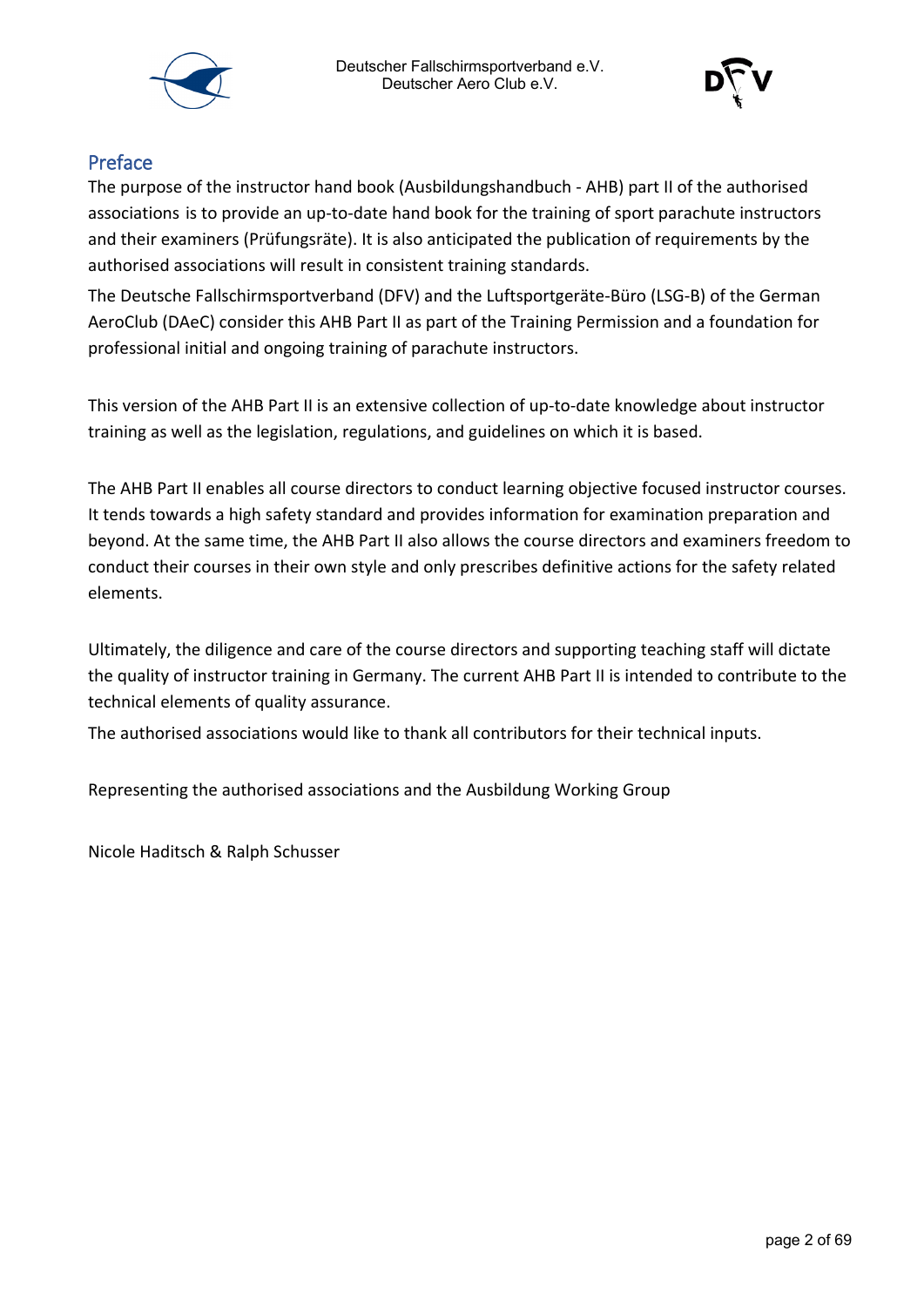



#### Preface

The purpose of the instructor hand book (Ausbildungshandbuch - AHB) part II of the authorised associations is to provide an up-to-date hand book for the training of sport parachute instructors and their examiners (Prüfungsräte). It is also anticipated the publication of requirements by the authorised associations will result in consistent training standards.

The Deutsche Fallschirmsportverband (DFV) and the Luftsportgeräte-Büro (LSG-B) of the German AeroClub (DAeC) consider this AHB Part II as part of the Training Permission and a foundation for professional initial and ongoing training of parachute instructors.

This version of the AHB Part II is an extensive collection of up-to-date knowledge about instructor training as well as the legislation, regulations, and guidelines on which it is based.

The AHB Part II enables all course directors to conduct learning objective focused instructor courses. It tends towards a high safety standard and provides information for examination preparation and beyond. At the same time, the AHB Part II also allows the course directors and examiners freedom to conduct their courses in their own style and only prescribes definitive actions for the safety related elements.

Ultimately, the diligence and care of the course directors and supporting teaching staff will dictate the quality of instructor training in Germany. The current AHB Part II is intended to contribute to the technical elements of quality assurance.

The authorised associations would like to thank all contributors for their technical inputs.

Representing the authorised associations and the Ausbildung Working Group

Nicole Haditsch & Ralph Schusser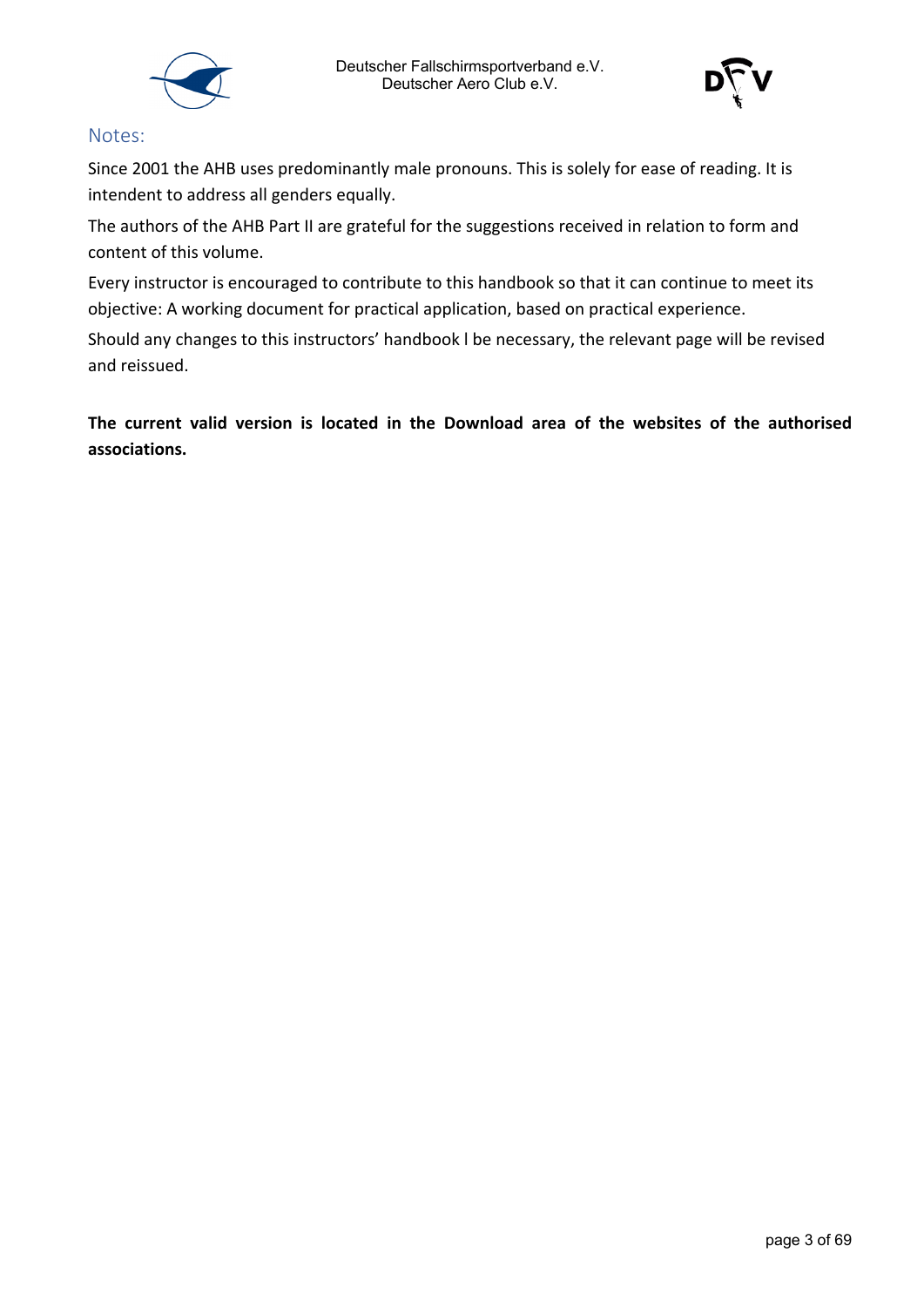



#### Notes:

Since 2001 the AHB uses predominantly male pronouns. This is solely for ease of reading. It is intendent to address all genders equally.

The authors of the AHB Part II are grateful for the suggestions received in relation to form and content of this volume.

Every instructor is encouraged to contribute to this handbook so that it can continue to meet its objective: A working document for practical application, based on practical experience.

Should any changes to this instructors' handbook l be necessary, the relevant page will be revised and reissued.

**The current valid version is located in the Download area of the websites of the authorised associations.**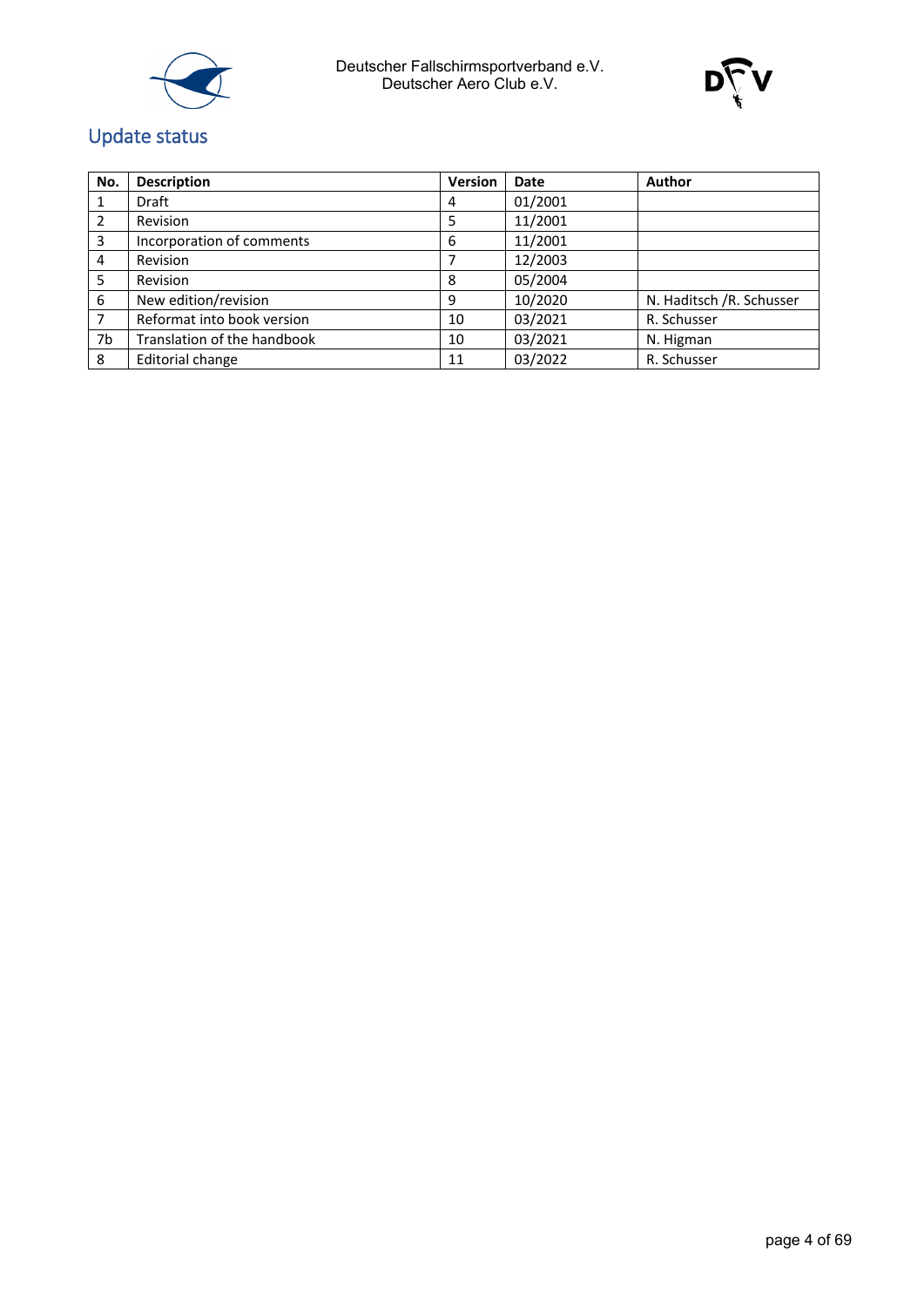



### Update status

| No. | <b>Description</b>          | <b>Version</b> | <b>Date</b> | Author                   |
|-----|-----------------------------|----------------|-------------|--------------------------|
|     | Draft                       | 4              | 01/2001     |                          |
| 2   | Revision                    |                | 11/2001     |                          |
| 3   | Incorporation of comments   | 6              | 11/2001     |                          |
| 4   | Revision                    |                | 12/2003     |                          |
| 5   | Revision                    | 8              | 05/2004     |                          |
| 6   | New edition/revision        | 9              | 10/2020     | N. Haditsch /R. Schusser |
| 7   | Reformat into book version  | 10             | 03/2021     | R. Schusser              |
| 7b  | Translation of the handbook | 10             | 03/2021     | N. Higman                |
| 8   | Editorial change            | 11             | 03/2022     | R. Schusser              |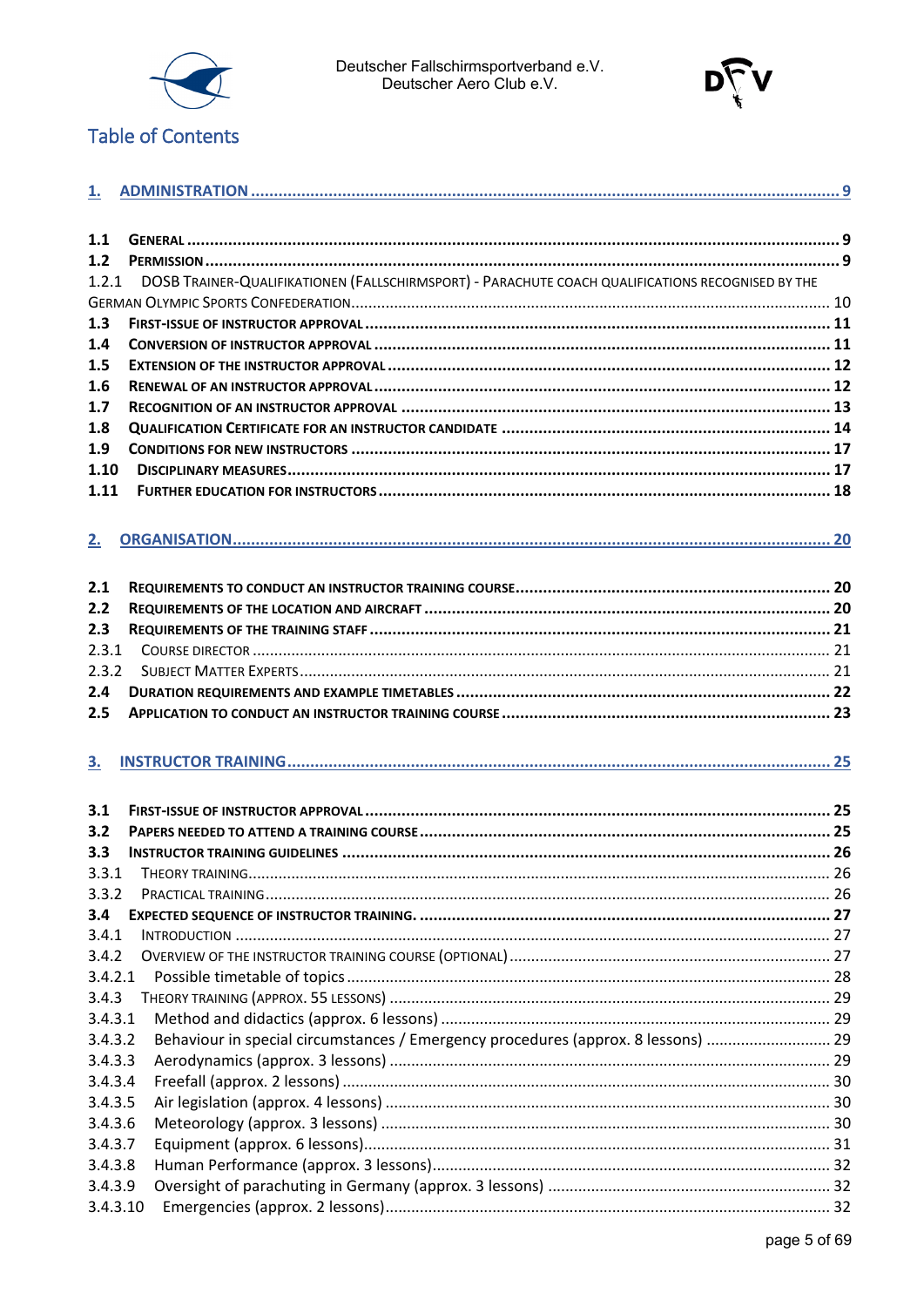

Deutscher Fallschirmsportverband e.V.<br>Deutscher Aero Club e.V.



#### **Table of Contents**

| 1.1       |                                                                                                   |  |
|-----------|---------------------------------------------------------------------------------------------------|--|
| $1.2$     |                                                                                                   |  |
|           |                                                                                                   |  |
| 1.2.1     | DOSB TRAINER-QUALIFIKATIONEN (FALLSCHIRMSPORT) - PARACHUTE COACH QUALIFICATIONS RECOGNISED BY THE |  |
|           |                                                                                                   |  |
| 1.3       |                                                                                                   |  |
| 1.4       |                                                                                                   |  |
| 1.5       |                                                                                                   |  |
| 1.6       |                                                                                                   |  |
| 1.7       |                                                                                                   |  |
| 1.8       |                                                                                                   |  |
| 1.9       |                                                                                                   |  |
| 1.10      |                                                                                                   |  |
| 1.11      |                                                                                                   |  |
| 2.        |                                                                                                   |  |
|           |                                                                                                   |  |
| 2.1       |                                                                                                   |  |
| 2.2       |                                                                                                   |  |
| 2.3       |                                                                                                   |  |
| 2.3.1     |                                                                                                   |  |
| 2.3.2     |                                                                                                   |  |
| 2.4       |                                                                                                   |  |
| 2.5       |                                                                                                   |  |
| <u>3.</u> |                                                                                                   |  |
|           |                                                                                                   |  |
| 3.1       |                                                                                                   |  |
| 3.2       |                                                                                                   |  |
| 3.3       |                                                                                                   |  |
|           | 3.3.1 THEORY TRAINING.                                                                            |  |
| 3.3.2     |                                                                                                   |  |
| 3.4       |                                                                                                   |  |
| 3.4.1     |                                                                                                   |  |
| 3.4.2     |                                                                                                   |  |
| 3.4.2.1   |                                                                                                   |  |
| 3.4.3     |                                                                                                   |  |
| 3.4.3.1   |                                                                                                   |  |
| 3.4.3.2   | Behaviour in special circumstances / Emergency procedures (approx. 8 lessons)  29                 |  |
| 3.4.3.3   |                                                                                                   |  |
| 3.4.3.4   |                                                                                                   |  |
| 3.4.3.5   |                                                                                                   |  |
| 3.4.3.6   |                                                                                                   |  |
| 3.4.3.7   |                                                                                                   |  |
| 3.4.3.8   |                                                                                                   |  |
| 3.4.3.9   |                                                                                                   |  |
| 3.4.3.10  |                                                                                                   |  |
|           |                                                                                                   |  |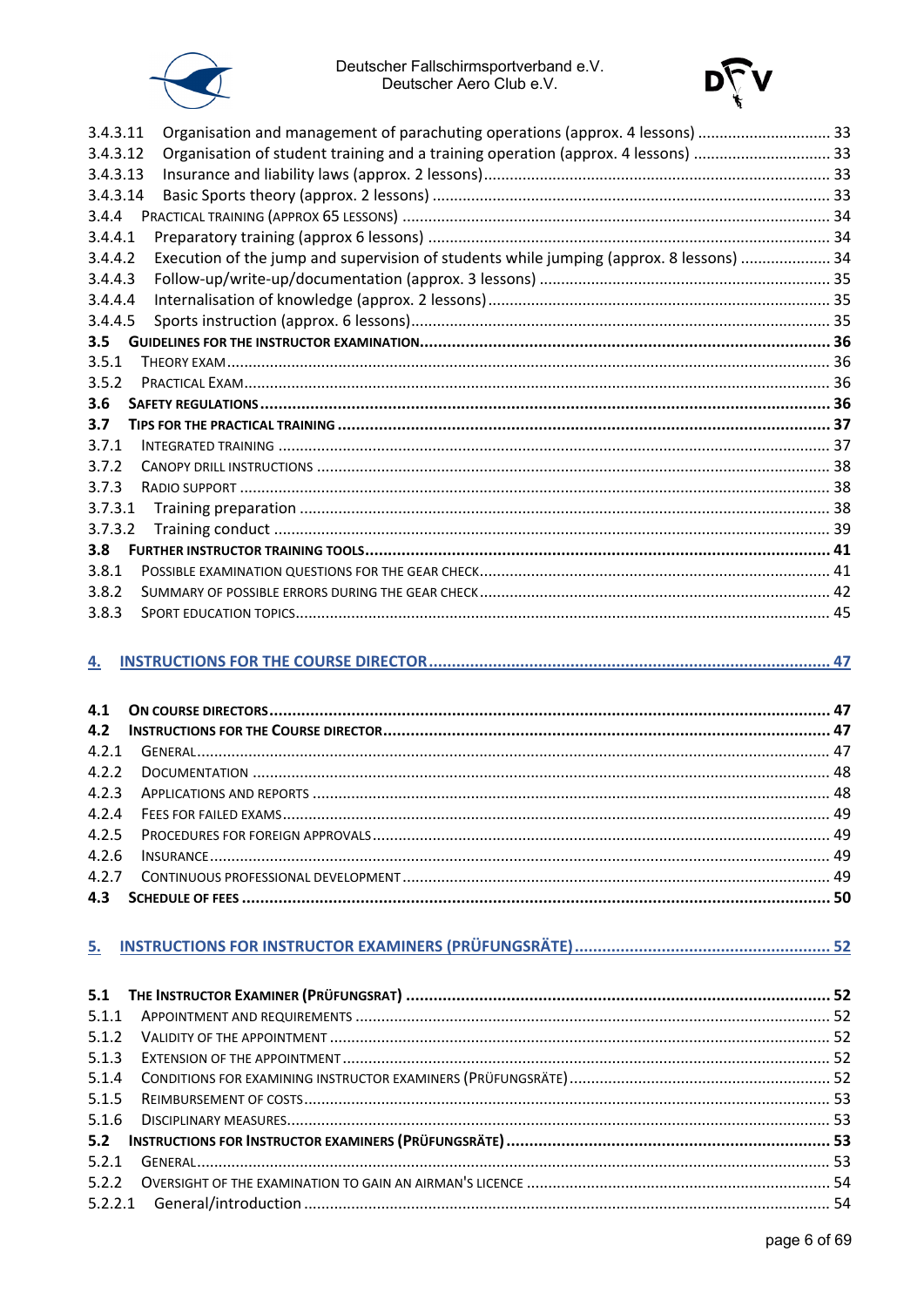



| 3.4.3.11         | Organisation and management of parachuting operations (approx. 4 lessons)  33           |  |
|------------------|-----------------------------------------------------------------------------------------|--|
| 3.4.3.12         | Organisation of student training and a training operation (approx. 4 lessons) 33        |  |
| 3.4.3.13         |                                                                                         |  |
| 3.4.3.14         |                                                                                         |  |
| 3.4.4            |                                                                                         |  |
| 3.4.4.1          |                                                                                         |  |
| 3.4.4.2          | Execution of the jump and supervision of students while jumping (approx. 8 lessons)  34 |  |
| 3.4.4.3          |                                                                                         |  |
| 3.4.4.4          |                                                                                         |  |
| 3.4.4.5          |                                                                                         |  |
| 3.5              |                                                                                         |  |
| 3.5.1            |                                                                                         |  |
| 3.5.2            |                                                                                         |  |
| 3.6              |                                                                                         |  |
| 3.7              |                                                                                         |  |
| 3.7.1            |                                                                                         |  |
| 3.7.2            |                                                                                         |  |
| 3.7.3            |                                                                                         |  |
| 3.7.3.1          |                                                                                         |  |
| 3.7.3.2          |                                                                                         |  |
| 3.8 <sub>2</sub> |                                                                                         |  |
| 3.8.1            |                                                                                         |  |
| 3.8.2            |                                                                                         |  |
| 3.8.3            |                                                                                         |  |

#### 

#### 

| 5.1.1 |  |
|-------|--|
|       |  |
|       |  |
|       |  |
| 5.1.5 |  |
|       |  |
|       |  |
| 5.2.1 |  |
|       |  |
|       |  |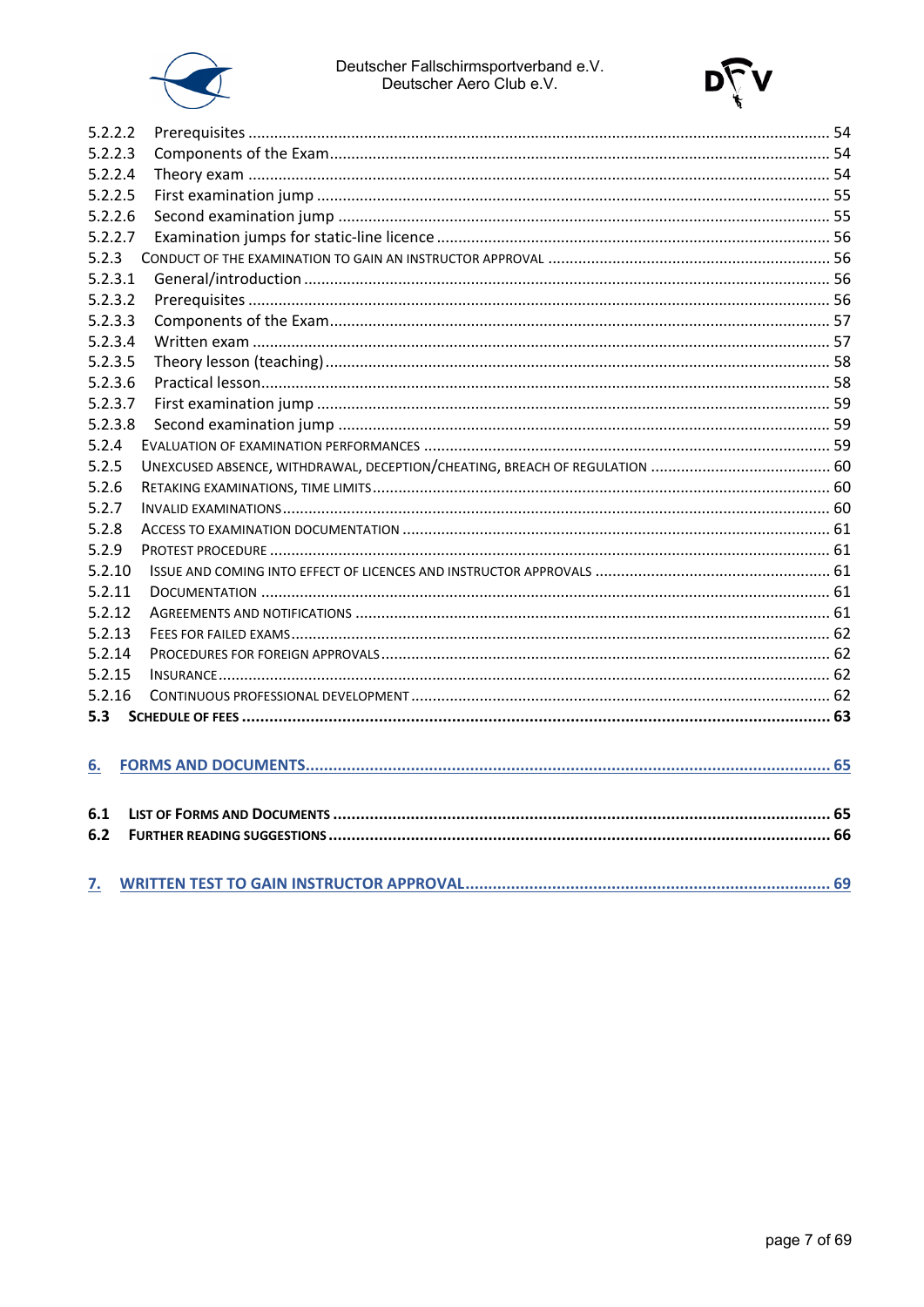



| 5.2.2.2 |  |
|---------|--|
| 5.2.2.3 |  |
| 5.2.2.4 |  |
| 5.2.2.5 |  |
| 5.2.2.6 |  |
| 5.2.2.7 |  |
| 5.2.3   |  |
| 5.2.3.1 |  |
| 5.2.3.2 |  |
| 5.2.3.3 |  |
| 5.2.3.4 |  |
| 5.2.3.5 |  |
| 5.2.3.6 |  |
| 5.2.3.7 |  |
| 5.2.3.8 |  |
| 5.2.4   |  |
| 5.2.5   |  |
| 5.2.6   |  |
| 5.2.7   |  |
| 5.2.8   |  |
| 5.2.9   |  |
| 5.2.10  |  |
| 5.2.11  |  |
| 5.2.12  |  |
| 5.2.13  |  |
| 5.2.14  |  |
| 5.2.15  |  |
| 5.2.16  |  |
| 5.3     |  |
|         |  |
| 6.      |  |
|         |  |
| 6.1     |  |
| 6.2     |  |
|         |  |
|         |  |
| 7.      |  |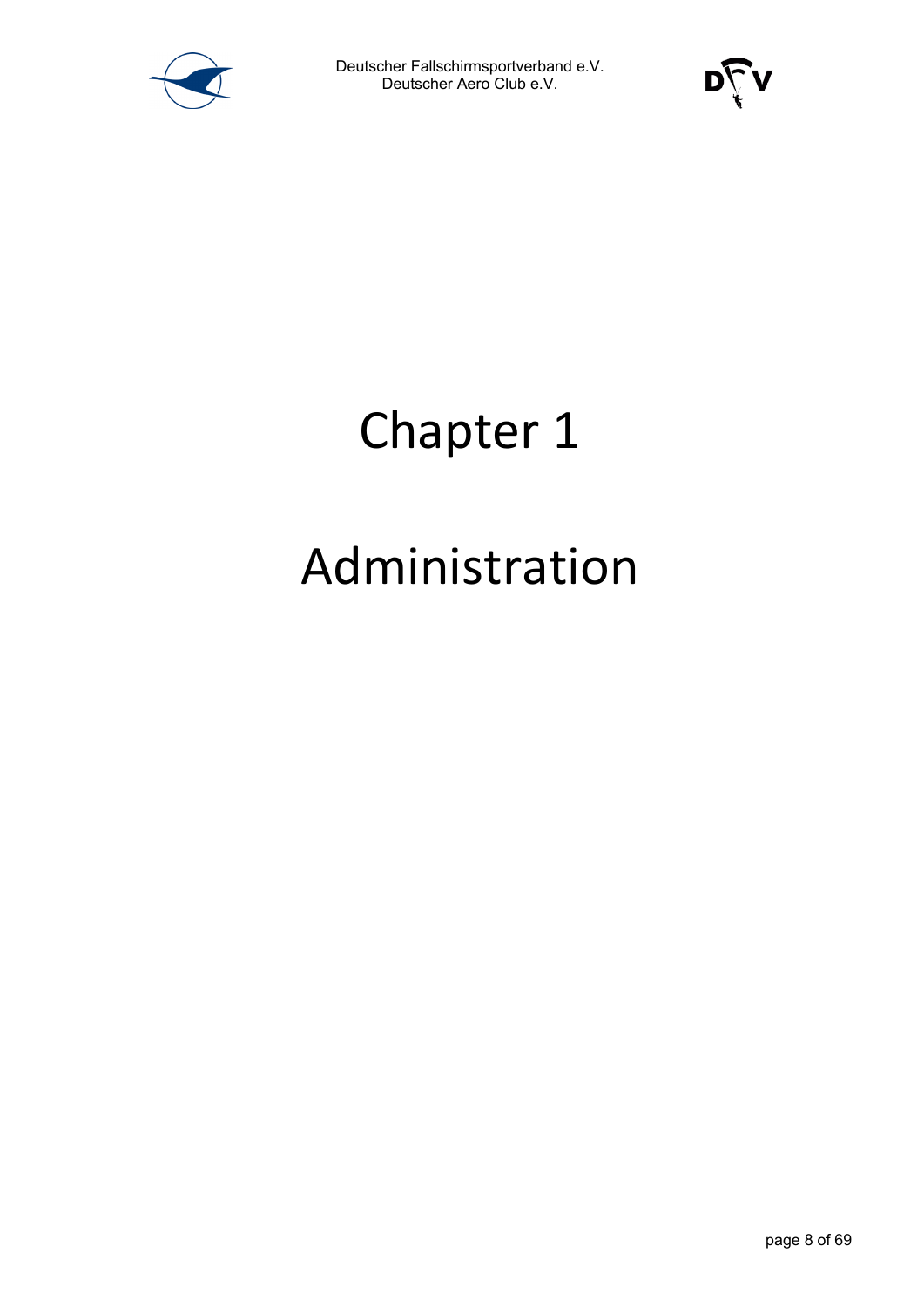



### Chapter 1

### Administration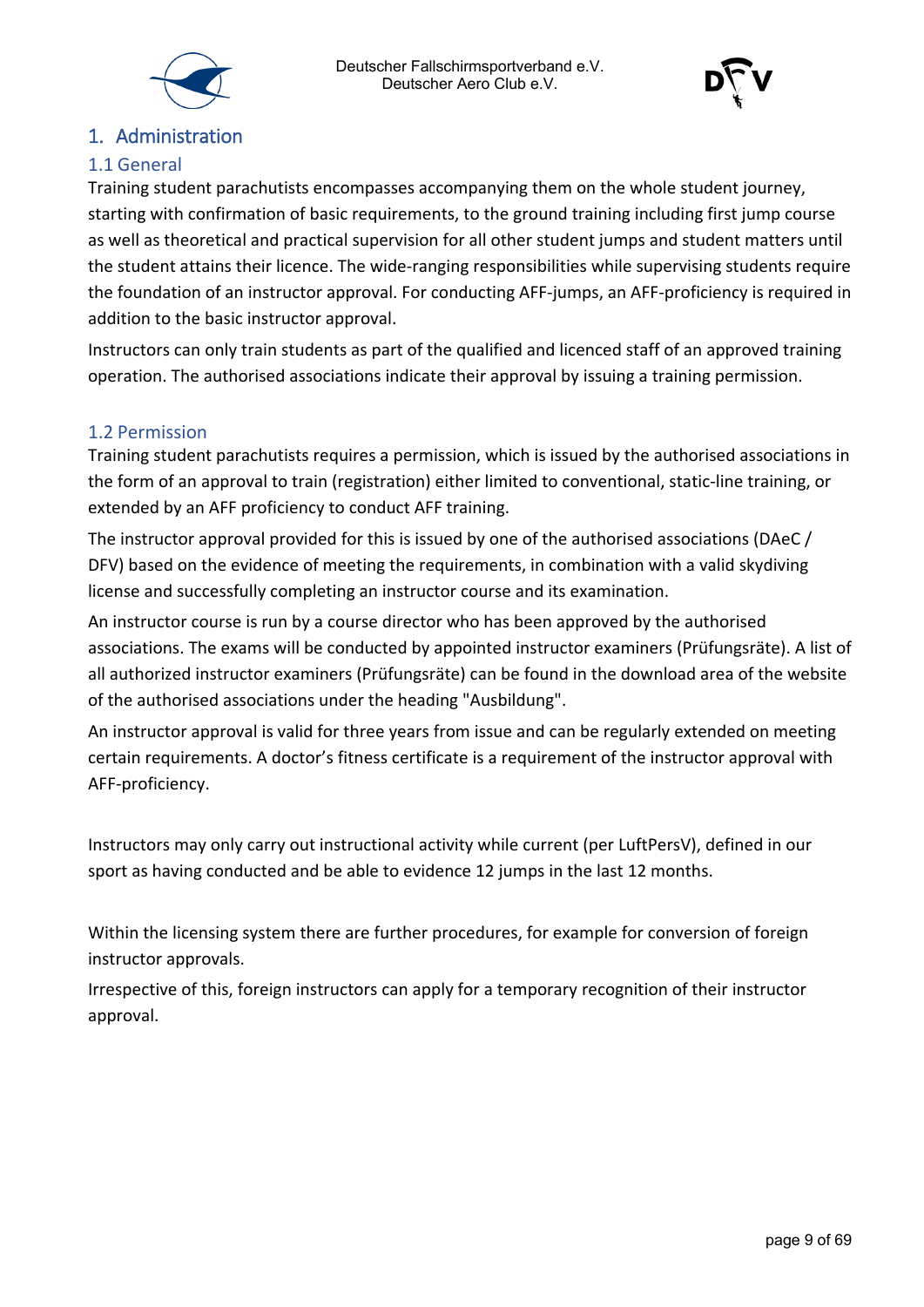



#### <span id="page-8-0"></span>1. Administration

#### <span id="page-8-1"></span>1.1 General

Training student parachutists encompasses accompanying them on the whole student journey, starting with confirmation of basic requirements, to the ground training including first jump course as well as theoretical and practical supervision for all other student jumps and student matters until the student attains their licence. The wide-ranging responsibilities while supervising students require the foundation of an instructor approval. For conducting AFF-jumps, an AFF-proficiency is required in addition to the basic instructor approval.

Instructors can only train students as part of the qualified and licenced staff of an approved training operation. The authorised associations indicate their approval by issuing a training permission.

#### <span id="page-8-2"></span>1.2 Permission

Training student parachutists requires a permission, which is issued by the authorised associations in the form of an approval to train (registration) either limited to conventional, static-line training, or extended by an AFF proficiency to conduct AFF training.

The instructor approval provided for this is issued by one of the authorised associations (DAeC / DFV) based on the evidence of meeting the requirements, in combination with a valid skydiving license and successfully completing an instructor course and its examination.

An instructor course is run by a course director who has been approved by the authorised associations. The exams will be conducted by appointed instructor examiners (Prüfungsräte). A list of all authorized instructor examiners (Prüfungsräte) can be found in the download area of the website of the authorised associations under the heading "Ausbildung".

An instructor approval is valid for three years from issue and can be regularly extended on meeting certain requirements. A doctor's fitness certificate is a requirement of the instructor approval with AFF-proficiency.

Instructors may only carry out instructional activity while current (per LuftPersV), defined in our sport as having conducted and be able to evidence 12 jumps in the last 12 months.

Within the licensing system there are further procedures, for example for conversion of foreign instructor approvals.

Irrespective of this, foreign instructors can apply for a temporary recognition of their instructor approval.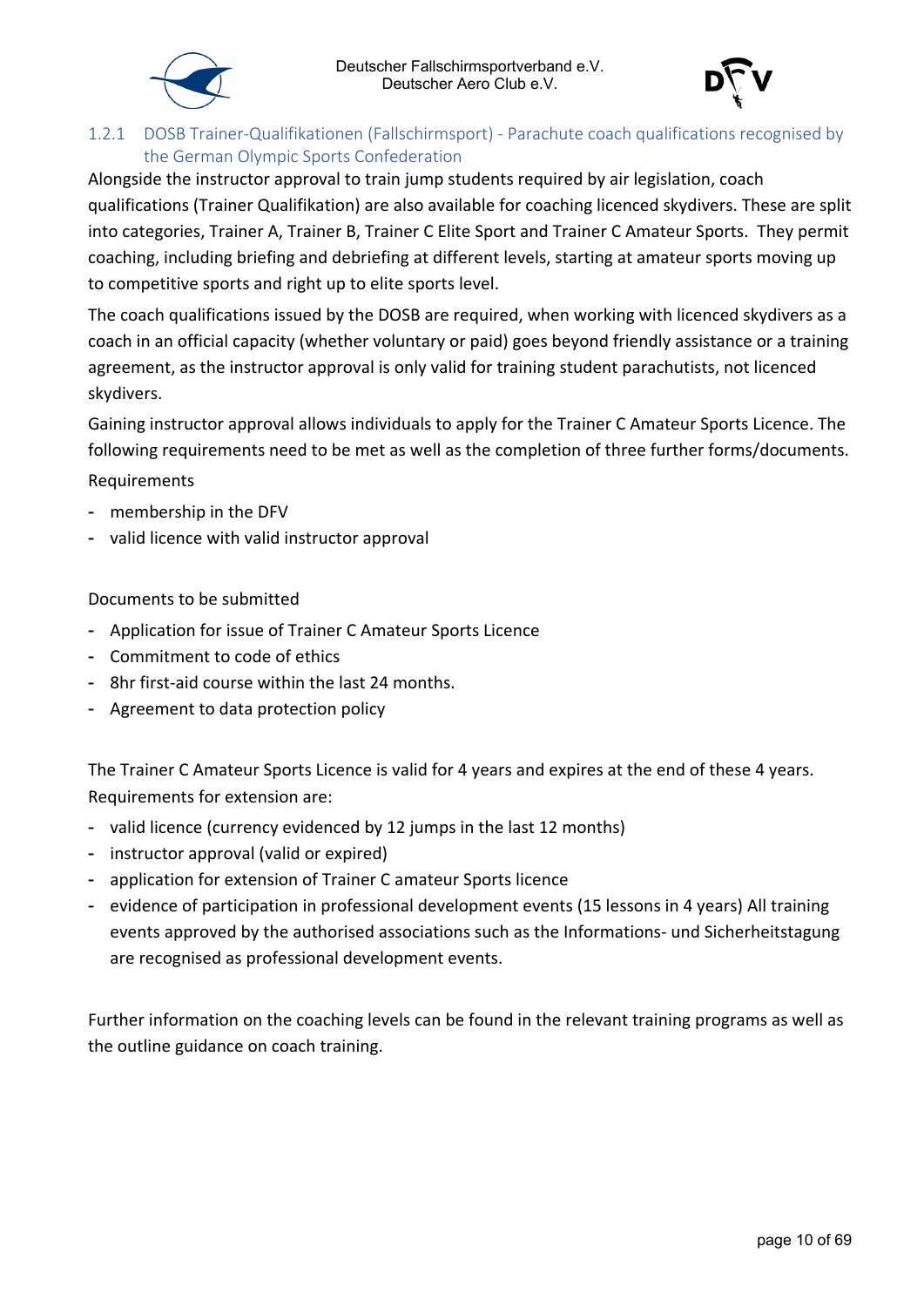



#### <span id="page-9-0"></span>1.2.1 DOSB Trainer-Qualifikationen (Fallschirmsport) - Parachute coach qualifications recognised by the German Olympic Sports Confederation

Alongside the instructor approval to train jump students required by air legislation, coach qualifications (Trainer Qualifikation) are also available for coaching licenced skydivers. These are split into categories, Trainer A, Trainer B, Trainer C Elite Sport and Trainer C Amateur Sports. They permit coaching, including briefing and debriefing at different levels, starting at amateur sports moving up to competitive sports and right up to elite sports level.

The coach qualifications issued by the DOSB are required, when working with licenced skydivers as a coach in an official capacity (whether voluntary or paid) goes beyond friendly assistance or a training agreement, as the instructor approval is only valid for training student parachutists, not licenced skydivers.

Gaining instructor approval allows individuals to apply for the Trainer C Amateur Sports Licence. The following requirements need to be met as well as the completion of three further forms/documents.

Requirements

- membership in the DFV
- valid licence with valid instructor approval

Documents to be submitted

- Application for issue of Trainer C Amateur Sports Licence
- Commitment to code of ethics
- 8hr first-aid course within the last 24 months.
- Agreement to data protection policy

The Trainer C Amateur Sports Licence is valid for 4 years and expires at the end of these 4 years. Requirements for extension are:

- valid licence (currency evidenced by 12 jumps in the last 12 months)
- instructor approval (valid or expired)
- application for extension of Trainer C amateur Sports licence
- evidence of participation in professional development events (15 lessons in 4 years) All training events approved by the authorised associations such as the Informations- und Sicherheitstagung are recognised as professional development events.

Further information on the coaching levels can be found in the relevant training programs as well as the outline guidance on coach training.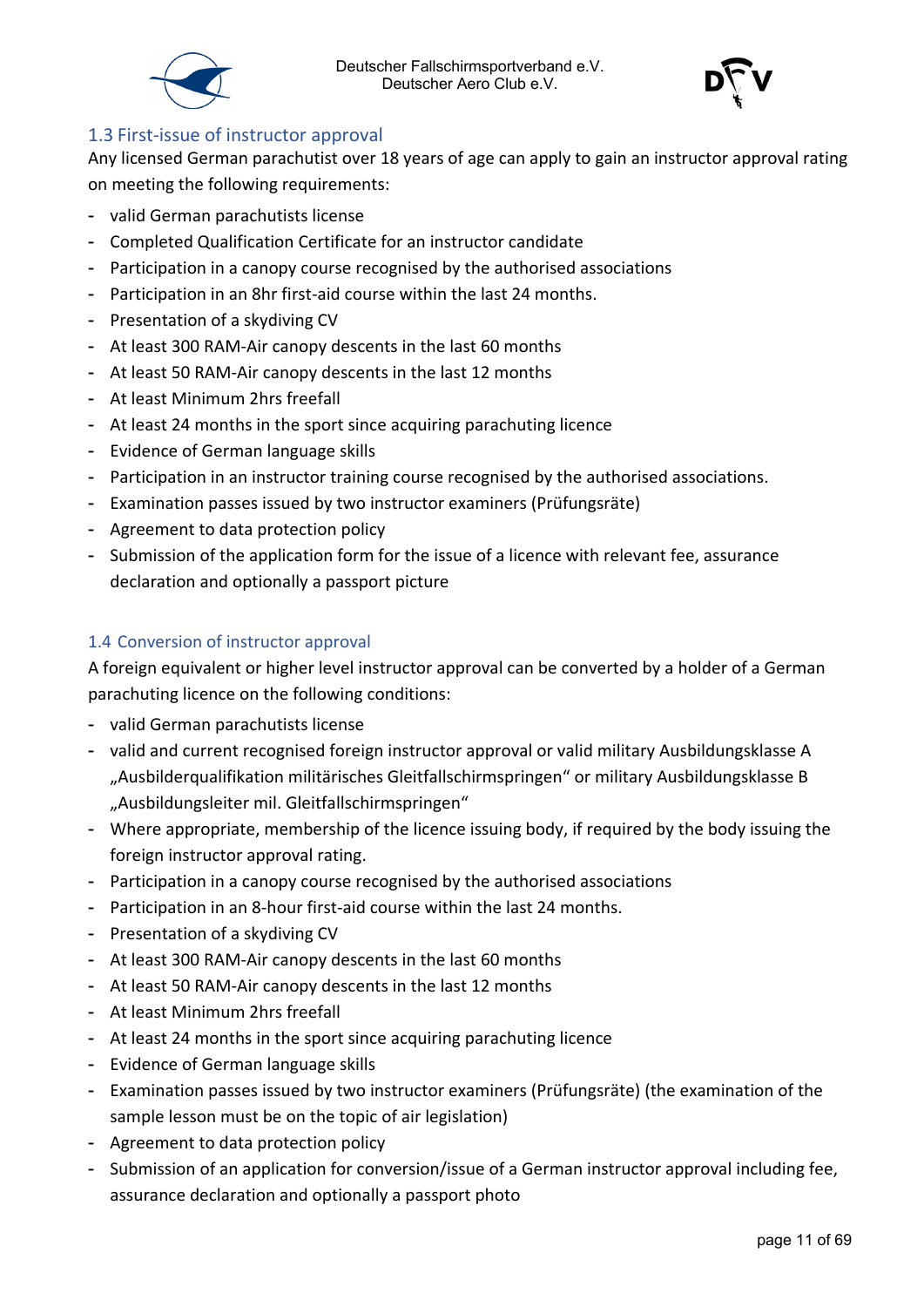



#### <span id="page-10-0"></span>1.3 First-issue of instructor approval

Any licensed German parachutist over 18 years of age can apply to gain an instructor approval rating on meeting the following requirements:

- valid German parachutists license
- Completed Qualification Certificate for an instructor candidate
- Participation in a canopy course recognised by the authorised associations
- Participation in an 8hr first-aid course within the last 24 months.
- Presentation of a skydiving CV
- At least 300 RAM-Air canopy descents in the last 60 months
- At least 50 RAM-Air canopy descents in the last 12 months
- At least Minimum 2hrs freefall
- At least 24 months in the sport since acquiring parachuting licence
- Evidence of German language skills
- Participation in an instructor training course recognised by the authorised associations.
- Examination passes issued by two instructor examiners (Prüfungsräte)
- Agreement to data protection policy
- Submission of the application form for the issue of a licence with relevant fee, assurance declaration and optionally a passport picture

#### <span id="page-10-1"></span>1.4 Conversion of instructor approval

A foreign equivalent or higher level instructor approval can be converted by a holder of a German parachuting licence on the following conditions:

- valid German parachutists license
- valid and current recognised foreign instructor approval or valid military Ausbildungsklasse A "Ausbilderqualifikation militärisches Gleitfallschirmspringen" or military Ausbildungsklasse B "Ausbildungsleiter mil. Gleitfallschirmspringen"
- Where appropriate, membership of the licence issuing body, if required by the body issuing the foreign instructor approval rating.
- Participation in a canopy course recognised by the authorised associations
- Participation in an 8-hour first-aid course within the last 24 months.
- Presentation of a skydiving CV
- At least 300 RAM-Air canopy descents in the last 60 months
- At least 50 RAM-Air canopy descents in the last 12 months
- At least Minimum 2hrs freefall
- At least 24 months in the sport since acquiring parachuting licence
- Evidence of German language skills
- Examination passes issued by two instructor examiners (Prüfungsräte) (the examination of the sample lesson must be on the topic of air legislation)
- Agreement to data protection policy
- Submission of an application for conversion/issue of a German instructor approval including fee, assurance declaration and optionally a passport photo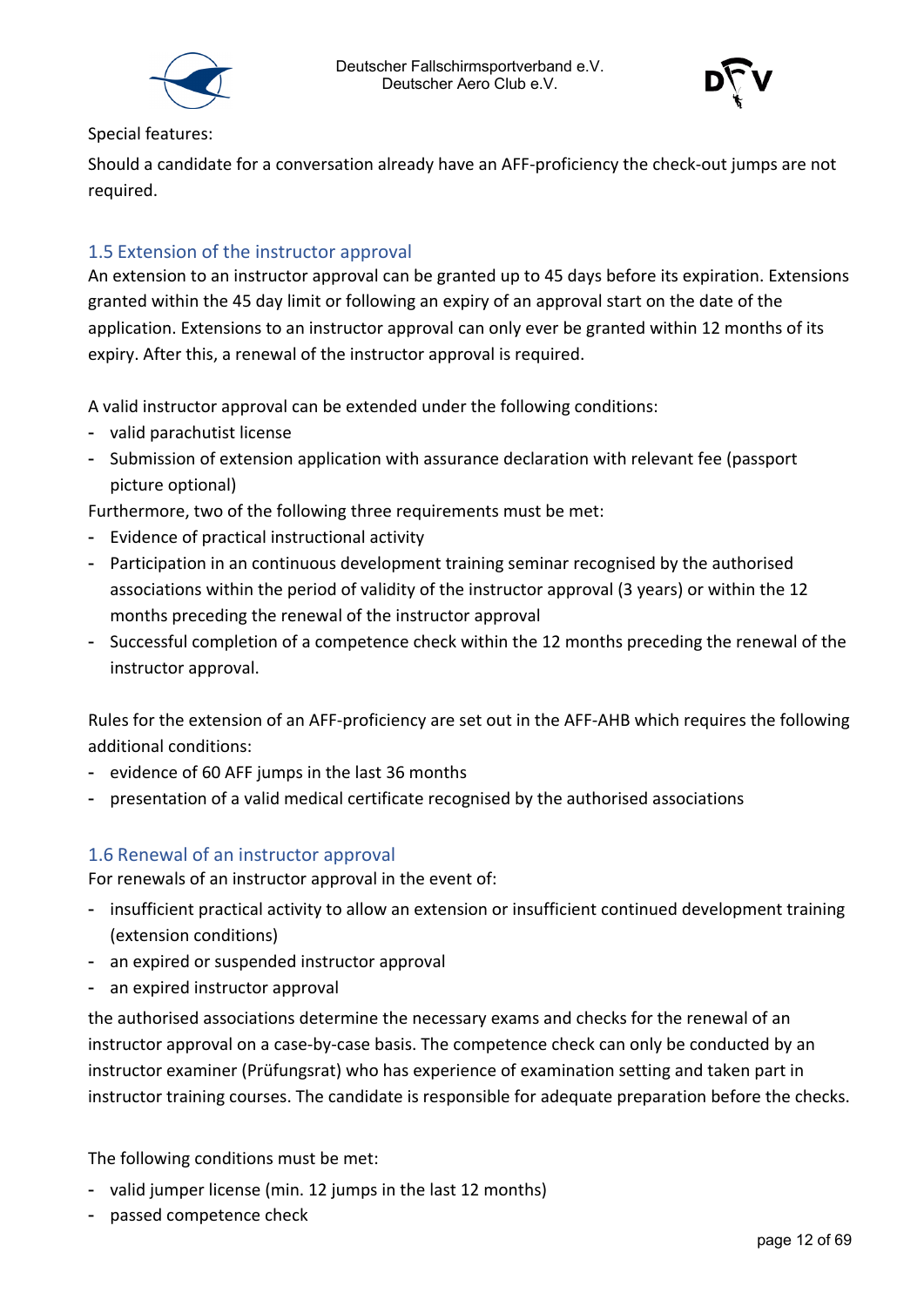



Special features:

Should a candidate for a conversation already have an AFF-proficiency the check-out jumps are not required.

#### <span id="page-11-0"></span>1.5 Extension of the instructor approval

An extension to an instructor approval can be granted up to 45 days before its expiration. Extensions granted within the 45 day limit or following an expiry of an approval start on the date of the application. Extensions to an instructor approval can only ever be granted within 12 months of its expiry. After this, a renewal of the instructor approval is required.

A valid instructor approval can be extended under the following conditions:

- valid parachutist license
- Submission of extension application with assurance declaration with relevant fee (passport picture optional)

Furthermore, two of the following three requirements must be met:

- Evidence of practical instructional activity
- Participation in an continuous development training seminar recognised by the authorised associations within the period of validity of the instructor approval (3 years) or within the 12 months preceding the renewal of the instructor approval
- Successful completion of a competence check within the 12 months preceding the renewal of the instructor approval.

Rules for the extension of an AFF-proficiency are set out in the AFF-AHB which requires the following additional conditions:

- evidence of 60 AFF jumps in the last 36 months
- presentation of a valid medical certificate recognised by the authorised associations

#### <span id="page-11-1"></span>1.6 Renewal of an instructor approval

For renewals of an instructor approval in the event of:

- insufficient practical activity to allow an extension or insufficient continued development training (extension conditions)
- an expired or suspended instructor approval
- an expired instructor approval

the authorised associations determine the necessary exams and checks for the renewal of an instructor approval on a case-by-case basis. The competence check can only be conducted by an instructor examiner (Prüfungsrat) who has experience of examination setting and taken part in instructor training courses. The candidate is responsible for adequate preparation before the checks.

The following conditions must be met:

- valid jumper license (min. 12 jumps in the last 12 months)
- passed competence check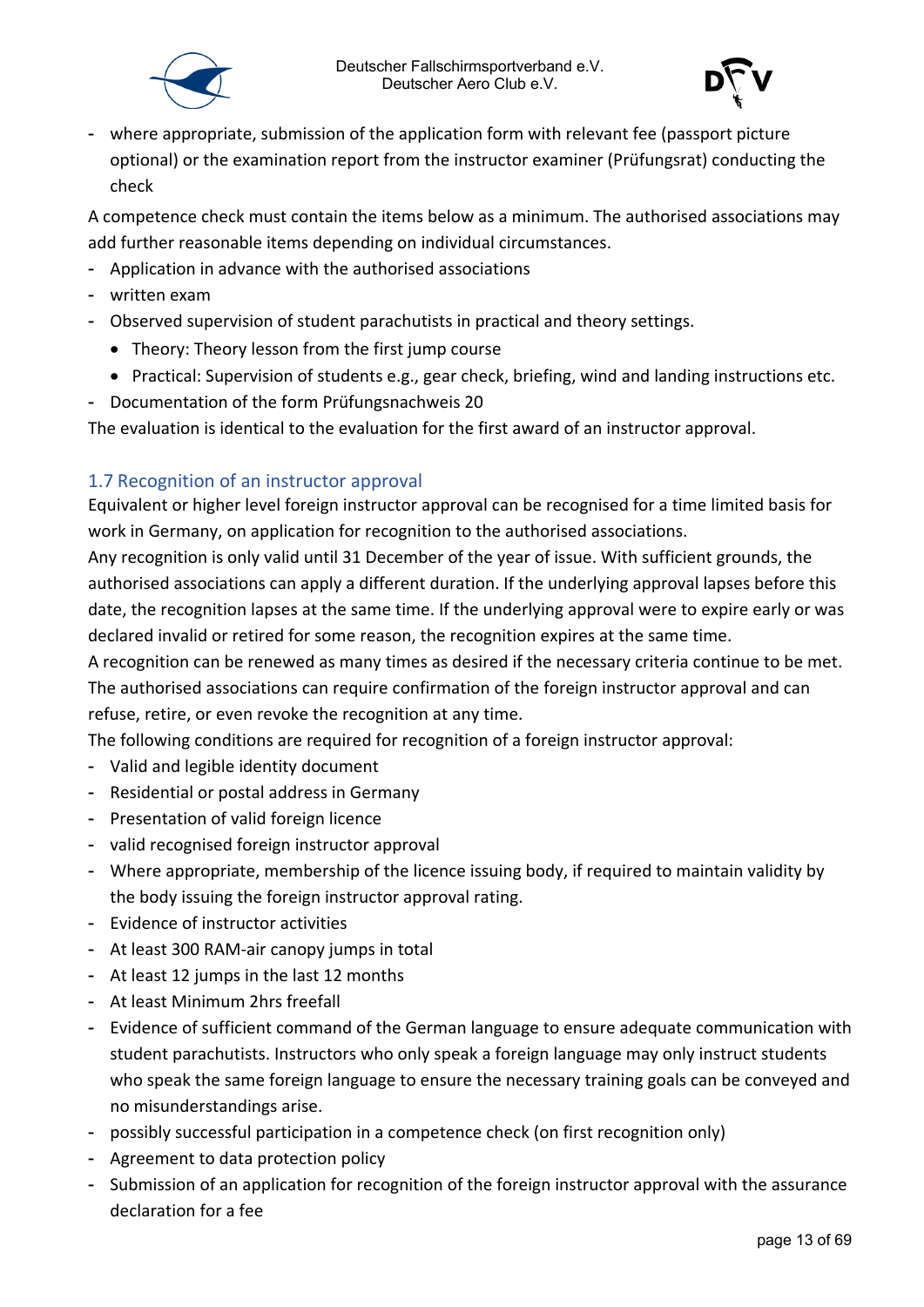



- where appropriate, submission of the application form with relevant fee (passport picture optional) or the examination report from the instructor examiner (Prüfungsrat) conducting the check

A competence check must contain the items below as a minimum. The authorised associations may add further reasonable items depending on individual circumstances.

- Application in advance with the authorised associations
- written exam
- Observed supervision of student parachutists in practical and theory settings.
	- Theory: Theory lesson from the first jump course
	- Practical: Supervision of students e.g., gear check, briefing, wind and landing instructions etc.
- Documentation of the form Prüfungsnachweis 20

The evaluation is identical to the evaluation for the first award of an instructor approval.

#### <span id="page-12-0"></span>1.7 Recognition of an instructor approval

Equivalent or higher level foreign instructor approval can be recognised for a time limited basis for work in Germany, on application for recognition to the authorised associations.

Any recognition is only valid until 31 December of the year of issue. With sufficient grounds, the authorised associations can apply a different duration. If the underlying approval lapses before this date, the recognition lapses at the same time. If the underlying approval were to expire early or was declared invalid or retired for some reason, the recognition expires at the same time.

A recognition can be renewed as many times as desired if the necessary criteria continue to be met. The authorised associations can require confirmation of the foreign instructor approval and can refuse, retire, or even revoke the recognition at any time.

The following conditions are required for recognition of a foreign instructor approval:

- Valid and legible identity document
- Residential or postal address in Germany
- Presentation of valid foreign licence
- valid recognised foreign instructor approval
- Where appropriate, membership of the licence issuing body, if required to maintain validity by the body issuing the foreign instructor approval rating.
- Evidence of instructor activities
- At least 300 RAM-air canopy jumps in total
- At least 12 jumps in the last 12 months
- At least Minimum 2hrs freefall
- Evidence of sufficient command of the German language to ensure adequate communication with student parachutists. Instructors who only speak a foreign language may only instruct students who speak the same foreign language to ensure the necessary training goals can be conveyed and no misunderstandings arise.
- possibly successful participation in a competence check (on first recognition only)
- Agreement to data protection policy
- Submission of an application for recognition of the foreign instructor approval with the assurance declaration for a fee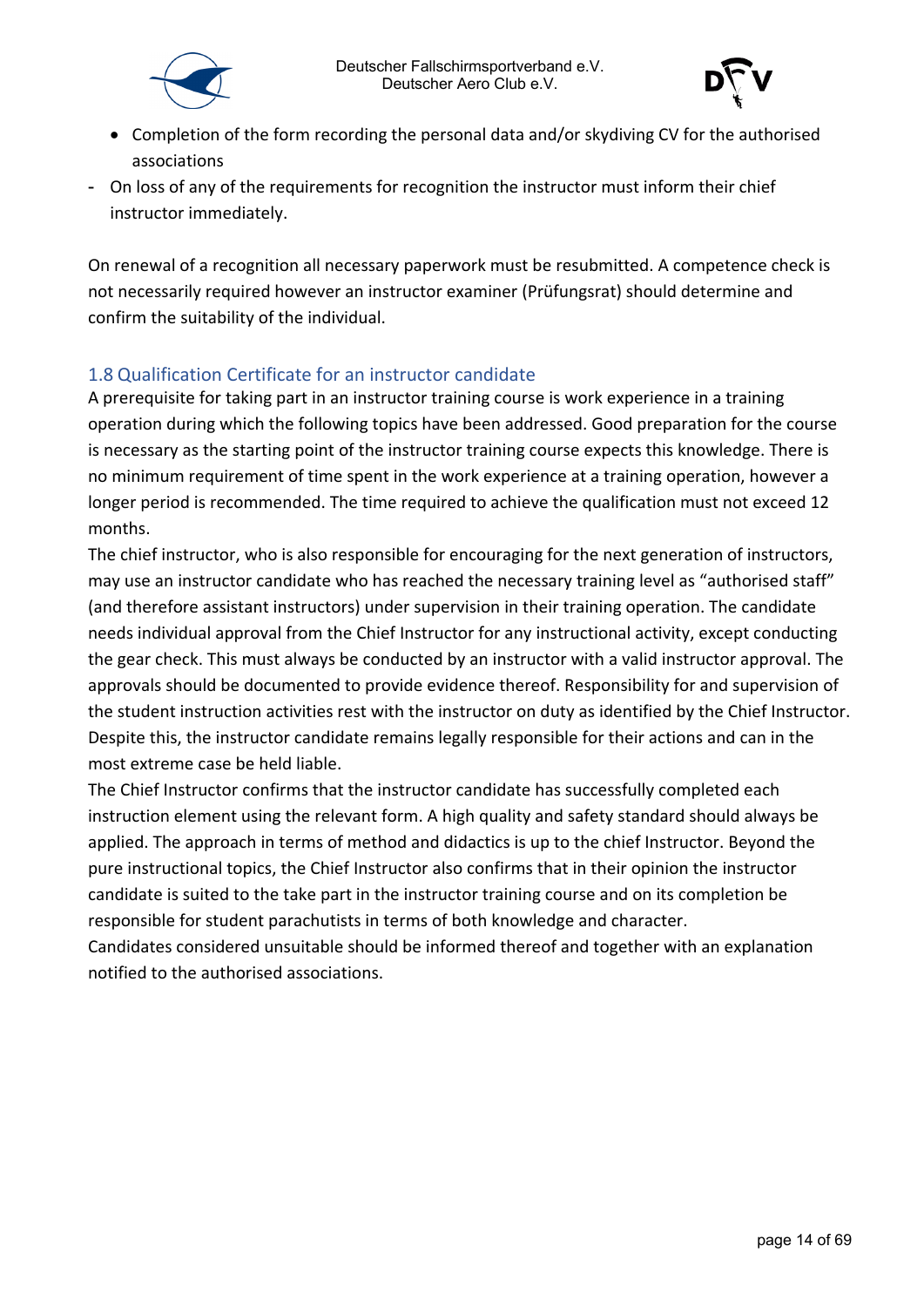



- Completion of the form recording the personal data and/or skydiving CV for the authorised associations
- On loss of any of the requirements for recognition the instructor must inform their chief instructor immediately.

On renewal of a recognition all necessary paperwork must be resubmitted. A competence check is not necessarily required however an instructor examiner (Prüfungsrat) should determine and confirm the suitability of the individual.

#### <span id="page-13-0"></span>1.8 Qualification Certificate for an instructor candidate

A prerequisite for taking part in an instructor training course is work experience in a training operation during which the following topics have been addressed. Good preparation for the course is necessary as the starting point of the instructor training course expects this knowledge. There is no minimum requirement of time spent in the work experience at a training operation, however a longer period is recommended. The time required to achieve the qualification must not exceed 12 months.

The chief instructor, who is also responsible for encouraging for the next generation of instructors, may use an instructor candidate who has reached the necessary training level as "authorised staff" (and therefore assistant instructors) under supervision in their training operation. The candidate needs individual approval from the Chief Instructor for any instructional activity, except conducting the gear check. This must always be conducted by an instructor with a valid instructor approval. The approvals should be documented to provide evidence thereof. Responsibility for and supervision of the student instruction activities rest with the instructor on duty as identified by the Chief Instructor. Despite this, the instructor candidate remains legally responsible for their actions and can in the most extreme case be held liable.

The Chief Instructor confirms that the instructor candidate has successfully completed each instruction element using the relevant form. A high quality and safety standard should always be applied. The approach in terms of method and didactics is up to the chief Instructor. Beyond the pure instructional topics, the Chief Instructor also confirms that in their opinion the instructor candidate is suited to the take part in the instructor training course and on its completion be responsible for student parachutists in terms of both knowledge and character.

Candidates considered unsuitable should be informed thereof and together with an explanation notified to the authorised associations.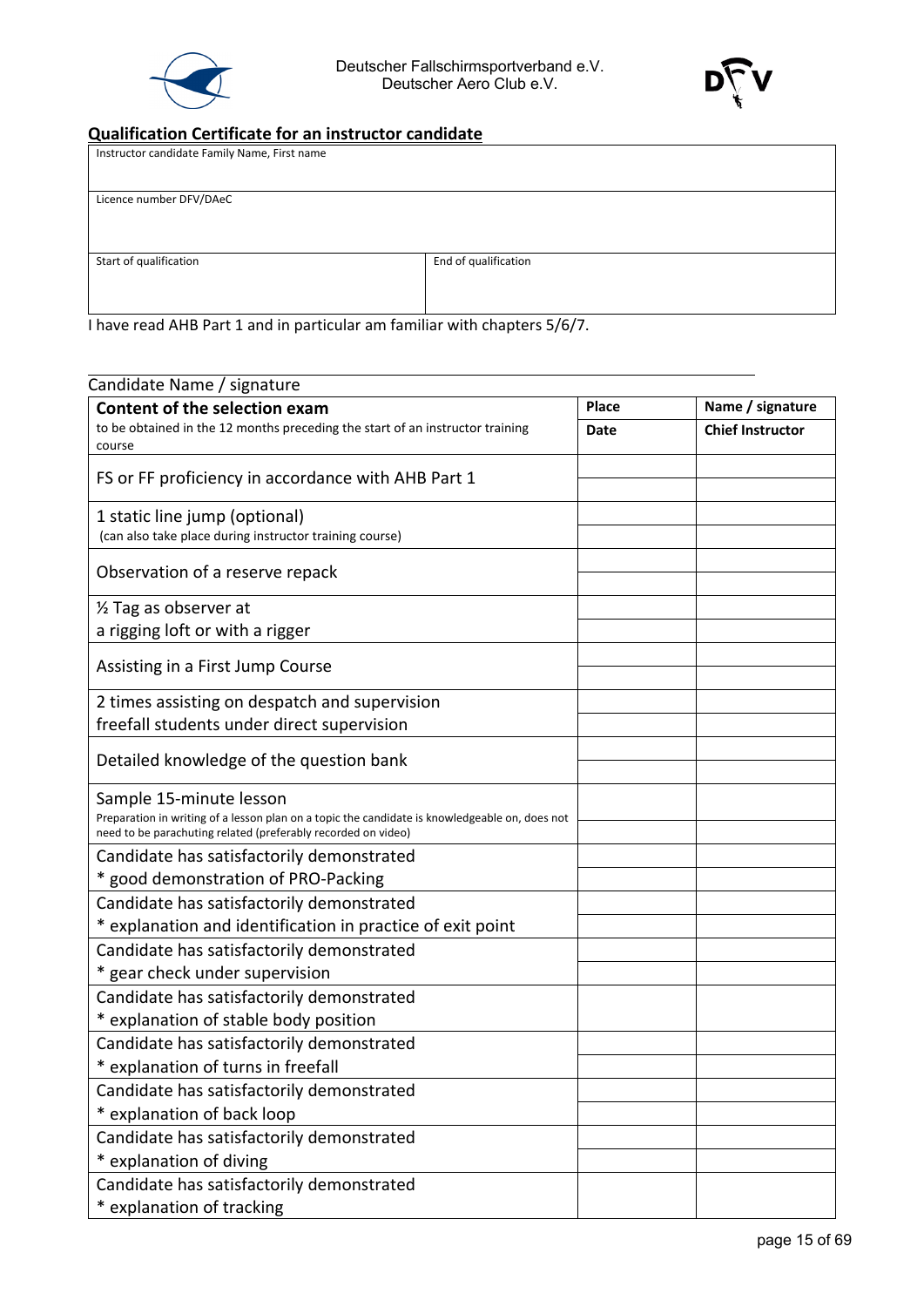



#### **Qualification Certificate for an instructor candidate**

| Instructor candidate Family Name, First name |                      |
|----------------------------------------------|----------------------|
| Licence number DFV/DAeC                      |                      |
| Start of qualification                       | End of qualification |

I have read AHB Part 1 and in particular am familiar with chapters 5/6/7.

| Candidate Name / signature                                                                                                                                      |       |                         |
|-----------------------------------------------------------------------------------------------------------------------------------------------------------------|-------|-------------------------|
| <b>Content of the selection exam</b>                                                                                                                            | Place | Name / signature        |
| to be obtained in the 12 months preceding the start of an instructor training                                                                                   | Date  | <b>Chief Instructor</b> |
| course                                                                                                                                                          |       |                         |
| FS or FF proficiency in accordance with AHB Part 1                                                                                                              |       |                         |
| 1 static line jump (optional)                                                                                                                                   |       |                         |
| (can also take place during instructor training course)                                                                                                         |       |                         |
| Observation of a reserve repack                                                                                                                                 |       |                         |
| 1/2 Tag as observer at                                                                                                                                          |       |                         |
| a rigging loft or with a rigger                                                                                                                                 |       |                         |
|                                                                                                                                                                 |       |                         |
| Assisting in a First Jump Course                                                                                                                                |       |                         |
| 2 times assisting on despatch and supervision                                                                                                                   |       |                         |
| freefall students under direct supervision                                                                                                                      |       |                         |
|                                                                                                                                                                 |       |                         |
| Detailed knowledge of the question bank                                                                                                                         |       |                         |
| Sample 15-minute lesson                                                                                                                                         |       |                         |
| Preparation in writing of a lesson plan on a topic the candidate is knowledgeable on, does not<br>need to be parachuting related (preferably recorded on video) |       |                         |
| Candidate has satisfactorily demonstrated                                                                                                                       |       |                         |
| * good demonstration of PRO-Packing                                                                                                                             |       |                         |
| Candidate has satisfactorily demonstrated                                                                                                                       |       |                         |
| * explanation and identification in practice of exit point                                                                                                      |       |                         |
| Candidate has satisfactorily demonstrated                                                                                                                       |       |                         |
| * gear check under supervision                                                                                                                                  |       |                         |
| Candidate has satisfactorily demonstrated                                                                                                                       |       |                         |
| * explanation of stable body position                                                                                                                           |       |                         |
| Candidate has satisfactorily demonstrated                                                                                                                       |       |                         |
| * explanation of turns in freefall                                                                                                                              |       |                         |
| Candidate has satisfactorily demonstrated                                                                                                                       |       |                         |
| * explanation of back loop                                                                                                                                      |       |                         |
| Candidate has satisfactorily demonstrated                                                                                                                       |       |                         |
| * explanation of diving                                                                                                                                         |       |                         |
| Candidate has satisfactorily demonstrated                                                                                                                       |       |                         |
| * explanation of tracking                                                                                                                                       |       |                         |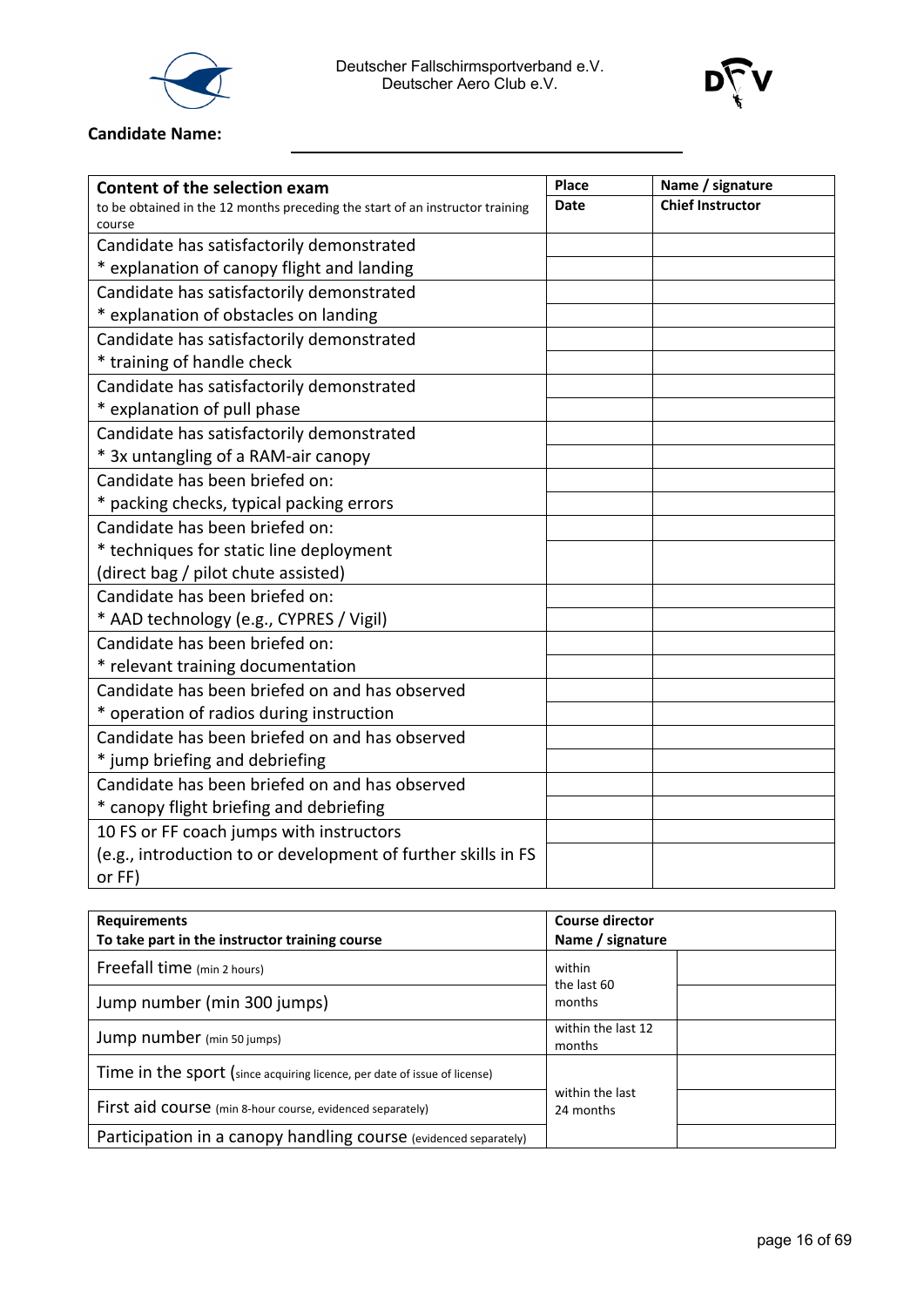



#### **Candidate Name:**

| <b>Content of the selection exam</b>                                          | Place | Name / signature        |
|-------------------------------------------------------------------------------|-------|-------------------------|
| to be obtained in the 12 months preceding the start of an instructor training | Date  | <b>Chief Instructor</b> |
| course                                                                        |       |                         |
| Candidate has satisfactorily demonstrated                                     |       |                         |
| * explanation of canopy flight and landing                                    |       |                         |
| Candidate has satisfactorily demonstrated                                     |       |                         |
| * explanation of obstacles on landing                                         |       |                         |
| Candidate has satisfactorily demonstrated                                     |       |                         |
| * training of handle check                                                    |       |                         |
| Candidate has satisfactorily demonstrated                                     |       |                         |
| * explanation of pull phase                                                   |       |                         |
| Candidate has satisfactorily demonstrated                                     |       |                         |
| * 3x untangling of a RAM-air canopy                                           |       |                         |
| Candidate has been briefed on:                                                |       |                         |
| * packing checks, typical packing errors                                      |       |                         |
| Candidate has been briefed on:                                                |       |                         |
| * techniques for static line deployment                                       |       |                         |
| (direct bag / pilot chute assisted)                                           |       |                         |
| Candidate has been briefed on:                                                |       |                         |
| * AAD technology (e.g., CYPRES / Vigil)                                       |       |                         |
| Candidate has been briefed on:                                                |       |                         |
| * relevant training documentation                                             |       |                         |
| Candidate has been briefed on and has observed                                |       |                         |
| * operation of radios during instruction                                      |       |                         |
| Candidate has been briefed on and has observed                                |       |                         |
| * jump briefing and debriefing                                                |       |                         |
| Candidate has been briefed on and has observed                                |       |                         |
| * canopy flight briefing and debriefing                                       |       |                         |
| 10 FS or FF coach jumps with instructors                                      |       |                         |
| (e.g., introduction to or development of further skills in FS                 |       |                         |
| or FF)                                                                        |       |                         |

| <b>Requirements</b><br>To take part in the instructor training course     | <b>Course director</b><br>Name / signature |  |
|---------------------------------------------------------------------------|--------------------------------------------|--|
| Freefall time (min 2 hours)                                               | within<br>the last 60                      |  |
| Jump number (min 300 jumps)                                               | months                                     |  |
| Jump number (min 50 jumps)                                                | within the last 12<br>months               |  |
| Time in the sport (since acquiring licence, per date of issue of license) |                                            |  |
| First aid course (min 8-hour course, evidenced separately)                | within the last<br>24 months               |  |
| Participation in a canopy handling course (evidenced separately)          |                                            |  |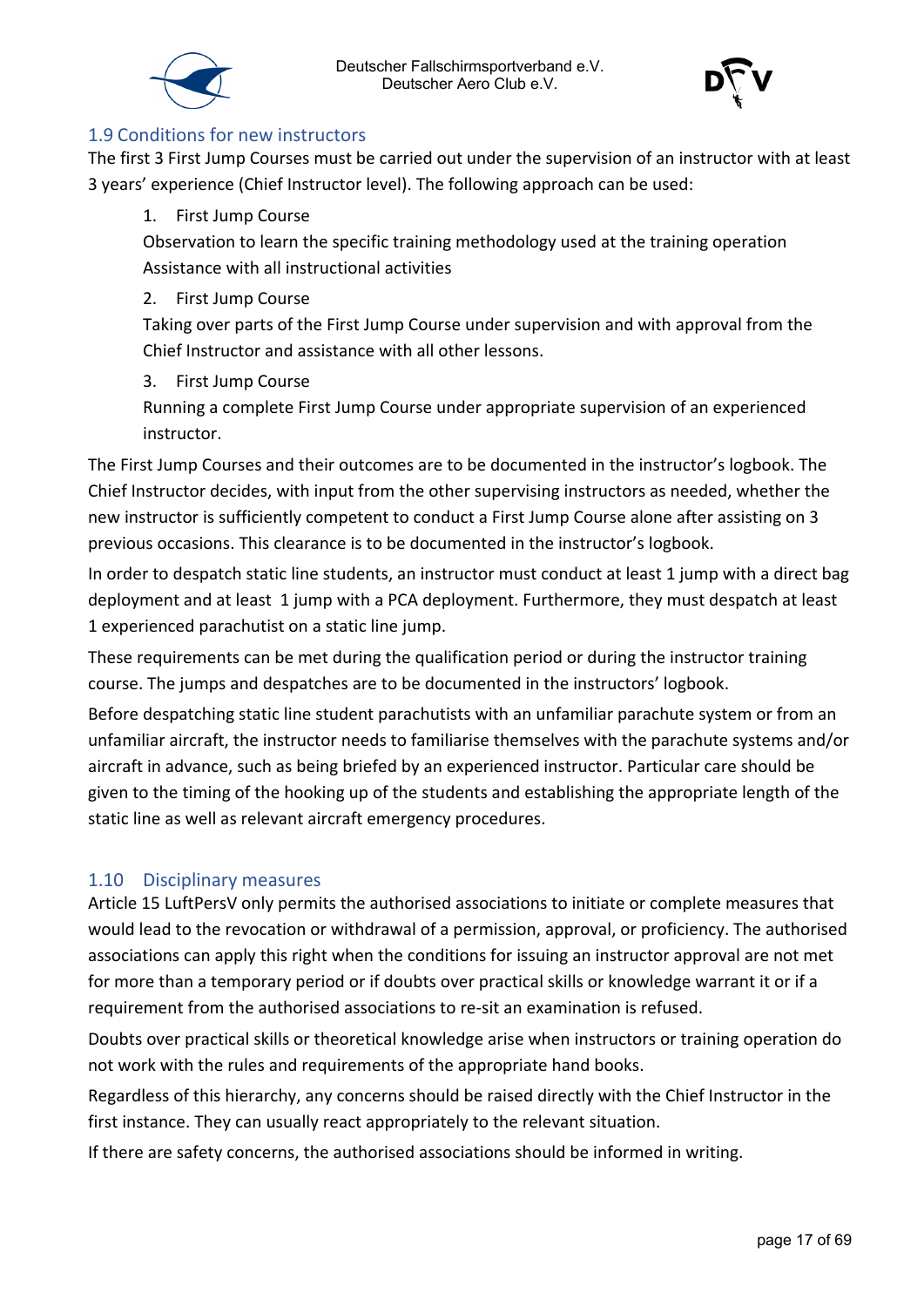



#### <span id="page-16-0"></span>1.9 Conditions for new instructors

The first 3 First Jump Courses must be carried out under the supervision of an instructor with at least 3 years' experience (Chief Instructor level). The following approach can be used:

#### 1. First Jump Course

Observation to learn the specific training methodology used at the training operation Assistance with all instructional activities

#### 2. First Jump Course

Taking over parts of the First Jump Course under supervision and with approval from the Chief Instructor and assistance with all other lessons.

#### 3. First Jump Course

Running a complete First Jump Course under appropriate supervision of an experienced instructor.

The First Jump Courses and their outcomes are to be documented in the instructor's logbook. The Chief Instructor decides, with input from the other supervising instructors as needed, whether the new instructor is sufficiently competent to conduct a First Jump Course alone after assisting on 3 previous occasions. This clearance is to be documented in the instructor's logbook.

In order to despatch static line students, an instructor must conduct at least 1 jump with a direct bag deployment and at least 1 jump with a PCA deployment. Furthermore, they must despatch at least 1 experienced parachutist on a static line jump.

These requirements can be met during the qualification period or during the instructor training course. The jumps and despatches are to be documented in the instructors' logbook.

Before despatching static line student parachutists with an unfamiliar parachute system or from an unfamiliar aircraft, the instructor needs to familiarise themselves with the parachute systems and/or aircraft in advance, such as being briefed by an experienced instructor. Particular care should be given to the timing of the hooking up of the students and establishing the appropriate length of the static line as well as relevant aircraft emergency procedures.

#### <span id="page-16-1"></span>1.10 Disciplinary measures

Article 15 LuftPersV only permits the authorised associations to initiate or complete measures that would lead to the revocation or withdrawal of a permission, approval, or proficiency. The authorised associations can apply this right when the conditions for issuing an instructor approval are not met for more than a temporary period or if doubts over practical skills or knowledge warrant it or if a requirement from the authorised associations to re-sit an examination is refused.

Doubts over practical skills or theoretical knowledge arise when instructors or training operation do not work with the rules and requirements of the appropriate hand books.

Regardless of this hierarchy, any concerns should be raised directly with the Chief Instructor in the first instance. They can usually react appropriately to the relevant situation.

If there are safety concerns, the authorised associations should be informed in writing.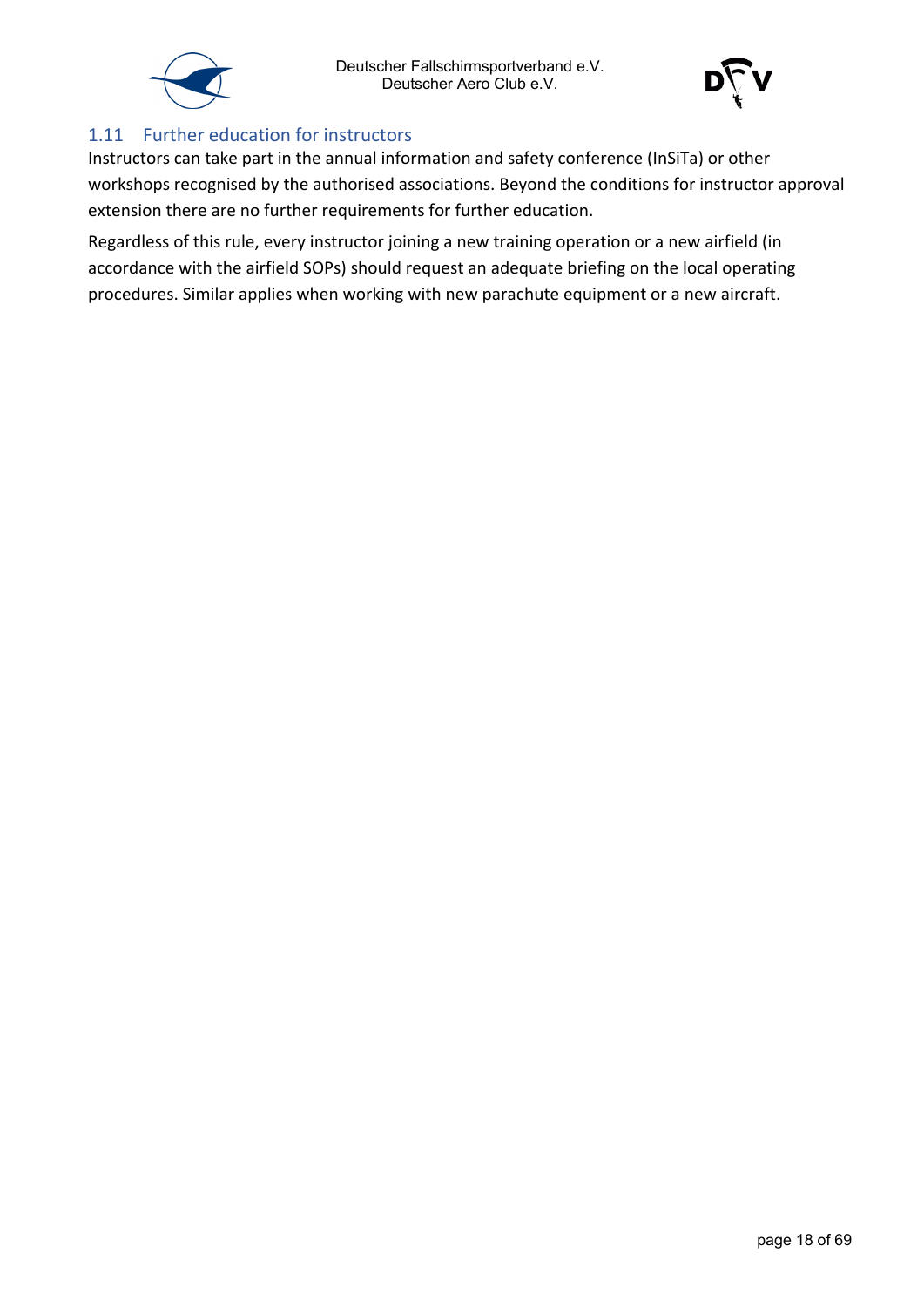



#### <span id="page-17-0"></span>1.11 Further education for instructors

Instructors can take part in the annual information and safety conference (InSiTa) or other workshops recognised by the authorised associations. Beyond the conditions for instructor approval extension there are no further requirements for further education.

Regardless of this rule, every instructor joining a new training operation or a new airfield (in accordance with the airfield SOPs) should request an adequate briefing on the local operating procedures. Similar applies when working with new parachute equipment or a new aircraft.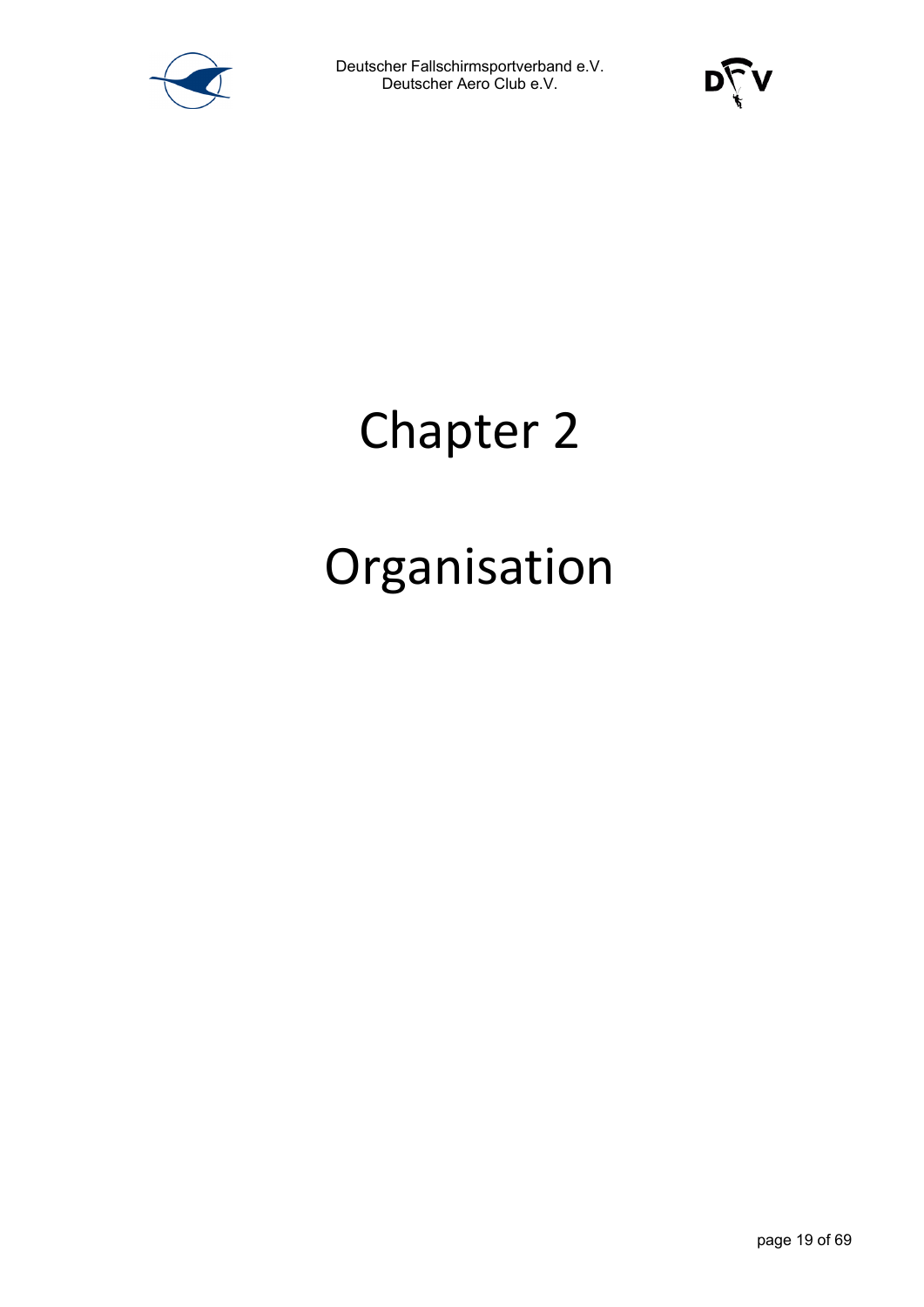



### Chapter 2

### Organisation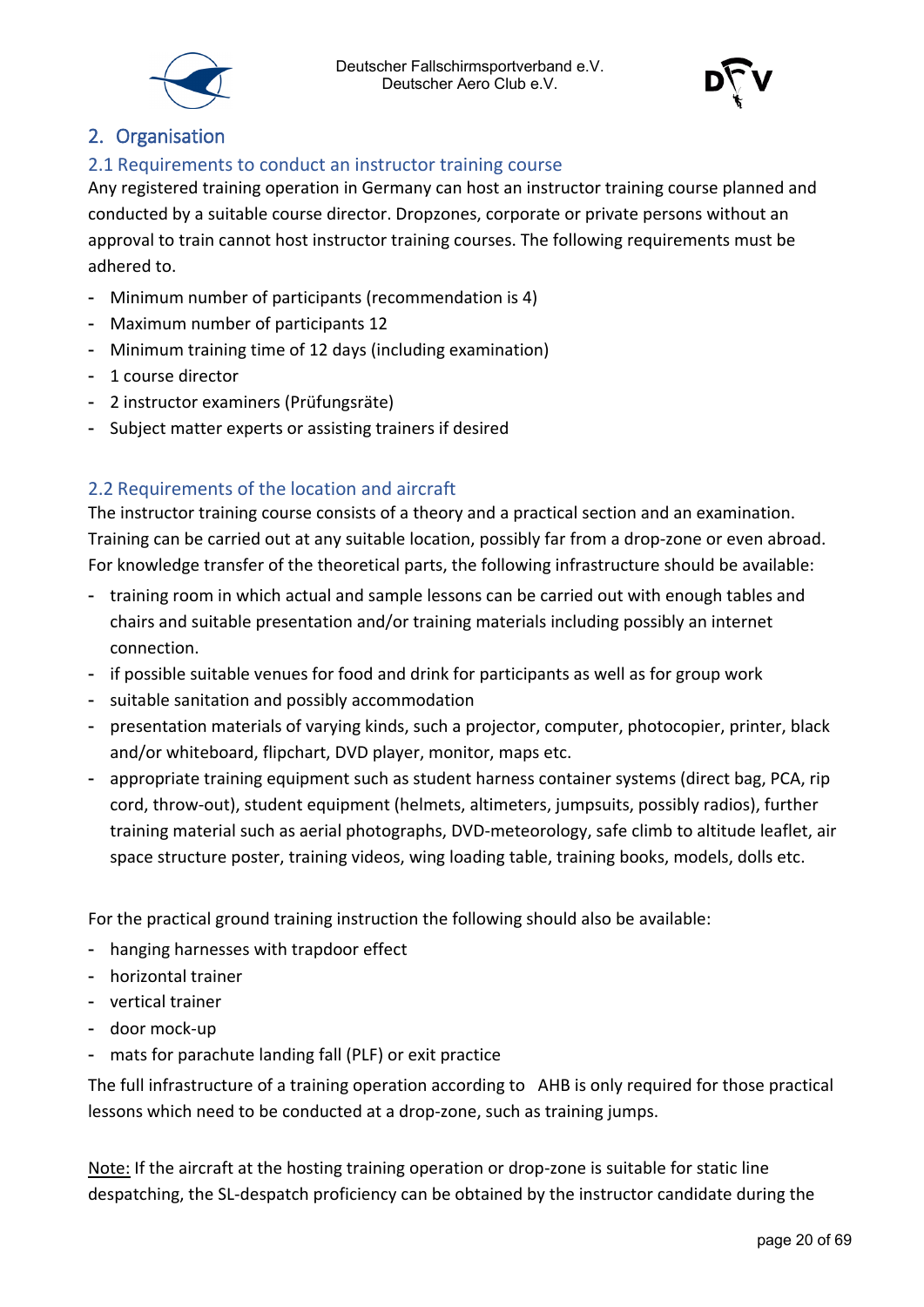



#### <span id="page-19-0"></span>2. Organisation

#### <span id="page-19-1"></span>2.1 Requirements to conduct an instructor training course

Any registered training operation in Germany can host an instructor training course planned and conducted by a suitable course director. Dropzones, corporate or private persons without an approval to train cannot host instructor training courses. The following requirements must be adhered to.

- Minimum number of participants (recommendation is 4)
- Maximum number of participants 12
- Minimum training time of 12 days (including examination)
- 1 course director
- 2 instructor examiners (Prüfungsräte)
- Subject matter experts or assisting trainers if desired

#### <span id="page-19-2"></span>2.2 Requirements of the location and aircraft

The instructor training course consists of a theory and a practical section and an examination. Training can be carried out at any suitable location, possibly far from a drop-zone or even abroad. For knowledge transfer of the theoretical parts, the following infrastructure should be available:

- training room in which actual and sample lessons can be carried out with enough tables and chairs and suitable presentation and/or training materials including possibly an internet connection.
- if possible suitable venues for food and drink for participants as well as for group work
- suitable sanitation and possibly accommodation
- presentation materials of varying kinds, such a projector, computer, photocopier, printer, black and/or whiteboard, flipchart, DVD player, monitor, maps etc.
- appropriate training equipment such as student harness container systems (direct bag, PCA, rip cord, throw-out), student equipment (helmets, altimeters, jumpsuits, possibly radios), further training material such as aerial photographs, DVD-meteorology, safe climb to altitude leaflet, air space structure poster, training videos, wing loading table, training books, models, dolls etc.

For the practical ground training instruction the following should also be available:

- hanging harnesses with trapdoor effect
- horizontal trainer
- vertical trainer
- door mock-up
- mats for parachute landing fall (PLF) or exit practice

The full infrastructure of a training operation according to AHB is only required for those practical lessons which need to be conducted at a drop-zone, such as training jumps.

Note: If the aircraft at the hosting training operation or drop-zone is suitable for static line despatching, the SL-despatch proficiency can be obtained by the instructor candidate during the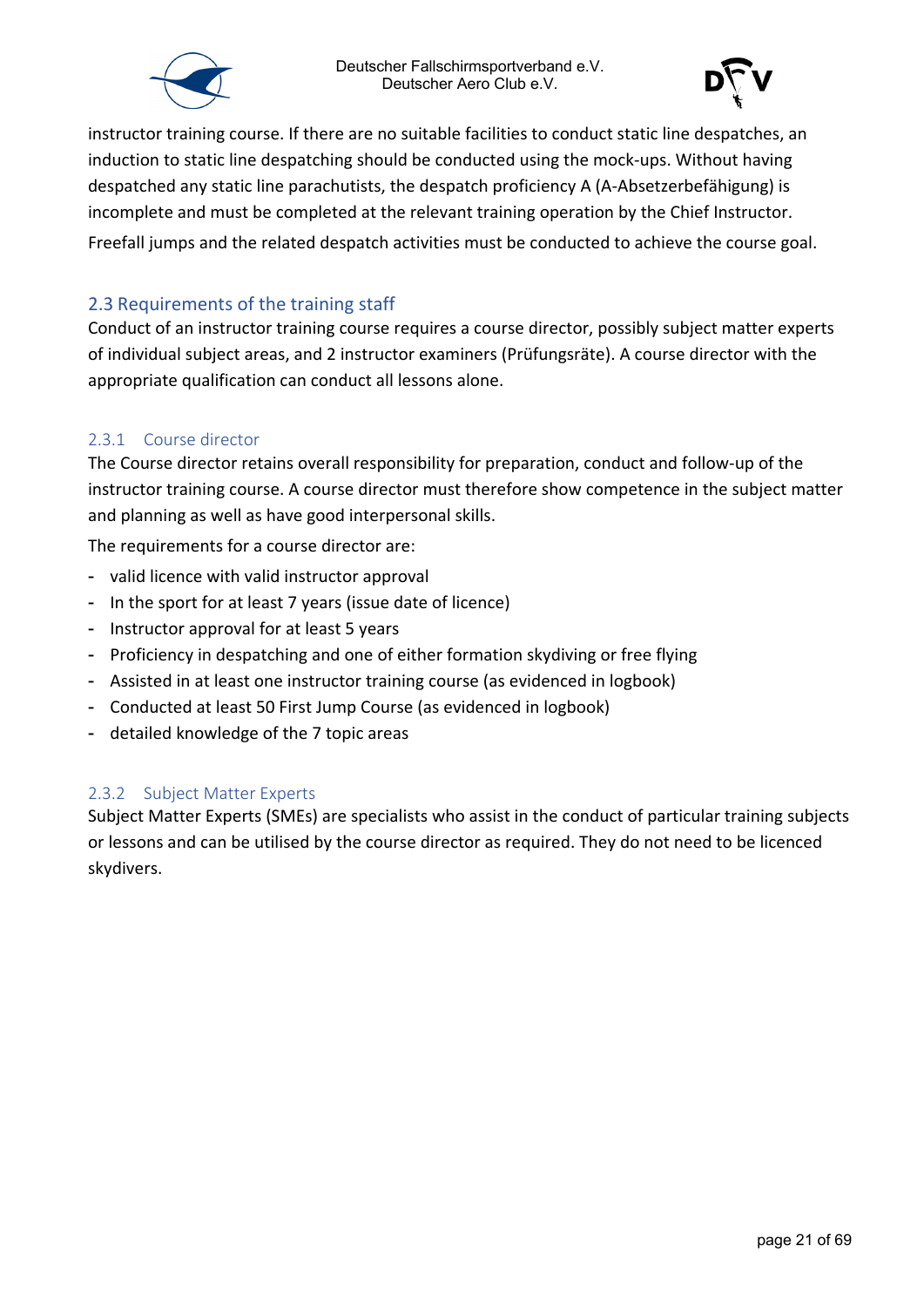



instructor training course. If there are no suitable facilities to conduct static line despatches, an induction to static line despatching should be conducted using the mock-ups. Without having despatched any static line parachutists, the despatch proficiency A (A-Absetzerbefähigung) is incomplete and must be completed at the relevant training operation by the Chief Instructor. Freefall jumps and the related despatch activities must be conducted to achieve the course goal.

#### <span id="page-20-0"></span>2.3 Requirements of the training staff

Conduct of an instructor training course requires a course director, possibly subject matter experts of individual subject areas, and 2 instructor examiners (Prüfungsräte). A course director with the appropriate qualification can conduct all lessons alone.

#### <span id="page-20-1"></span>2.3.1 Course director

The Course director retains overall responsibility for preparation, conduct and follow-up of the instructor training course. A course director must therefore show competence in the subject matter and planning as well as have good interpersonal skills.

The requirements for a course director are:

- valid licence with valid instructor approval
- In the sport for at least 7 years (issue date of licence)
- Instructor approval for at least 5 years
- Proficiency in despatching and one of either formation skydiving or free flying
- Assisted in at least one instructor training course (as evidenced in logbook)
- Conducted at least 50 First Jump Course (as evidenced in logbook)
- detailed knowledge of the 7 topic areas

#### <span id="page-20-2"></span>2.3.2 Subject Matter Experts

Subject Matter Experts (SMEs) are specialists who assist in the conduct of particular training subjects or lessons and can be utilised by the course director as required. They do not need to be licenced skydivers.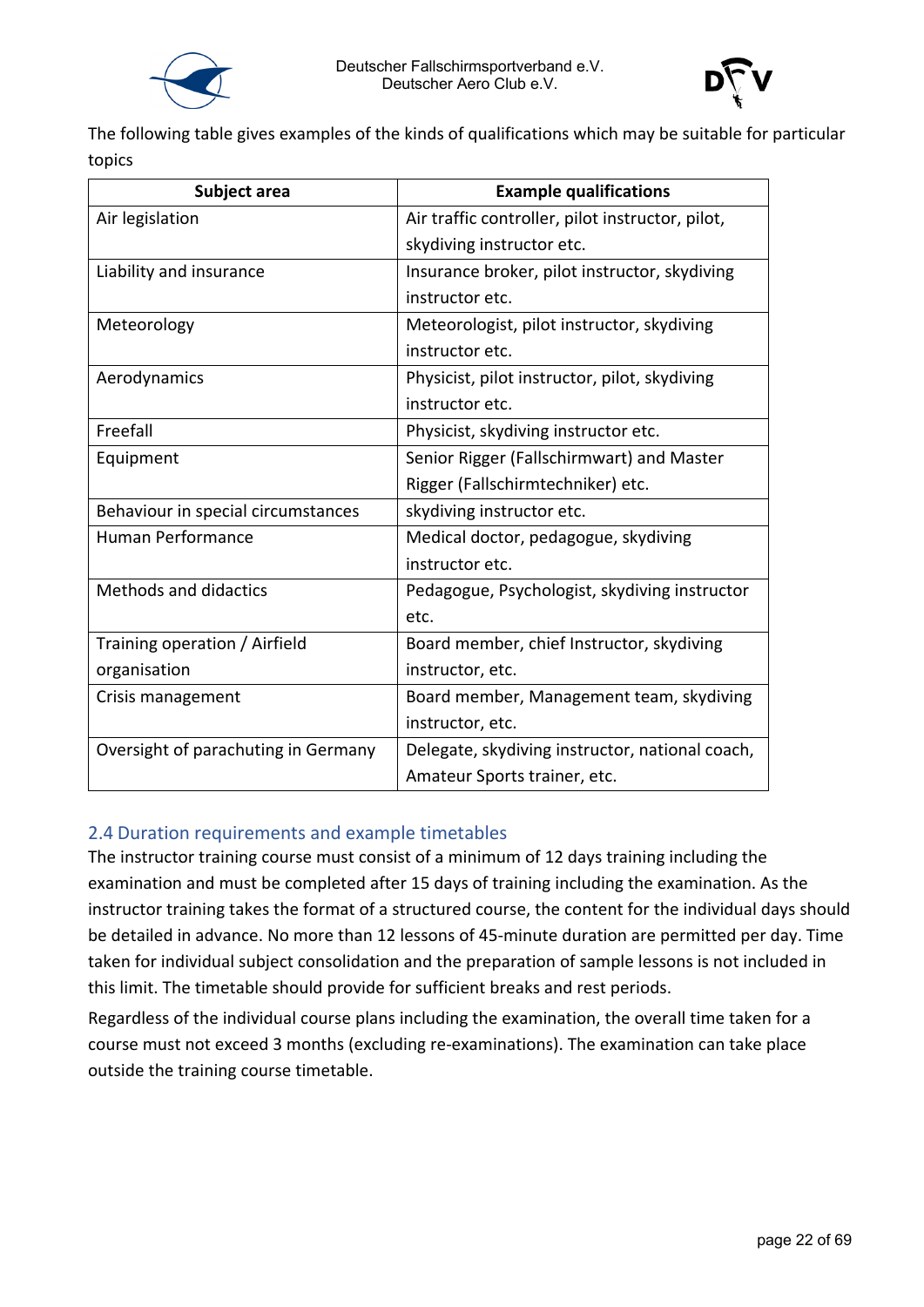



The following table gives examples of the kinds of qualifications which may be suitable for particular topics

| Subject area                        | <b>Example qualifications</b>                    |
|-------------------------------------|--------------------------------------------------|
| Air legislation                     | Air traffic controller, pilot instructor, pilot, |
|                                     | skydiving instructor etc.                        |
| Liability and insurance             | Insurance broker, pilot instructor, skydiving    |
|                                     | instructor etc.                                  |
| Meteorology                         | Meteorologist, pilot instructor, skydiving       |
|                                     | instructor etc.                                  |
| Aerodynamics                        | Physicist, pilot instructor, pilot, skydiving    |
|                                     | instructor etc.                                  |
| Freefall                            | Physicist, skydiving instructor etc.             |
| Equipment                           | Senior Rigger (Fallschirmwart) and Master        |
|                                     | Rigger (Fallschirmtechniker) etc.                |
| Behaviour in special circumstances  | skydiving instructor etc.                        |
| <b>Human Performance</b>            | Medical doctor, pedagogue, skydiving             |
|                                     | instructor etc.                                  |
| <b>Methods and didactics</b>        | Pedagogue, Psychologist, skydiving instructor    |
|                                     | etc.                                             |
| Training operation / Airfield       | Board member, chief Instructor, skydiving        |
| organisation                        | instructor, etc.                                 |
| Crisis management                   | Board member, Management team, skydiving         |
|                                     | instructor, etc.                                 |
| Oversight of parachuting in Germany | Delegate, skydiving instructor, national coach,  |
|                                     | Amateur Sports trainer, etc.                     |

#### <span id="page-21-0"></span>2.4 Duration requirements and example timetables

The instructor training course must consist of a minimum of 12 days training including the examination and must be completed after 15 days of training including the examination. As the instructor training takes the format of a structured course, the content for the individual days should be detailed in advance. No more than 12 lessons of 45-minute duration are permitted per day. Time taken for individual subject consolidation and the preparation of sample lessons is not included in this limit. The timetable should provide for sufficient breaks and rest periods.

Regardless of the individual course plans including the examination, the overall time taken for a course must not exceed 3 months (excluding re-examinations). The examination can take place outside the training course timetable.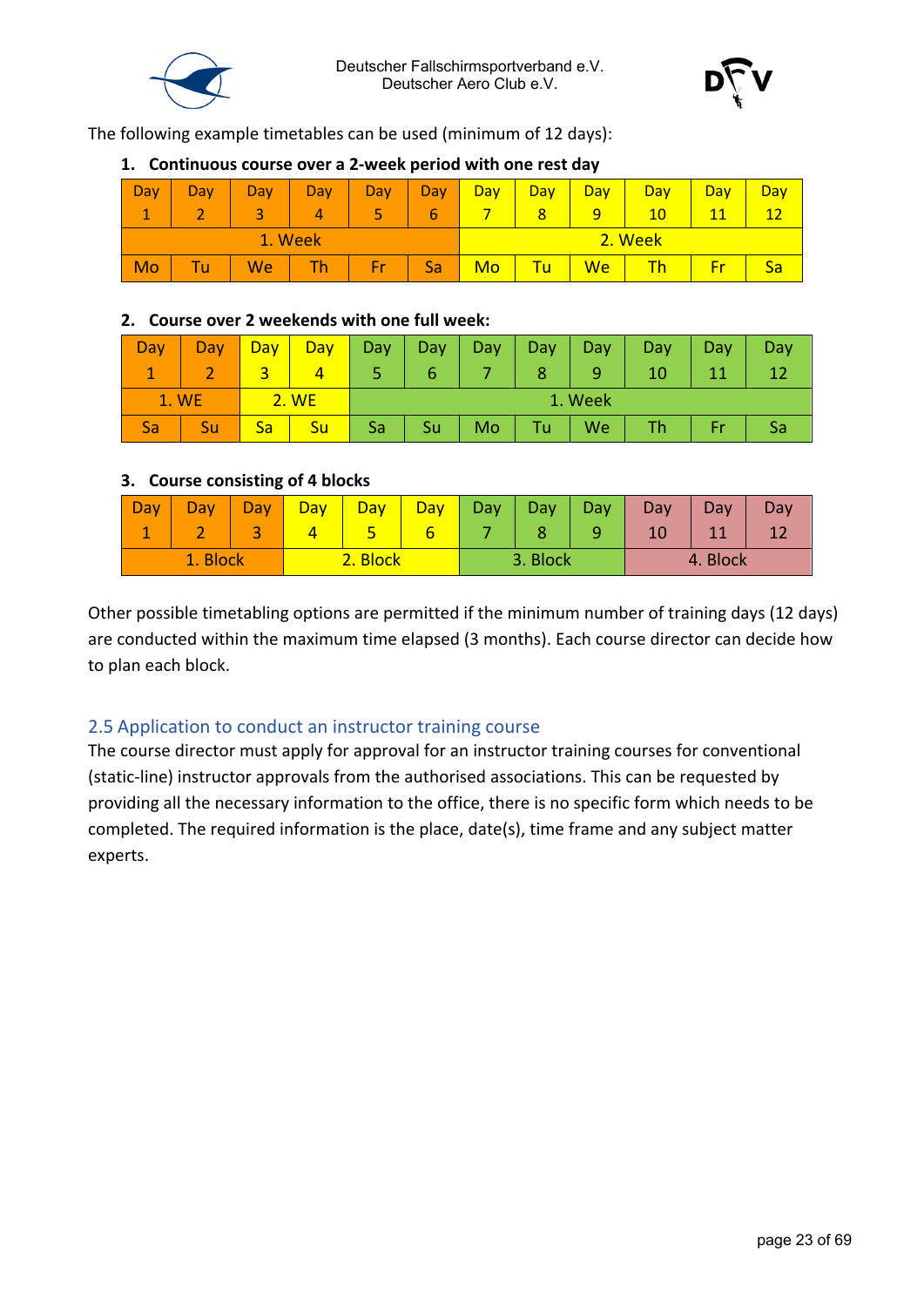



The following example timetables can be used (minimum of 12 days):

#### **1. Continuous course over a 2-week period with one rest day**

| Day     | Day            | Day | Day. | Day | Day | Day | Day     | Day | Day | Day | Day |
|---------|----------------|-----|------|-----|-----|-----|---------|-----|-----|-----|-----|
|         | $\blacksquare$ |     | 4    |     | b   |     | 8       | 9   | 10  | 11  | 10  |
| 1. Week |                |     |      |     |     |     | 2. Week |     |     |     |     |
| Mo      | TU.            | We  | Th.  | Er  | Sa  | Mo  | Tu      | We  |     |     | Sa  |

#### **2. Course over 2 weekends with one full week:**

| Dav   | Day | Day | Day   | Day     | <b>Day</b> | Day | Day  | Day. | Day. | Day |  |
|-------|-----|-----|-------|---------|------------|-----|------|------|------|-----|--|
|       |     |     |       |         |            |     |      |      |      |     |  |
| 1. WE |     |     | 2. WE | 1. Week |            |     |      |      |      |     |  |
|       | Su  | sa  | Su    | Sa      | Su         | Mo  | Tu l | We   |      |     |  |

#### **3. Course consisting of 4 blocks**

| $\overline{\phantom{a}}$ Day | Dav | bav      | Day | Day      | <b>Day</b> | Day | Day      | Day. | Day | Day | Day |
|------------------------------|-----|----------|-----|----------|------------|-----|----------|------|-----|-----|-----|
| -                            |     |          |     |          |            |     |          |      |     |     |     |
| Block<br>1.1                 |     | 2. Block |     | 3. Block |            |     | 4. Block |      |     |     |     |

Other possible timetabling options are permitted if the minimum number of training days (12 days) are conducted within the maximum time elapsed (3 months). Each course director can decide how to plan each block.

#### <span id="page-22-0"></span>2.5 Application to conduct an instructor training course

The course director must apply for approval for an instructor training courses for conventional (static-line) instructor approvals from the authorised associations. This can be requested by providing all the necessary information to the office, there is no specific form which needs to be completed. The required information is the place, date(s), time frame and any subject matter experts.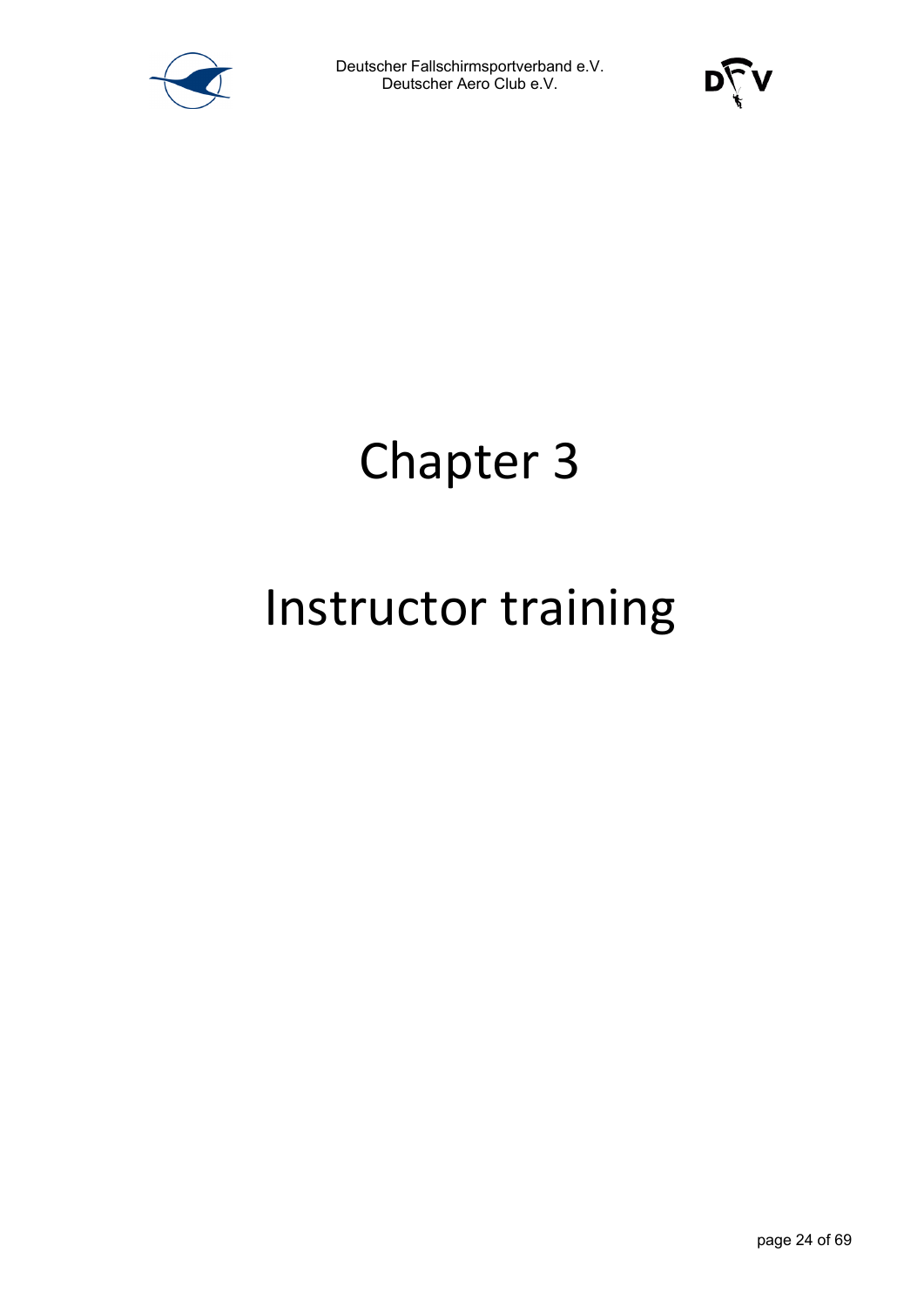



## Chapter 3

### Instructor training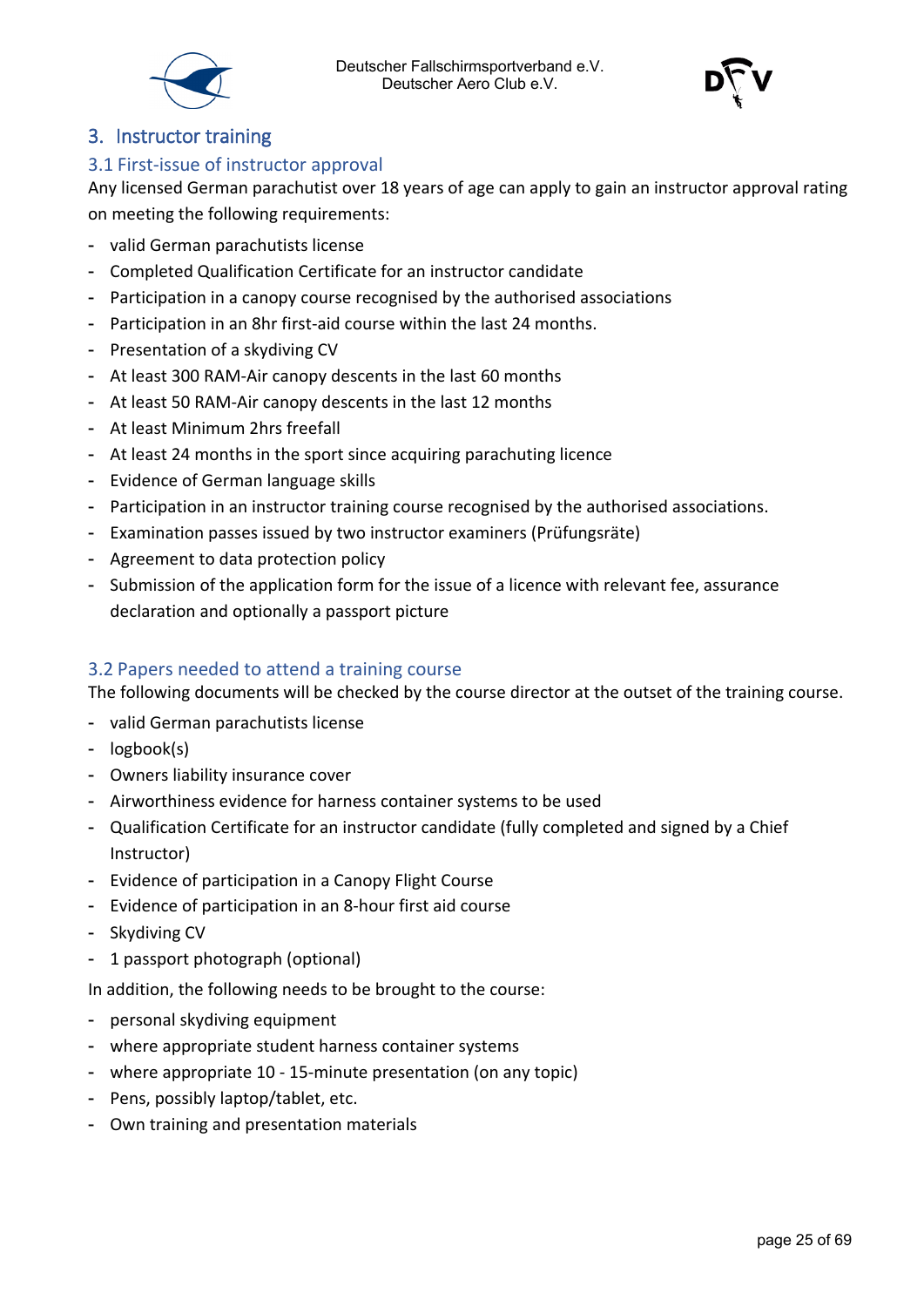

#### <span id="page-24-0"></span>3. Instructor training

#### <span id="page-24-1"></span>3.1 First-issue of instructor approval

Any licensed German parachutist over 18 years of age can apply to gain an instructor approval rating on meeting the following requirements:

- valid German parachutists license
- Completed Qualification Certificate for an instructor candidate
- Participation in a canopy course recognised by the authorised associations
- Participation in an 8hr first-aid course within the last 24 months.
- Presentation of a skydiving CV
- At least 300 RAM-Air canopy descents in the last 60 months
- At least 50 RAM-Air canopy descents in the last 12 months
- At least Minimum 2hrs freefall
- At least 24 months in the sport since acquiring parachuting licence
- Evidence of German language skills
- Participation in an instructor training course recognised by the authorised associations.
- Examination passes issued by two instructor examiners (Prüfungsräte)
- Agreement to data protection policy
- Submission of the application form for the issue of a licence with relevant fee, assurance declaration and optionally a passport picture

#### <span id="page-24-2"></span>3.2 Papers needed to attend a training course

The following documents will be checked by the course director at the outset of the training course.

- valid German parachutists license
- logbook(s)
- Owners liability insurance cover
- Airworthiness evidence for harness container systems to be used
- Qualification Certificate for an instructor candidate (fully completed and signed by a Chief Instructor)
- Evidence of participation in a Canopy Flight Course
- Evidence of participation in an 8-hour first aid course
- Skydiving CV
- 1 passport photograph (optional)

In addition, the following needs to be brought to the course:

- personal skydiving equipment
- where appropriate student harness container systems
- where appropriate 10 15-minute presentation (on any topic)
- Pens, possibly laptop/tablet, etc.
- Own training and presentation materials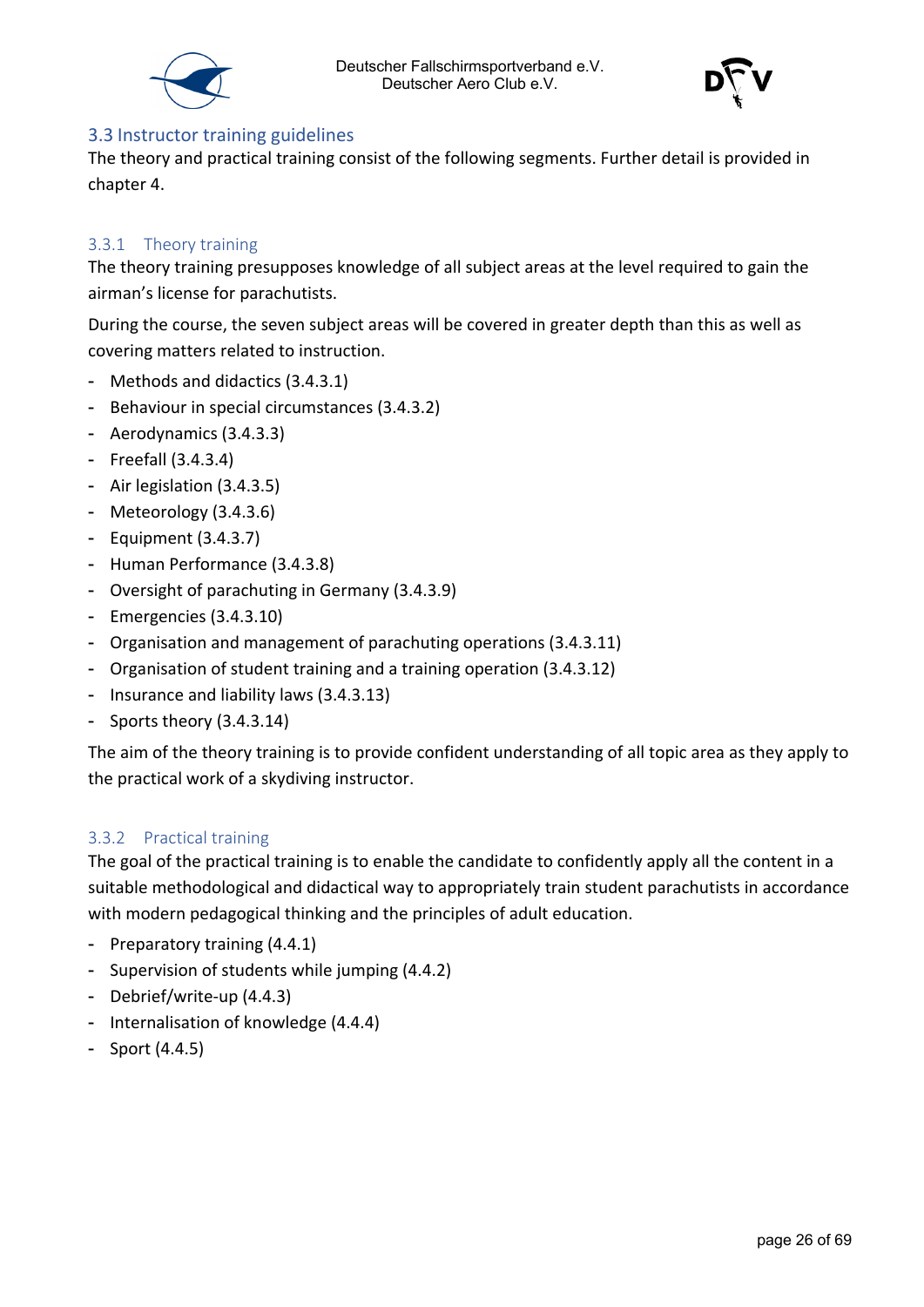



#### <span id="page-25-0"></span>3.3 Instructor training guidelines

The theory and practical training consist of the following segments. Further detail is provided in chapter 4.

#### <span id="page-25-1"></span>3.3.1 Theory training

The theory training presupposes knowledge of all subject areas at the level required to gain the airman's license for parachutists.

During the course, the seven subject areas will be covered in greater depth than this as well as covering matters related to instruction.

- Methods and didactics (3.4.3.1)
- Behaviour in special circumstances (3.4.3.2)
- Aerodynamics (3.4.3.3)
- Freefall (3.4.3.4)
- Air legislation (3.4.3.5)
- Meteorology (3.4.3.6)
- Equipment (3.4.3.7)
- Human Performance (3.4.3.8)
- Oversight of parachuting in Germany (3.4.3.9)
- Emergencies (3.4.3.10)
- Organisation and management of parachuting operations (3.4.3.11)
- Organisation of student training and a training operation (3.4.3.12)
- Insurance and liability laws (3.4.3.13)
- Sports theory (3.4.3.14)

The aim of the theory training is to provide confident understanding of all topic area as they apply to the practical work of a skydiving instructor.

#### <span id="page-25-2"></span>3.3.2 Practical training

The goal of the practical training is to enable the candidate to confidently apply all the content in a suitable methodological and didactical way to appropriately train student parachutists in accordance with modern pedagogical thinking and the principles of adult education.

- Preparatory training (4.4.1)
- Supervision of students while jumping (4.4.2)
- Debrief/write-up (4.4.3)
- Internalisation of knowledge (4.4.4)
- Sport (4.4.5)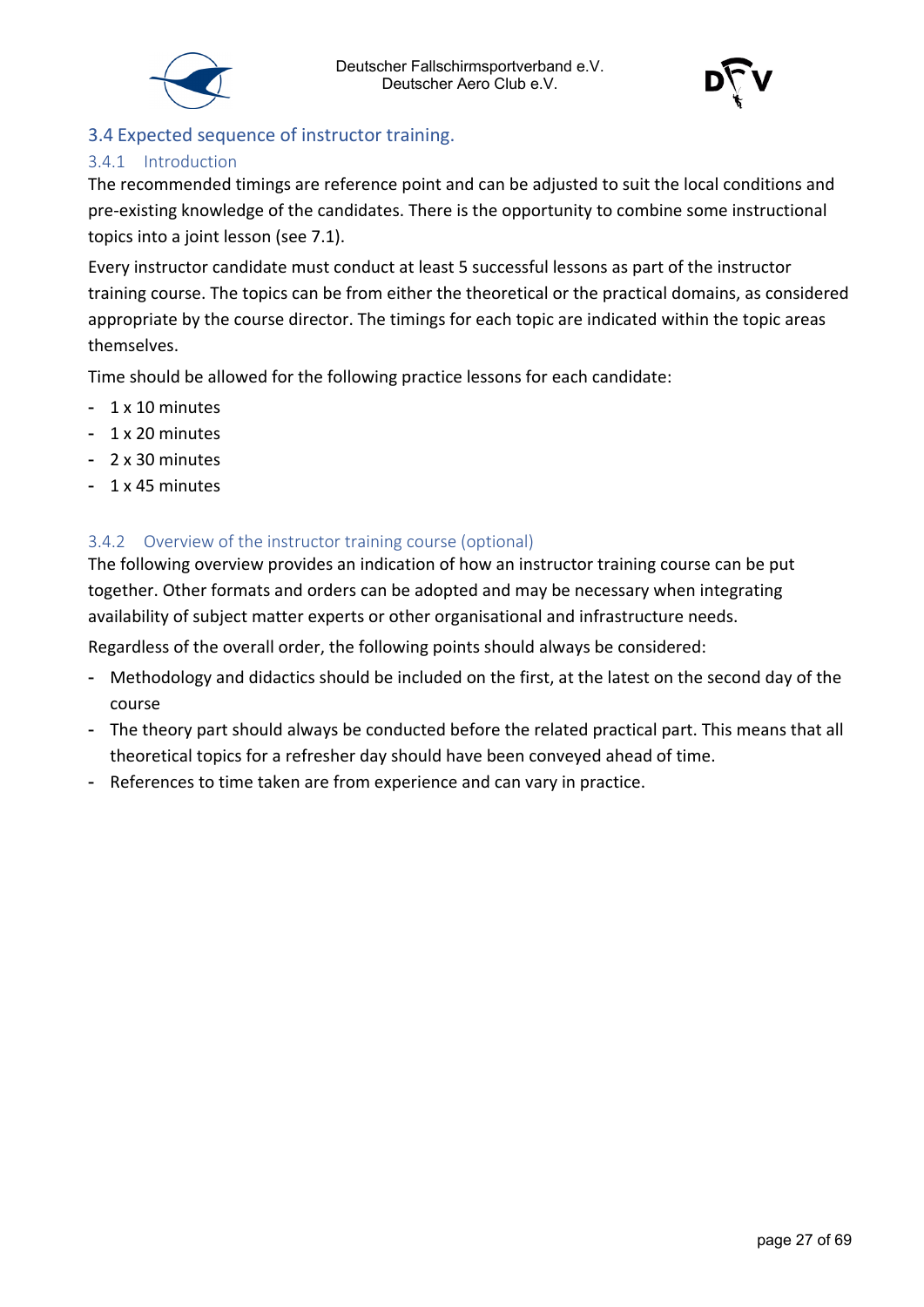



#### <span id="page-26-0"></span>3.4 Expected sequence of instructor training.

#### <span id="page-26-1"></span>3.4.1 Introduction

The recommended timings are reference point and can be adjusted to suit the local conditions and pre-existing knowledge of the candidates. There is the opportunity to combine some instructional topics into a joint lesson (see 7.1).

Every instructor candidate must conduct at least 5 successful lessons as part of the instructor training course. The topics can be from either the theoretical or the practical domains, as considered appropriate by the course director. The timings for each topic are indicated within the topic areas themselves.

Time should be allowed for the following practice lessons for each candidate:

- 1 x 10 minutes
- 1 x 20 minutes
- 2 x 30 minutes
- 1 x 45 minutes

#### <span id="page-26-2"></span>3.4.2 Overview of the instructor training course (optional)

The following overview provides an indication of how an instructor training course can be put together. Other formats and orders can be adopted and may be necessary when integrating availability of subject matter experts or other organisational and infrastructure needs.

Regardless of the overall order, the following points should always be considered:

- Methodology and didactics should be included on the first, at the latest on the second day of the course
- The theory part should always be conducted before the related practical part. This means that all theoretical topics for a refresher day should have been conveyed ahead of time.
- References to time taken are from experience and can vary in practice.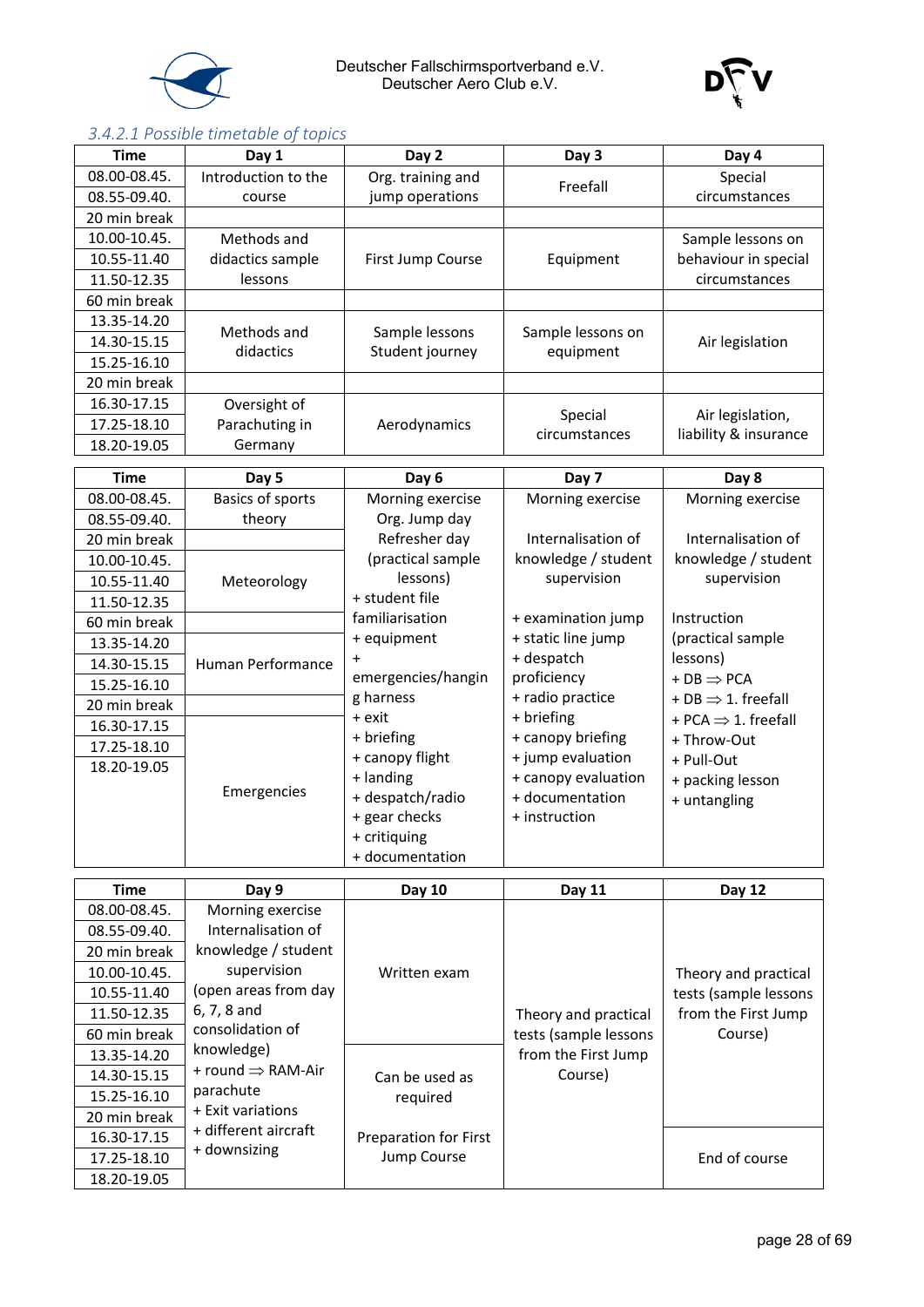

Deutscher Fallschirmsportverband e.V. Deutscher Aero Club e.V.



#### <span id="page-27-0"></span>*3.4.2.1 Possible timetable of topics*

| <b>Time</b>                  | Day 1                                  | Day 2                             | Day 3                                        | Day 4                                     |
|------------------------------|----------------------------------------|-----------------------------------|----------------------------------------------|-------------------------------------------|
| 08.00-08.45.                 | Introduction to the                    | Org. training and                 | Freefall                                     | Special                                   |
| 08.55-09.40.                 | course                                 | jump operations                   |                                              | circumstances                             |
| 20 min break                 |                                        |                                   |                                              |                                           |
| 10.00-10.45.                 | Methods and                            |                                   |                                              | Sample lessons on                         |
| 10.55-11.40                  | didactics sample                       | First Jump Course                 | Equipment                                    | behaviour in special                      |
| 11.50-12.35                  | lessons                                |                                   |                                              | circumstances                             |
| 60 min break                 |                                        |                                   |                                              |                                           |
| 13.35-14.20                  |                                        |                                   |                                              |                                           |
| 14.30-15.15                  | Methods and<br>didactics               | Sample lessons                    | Sample lessons on                            | Air legislation                           |
| 15.25-16.10                  |                                        | Student journey                   | equipment                                    |                                           |
| 20 min break                 |                                        |                                   |                                              |                                           |
| 16.30-17.15                  | Oversight of                           |                                   |                                              |                                           |
| 17.25-18.10                  | Parachuting in                         | Aerodynamics                      | Special<br>circumstances                     | Air legislation,<br>liability & insurance |
| 18.20-19.05                  | Germany                                |                                   |                                              |                                           |
| <b>Time</b>                  | Day 5                                  | Day 6                             | Day 7                                        | Day 8                                     |
| 08.00-08.45.                 | <b>Basics of sports</b>                | Morning exercise                  | Morning exercise                             | Morning exercise                          |
| 08.55-09.40.                 | theory                                 | Org. Jump day                     |                                              |                                           |
| 20 min break                 |                                        | Refresher day                     | Internalisation of                           | Internalisation of                        |
| 10.00-10.45.                 |                                        | (practical sample                 | knowledge / student                          | knowledge / student                       |
| 10.55-11.40                  | Meteorology                            | lessons)                          | supervision                                  | supervision                               |
| 11.50-12.35                  |                                        | + student file                    |                                              |                                           |
| 60 min break                 |                                        | familiarisation                   | + examination jump                           | Instruction                               |
| 13.35-14.20                  |                                        | + equipment                       | + static line jump                           | (practical sample                         |
| 14.30-15.15                  | Human Performance                      | $\ddot{}$                         | + despatch                                   | lessons)                                  |
| 15.25-16.10                  |                                        | emergencies/hangin                | proficiency                                  | $+DB \Rightarrow PCA$                     |
| 20 min break                 |                                        | g harness                         | + radio practice                             | + DB $\Rightarrow$ 1. freefall            |
| 16.30-17.15                  |                                        | + exit                            | + briefing                                   | + PCA $\Rightarrow$ 1. freefall           |
| 17.25-18.10                  |                                        | + briefing                        | + canopy briefing                            | + Throw-Out                               |
| 18.20-19.05                  |                                        | + canopy flight                   | + jump evaluation<br>+ canopy evaluation     | + Pull-Out                                |
|                              | Emergencies                            | + landing                         | + documentation                              | + packing lesson                          |
|                              |                                        | + despatch/radio<br>+ gear checks | + instruction                                | + untangling                              |
|                              |                                        | + critiquing                      |                                              |                                           |
|                              |                                        | + documentation                   |                                              |                                           |
|                              |                                        |                                   |                                              |                                           |
| <b>Time</b>                  | Day 9                                  | Day 10                            | Day 11                                       | Day 12                                    |
| 08.00-08.45.<br>08.55-09.40. | Morning exercise<br>Internalisation of |                                   |                                              |                                           |
| 20 min break                 | knowledge / student                    |                                   |                                              |                                           |
| 10.00-10.45.                 | supervision                            | Written exam                      |                                              |                                           |
|                              | (open areas from day                   |                                   |                                              | Theory and practical                      |
| 10.55-11.40                  | 6, 7, 8 and                            |                                   |                                              | tests (sample lessons                     |
| 11.50-12.35                  | consolidation of                       |                                   | Theory and practical                         | from the First Jump                       |
| 60 min break<br>13.35-14.20  | knowledge)                             |                                   | tests (sample lessons<br>from the First Jump | Course)                                   |
| 14.30-15.15                  | + round $\Rightarrow$ RAM-Air          |                                   | Course)                                      |                                           |
| 15.25-16.10                  | parachute                              | Can be used as                    |                                              |                                           |
| 20 min break                 | + Exit variations                      | required                          |                                              |                                           |
| 16.30-17.15                  | + different aircraft                   | Preparation for First             |                                              |                                           |
| 17.25-18.10                  | + downsizing                           | Jump Course                       |                                              | End of course                             |
|                              |                                        |                                   |                                              |                                           |
| 18.20-19.05                  |                                        |                                   |                                              |                                           |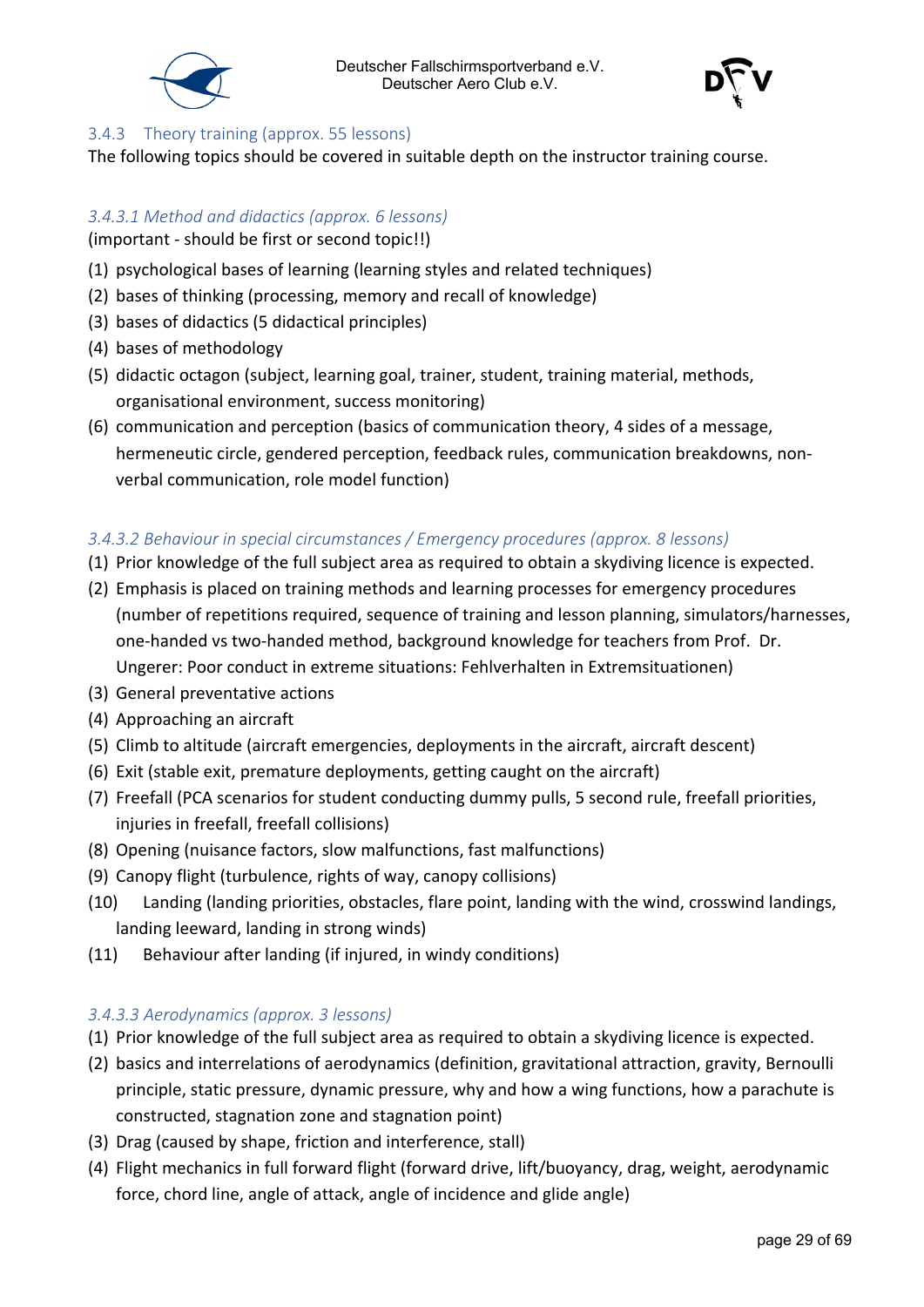



#### <span id="page-28-0"></span>3.4.3 Theory training (approx. 55 lessons)

The following topics should be covered in suitable depth on the instructor training course.

#### <span id="page-28-1"></span>*3.4.3.1 Method and didactics (approx. 6 lessons)*

(important - should be first or second topic!!)

- (1) psychological bases of learning (learning styles and related techniques)
- (2) bases of thinking (processing, memory and recall of knowledge)
- (3) bases of didactics (5 didactical principles)
- (4) bases of methodology
- (5) didactic octagon (subject, learning goal, trainer, student, training material, methods, organisational environment, success monitoring)
- (6) communication and perception (basics of communication theory, 4 sides of a message, hermeneutic circle, gendered perception, feedback rules, communication breakdowns, nonverbal communication, role model function)

#### <span id="page-28-2"></span>*3.4.3.2 Behaviour in special circumstances / Emergency procedures (approx. 8 lessons)*

- (1) Prior knowledge of the full subject area as required to obtain a skydiving licence is expected.
- (2) Emphasis is placed on training methods and learning processes for emergency procedures (number of repetitions required, sequence of training and lesson planning, simulators/harnesses, one-handed vs two-handed method, background knowledge for teachers from Prof. Dr. Ungerer: Poor conduct in extreme situations: Fehlverhalten in Extremsituationen)
- (3) General preventative actions
- (4) Approaching an aircraft
- (5) Climb to altitude (aircraft emergencies, deployments in the aircraft, aircraft descent)
- (6) Exit (stable exit, premature deployments, getting caught on the aircraft)
- (7) Freefall (PCA scenarios for student conducting dummy pulls, 5 second rule, freefall priorities, injuries in freefall, freefall collisions)
- (8) Opening (nuisance factors, slow malfunctions, fast malfunctions)
- (9) Canopy flight (turbulence, rights of way, canopy collisions)
- (10) Landing (landing priorities, obstacles, flare point, landing with the wind, crosswind landings, landing leeward, landing in strong winds)
- (11) Behaviour after landing (if injured, in windy conditions)

#### <span id="page-28-3"></span>*3.4.3.3 Aerodynamics (approx. 3 lessons)*

- (1) Prior knowledge of the full subject area as required to obtain a skydiving licence is expected.
- (2) basics and interrelations of aerodynamics (definition, gravitational attraction, gravity, Bernoulli principle, static pressure, dynamic pressure, why and how a wing functions, how a parachute is constructed, stagnation zone and stagnation point)
- (3) Drag (caused by shape, friction and interference, stall)
- (4) Flight mechanics in full forward flight (forward drive, lift/buoyancy, drag, weight, aerodynamic force, chord line, angle of attack, angle of incidence and glide angle)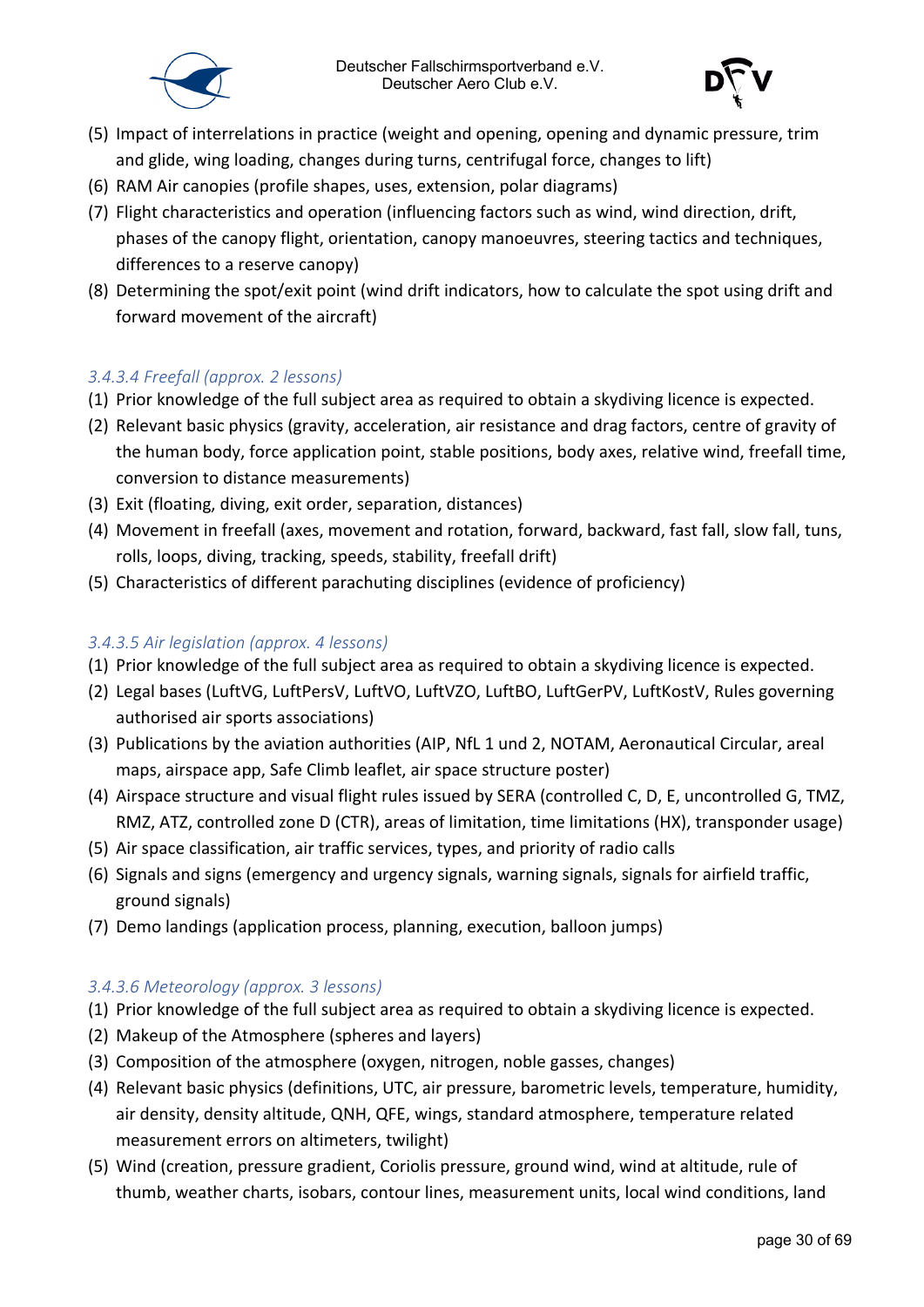



- (5) Impact of interrelations in practice (weight and opening, opening and dynamic pressure, trim and glide, wing loading, changes during turns, centrifugal force, changes to lift)
- (6) RAM Air canopies (profile shapes, uses, extension, polar diagrams)
- (7) Flight characteristics and operation (influencing factors such as wind, wind direction, drift, phases of the canopy flight, orientation, canopy manoeuvres, steering tactics and techniques, differences to a reserve canopy)
- (8) Determining the spot/exit point (wind drift indicators, how to calculate the spot using drift and forward movement of the aircraft)

#### <span id="page-29-0"></span>*3.4.3.4 Freefall (approx. 2 lessons)*

- (1) Prior knowledge of the full subject area as required to obtain a skydiving licence is expected.
- (2) Relevant basic physics (gravity, acceleration, air resistance and drag factors, centre of gravity of the human body, force application point, stable positions, body axes, relative wind, freefall time, conversion to distance measurements)
- (3) Exit (floating, diving, exit order, separation, distances)
- (4) Movement in freefall (axes, movement and rotation, forward, backward, fast fall, slow fall, tuns, rolls, loops, diving, tracking, speeds, stability, freefall drift)
- (5) Characteristics of different parachuting disciplines (evidence of proficiency)

#### <span id="page-29-1"></span>*3.4.3.5 Air legislation (approx. 4 lessons)*

- (1) Prior knowledge of the full subject area as required to obtain a skydiving licence is expected.
- (2) Legal bases (LuftVG, LuftPersV, LuftVO, LuftVZO, LuftBO, LuftGerPV, LuftKostV, Rules governing authorised air sports associations)
- (3) Publications by the aviation authorities (AIP, NfL 1 und 2, NOTAM, Aeronautical Circular, areal maps, airspace app, Safe Climb leaflet, air space structure poster)
- (4) Airspace structure and visual flight rules issued by SERA (controlled C, D, E, uncontrolled G, TMZ, RMZ, ATZ, controlled zone D (CTR), areas of limitation, time limitations (HX), transponder usage)
- (5) Air space classification, air traffic services, types, and priority of radio calls
- (6) Signals and signs (emergency and urgency signals, warning signals, signals for airfield traffic, ground signals)
- (7) Demo landings (application process, planning, execution, balloon jumps)

#### <span id="page-29-2"></span>*3.4.3.6 Meteorology (approx. 3 lessons)*

- (1) Prior knowledge of the full subject area as required to obtain a skydiving licence is expected.
- (2) Makeup of the Atmosphere (spheres and layers)
- (3) Composition of the atmosphere (oxygen, nitrogen, noble gasses, changes)
- (4) Relevant basic physics (definitions, UTC, air pressure, barometric levels, temperature, humidity, air density, density altitude, QNH, QFE, wings, standard atmosphere, temperature related measurement errors on altimeters, twilight)
- (5) Wind (creation, pressure gradient, Coriolis pressure, ground wind, wind at altitude, rule of thumb, weather charts, isobars, contour lines, measurement units, local wind conditions, land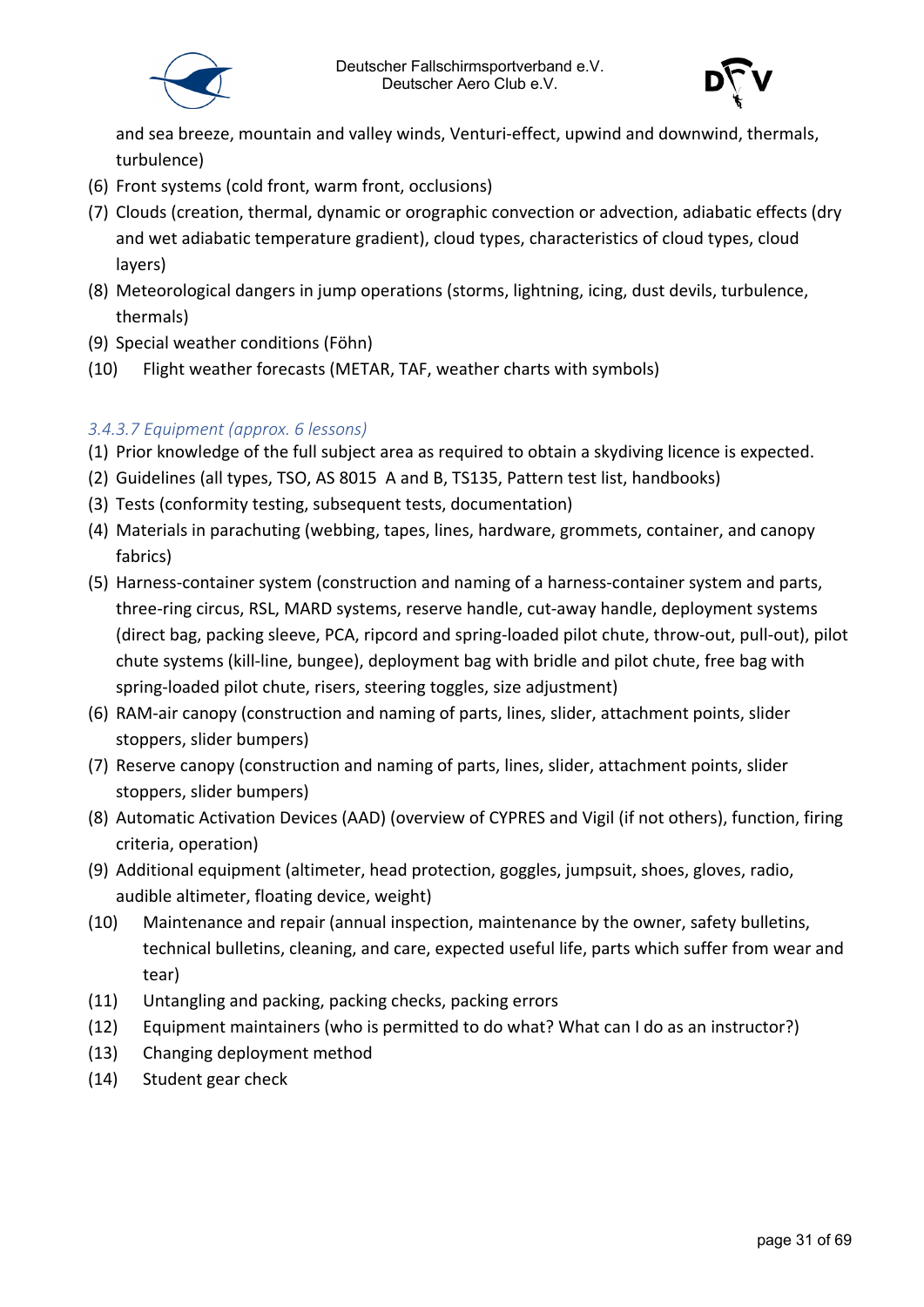

and sea breeze, mountain and valley winds, Venturi-effect, upwind and downwind, thermals, turbulence)

- (6) Front systems (cold front, warm front, occlusions)
- (7) Clouds (creation, thermal, dynamic or orographic convection or advection, adiabatic effects (dry and wet adiabatic temperature gradient), cloud types, characteristics of cloud types, cloud layers)
- (8) Meteorological dangers in jump operations (storms, lightning, icing, dust devils, turbulence, thermals)
- (9) Special weather conditions (Föhn)
- (10) Flight weather forecasts (METAR, TAF, weather charts with symbols)

#### <span id="page-30-0"></span>*3.4.3.7 Equipment (approx. 6 lessons)*

- (1) Prior knowledge of the full subject area as required to obtain a skydiving licence is expected.
- (2) Guidelines (all types, TSO, AS 8015 A and B, TS135, Pattern test list, handbooks)
- (3) Tests (conformity testing, subsequent tests, documentation)
- (4) Materials in parachuting (webbing, tapes, lines, hardware, grommets, container, and canopy fabrics)
- (5) Harness-container system (construction and naming of a harness-container system and parts, three-ring circus, RSL, MARD systems, reserve handle, cut-away handle, deployment systems (direct bag, packing sleeve, PCA, ripcord and spring-loaded pilot chute, throw-out, pull-out), pilot chute systems (kill-line, bungee), deployment bag with bridle and pilot chute, free bag with spring-loaded pilot chute, risers, steering toggles, size adjustment)
- (6) RAM-air canopy (construction and naming of parts, lines, slider, attachment points, slider stoppers, slider bumpers)
- (7) Reserve canopy (construction and naming of parts, lines, slider, attachment points, slider stoppers, slider bumpers)
- (8) Automatic Activation Devices (AAD) (overview of CYPRES and Vigil (if not others), function, firing criteria, operation)
- (9) Additional equipment (altimeter, head protection, goggles, jumpsuit, shoes, gloves, radio, audible altimeter, floating device, weight)
- (10) Maintenance and repair (annual inspection, maintenance by the owner, safety bulletins, technical bulletins, cleaning, and care, expected useful life, parts which suffer from wear and tear)
- (11) Untangling and packing, packing checks, packing errors
- (12) Equipment maintainers (who is permitted to do what? What can I do as an instructor?)
- (13) Changing deployment method
- (14) Student gear check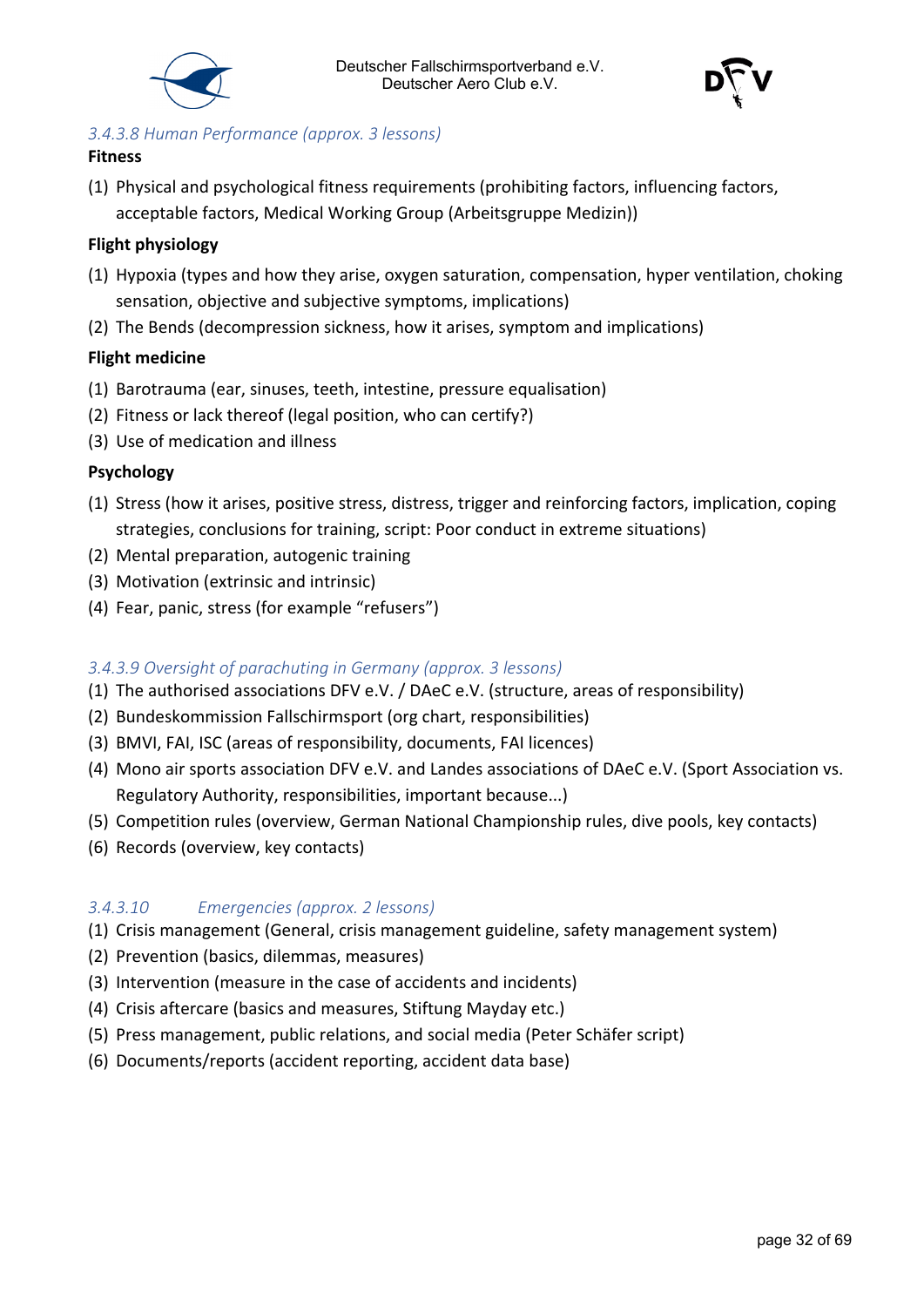



#### <span id="page-31-0"></span>*3.4.3.8 Human Performance (approx. 3 lessons)*

#### **Fitness**

(1) Physical and psychological fitness requirements (prohibiting factors, influencing factors, acceptable factors, Medical Working Group (Arbeitsgruppe Medizin))

#### **Flight physiology**

- (1) Hypoxia (types and how they arise, oxygen saturation, compensation, hyper ventilation, choking sensation, objective and subjective symptoms, implications)
- (2) The Bends (decompression sickness, how it arises, symptom and implications)

#### **Flight medicine**

- (1) Barotrauma (ear, sinuses, teeth, intestine, pressure equalisation)
- (2) Fitness or lack thereof (legal position, who can certify?)
- (3) Use of medication and illness

#### **Psychology**

- (1) Stress (how it arises, positive stress, distress, trigger and reinforcing factors, implication, coping strategies, conclusions for training, script: Poor conduct in extreme situations)
- (2) Mental preparation, autogenic training
- (3) Motivation (extrinsic and intrinsic)
- (4) Fear, panic, stress (for example "refusers")

#### <span id="page-31-1"></span>*3.4.3.9 Oversight of parachuting in Germany (approx. 3 lessons)*

- (1) The authorised associations DFV e.V. / DAeC e.V. (structure, areas of responsibility)
- (2) Bundeskommission Fallschirmsport (org chart, responsibilities)
- (3) BMVI, FAI, ISC (areas of responsibility, documents, FAI licences)
- (4) Mono air sports association DFV e.V. and Landes associations of DAeC e.V. (Sport Association vs. Regulatory Authority, responsibilities, important because...)
- (5) Competition rules (overview, German National Championship rules, dive pools, key contacts)
- (6) Records (overview, key contacts)

#### <span id="page-31-2"></span>*3.4.3.10 Emergencies (approx. 2 lessons)*

- (1) Crisis management (General, crisis management guideline, safety management system)
- (2) Prevention (basics, dilemmas, measures)
- (3) Intervention (measure in the case of accidents and incidents)
- (4) Crisis aftercare (basics and measures, Stiftung Mayday etc.)
- (5) Press management, public relations, and social media (Peter Schäfer script)
- (6) Documents/reports (accident reporting, accident data base)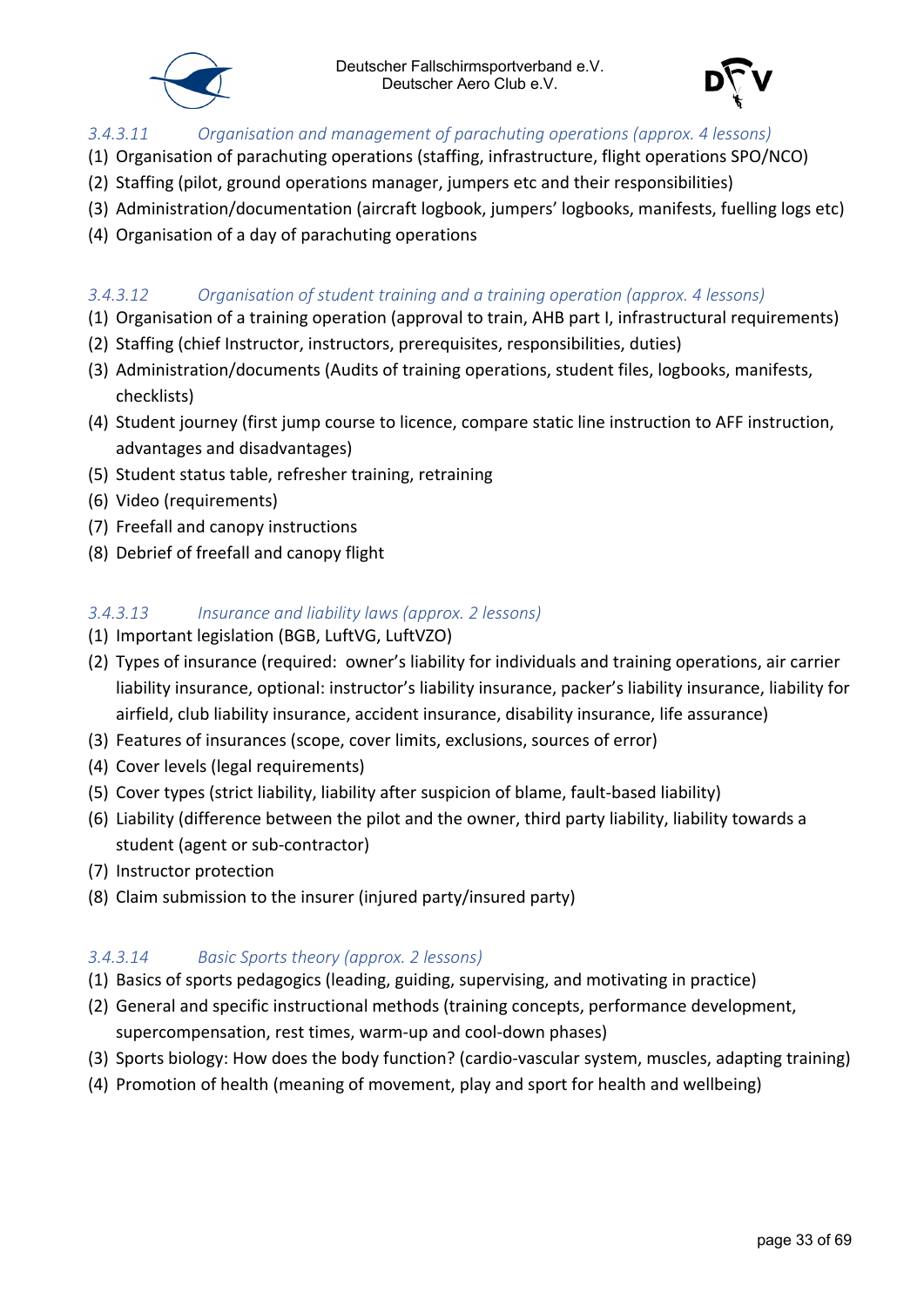



#### <span id="page-32-0"></span>*3.4.3.11 Organisation and management of parachuting operations (approx. 4 lessons)*

- (1) Organisation of parachuting operations (staffing, infrastructure, flight operations SPO/NCO)
- (2) Staffing (pilot, ground operations manager, jumpers etc and their responsibilities)
- (3) Administration/documentation (aircraft logbook, jumpers' logbooks, manifests, fuelling logs etc)
- (4) Organisation of a day of parachuting operations

#### <span id="page-32-1"></span>*3.4.3.12 Organisation of student training and a training operation (approx. 4 lessons)*

- (1) Organisation of a training operation (approval to train, AHB part I, infrastructural requirements)
- (2) Staffing (chief Instructor, instructors, prerequisites, responsibilities, duties)
- (3) Administration/documents (Audits of training operations, student files, logbooks, manifests, checklists)
- (4) Student journey (first jump course to licence, compare static line instruction to AFF instruction, advantages and disadvantages)
- (5) Student status table, refresher training, retraining
- (6) Video (requirements)
- (7) Freefall and canopy instructions
- (8) Debrief of freefall and canopy flight

#### <span id="page-32-2"></span>*3.4.3.13 Insurance and liability laws (approx. 2 lessons)*

- (1) Important legislation (BGB, LuftVG, LuftVZO)
- (2) Types of insurance (required: owner's liability for individuals and training operations, air carrier liability insurance, optional: instructor's liability insurance, packer's liability insurance, liability for airfield, club liability insurance, accident insurance, disability insurance, life assurance)
- (3) Features of insurances (scope, cover limits, exclusions, sources of error)
- (4) Cover levels (legal requirements)
- (5) Cover types (strict liability, liability after suspicion of blame, fault-based liability)
- (6) Liability (difference between the pilot and the owner, third party liability, liability towards a student (agent or sub-contractor)
- (7) Instructor protection
- (8) Claim submission to the insurer (injured party/insured party)

#### <span id="page-32-3"></span>*3.4.3.14 Basic Sports theory (approx. 2 lessons)*

- (1) Basics of sports pedagogics (leading, guiding, supervising, and motivating in practice)
- (2) General and specific instructional methods (training concepts, performance development, supercompensation, rest times, warm-up and cool-down phases)
- (3) Sports biology: How does the body function? (cardio-vascular system, muscles, adapting training)
- (4) Promotion of health (meaning of movement, play and sport for health and wellbeing)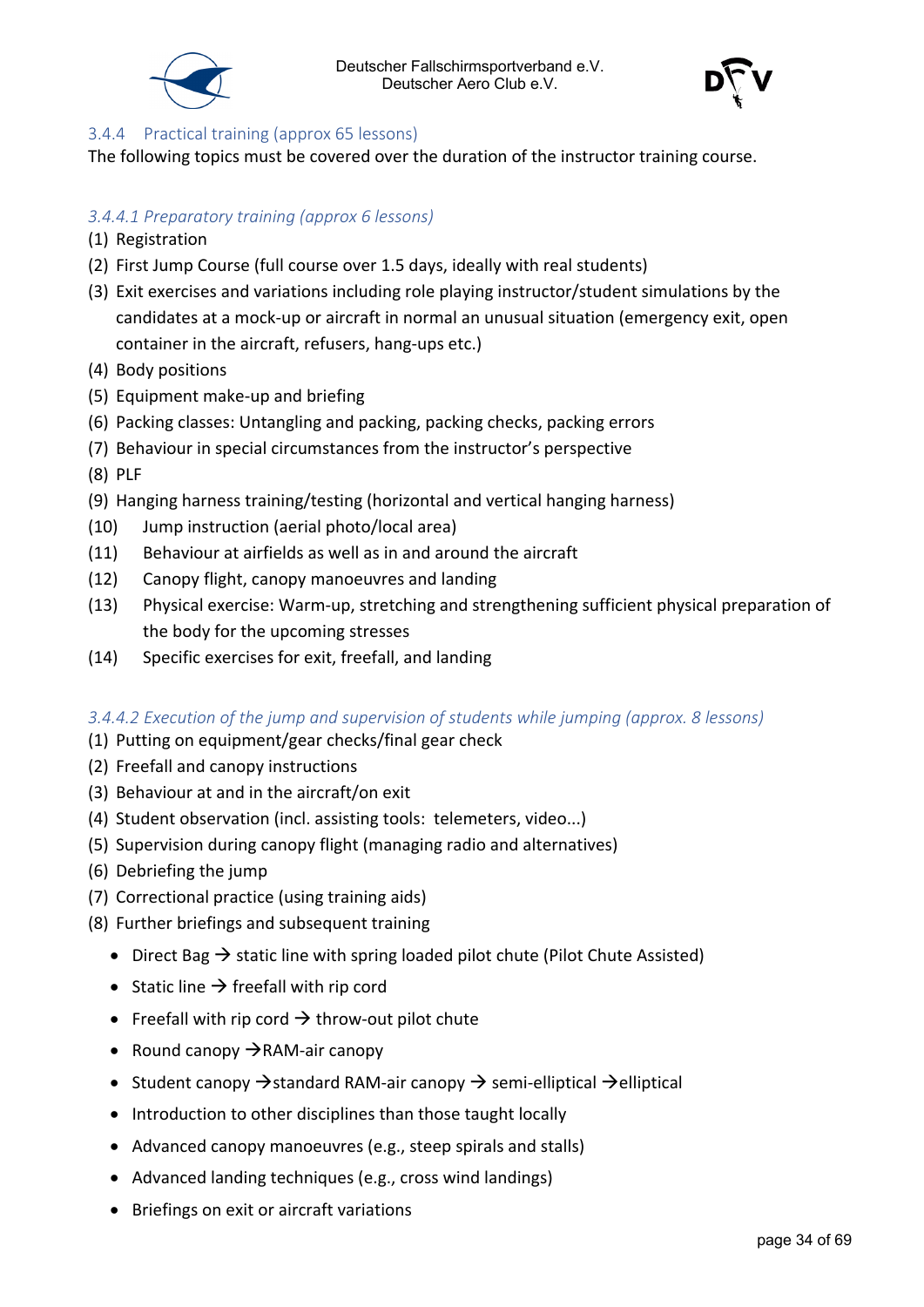



#### <span id="page-33-0"></span>3.4.4 Practical training (approx 65 lessons)

The following topics must be covered over the duration of the instructor training course.

#### <span id="page-33-1"></span>*3.4.4.1 Preparatory training (approx 6 lessons)*

- (1) Registration
- (2) First Jump Course (full course over 1.5 days, ideally with real students)
- (3) Exit exercises and variations including role playing instructor/student simulations by the candidates at a mock-up or aircraft in normal an unusual situation (emergency exit, open container in the aircraft, refusers, hang-ups etc.)
- (4) Body positions
- (5) Equipment make-up and briefing
- (6) Packing classes: Untangling and packing, packing checks, packing errors
- (7) Behaviour in special circumstances from the instructor's perspective
- (8) PLF
- (9) Hanging harness training/testing (horizontal and vertical hanging harness)
- (10) Jump instruction (aerial photo/local area)
- (11) Behaviour at airfields as well as in and around the aircraft
- (12) Canopy flight, canopy manoeuvres and landing
- (13) Physical exercise: Warm-up, stretching and strengthening sufficient physical preparation of the body for the upcoming stresses
- (14) Specific exercises for exit, freefall, and landing

#### <span id="page-33-2"></span>*3.4.4.2 Execution of the jump and supervision of students while jumping (approx. 8 lessons)*

- (1) Putting on equipment/gear checks/final gear check
- (2) Freefall and canopy instructions
- (3) Behaviour at and in the aircraft/on exit
- (4) Student observation (incl. assisting tools: telemeters, video...)
- (5) Supervision during canopy flight (managing radio and alternatives)
- (6) Debriefing the jump
- (7) Correctional practice (using training aids)
- (8) Further briefings and subsequent training
	- Direct Bag  $\rightarrow$  static line with spring loaded pilot chute (Pilot Chute Assisted)
	- Static line  $\rightarrow$  freefall with rip cord
	- Freefall with rip cord  $\rightarrow$  throw-out pilot chute
	- Round canopy  $\rightarrow$  RAM-air canopy
	- Student canopy  $\rightarrow$  standard RAM-air canopy  $\rightarrow$  semi-elliptical  $\rightarrow$ elliptical
	- Introduction to other disciplines than those taught locally
	- Advanced canopy manoeuvres (e.g., steep spirals and stalls)
	- Advanced landing techniques (e.g., cross wind landings)
	- Briefings on exit or aircraft variations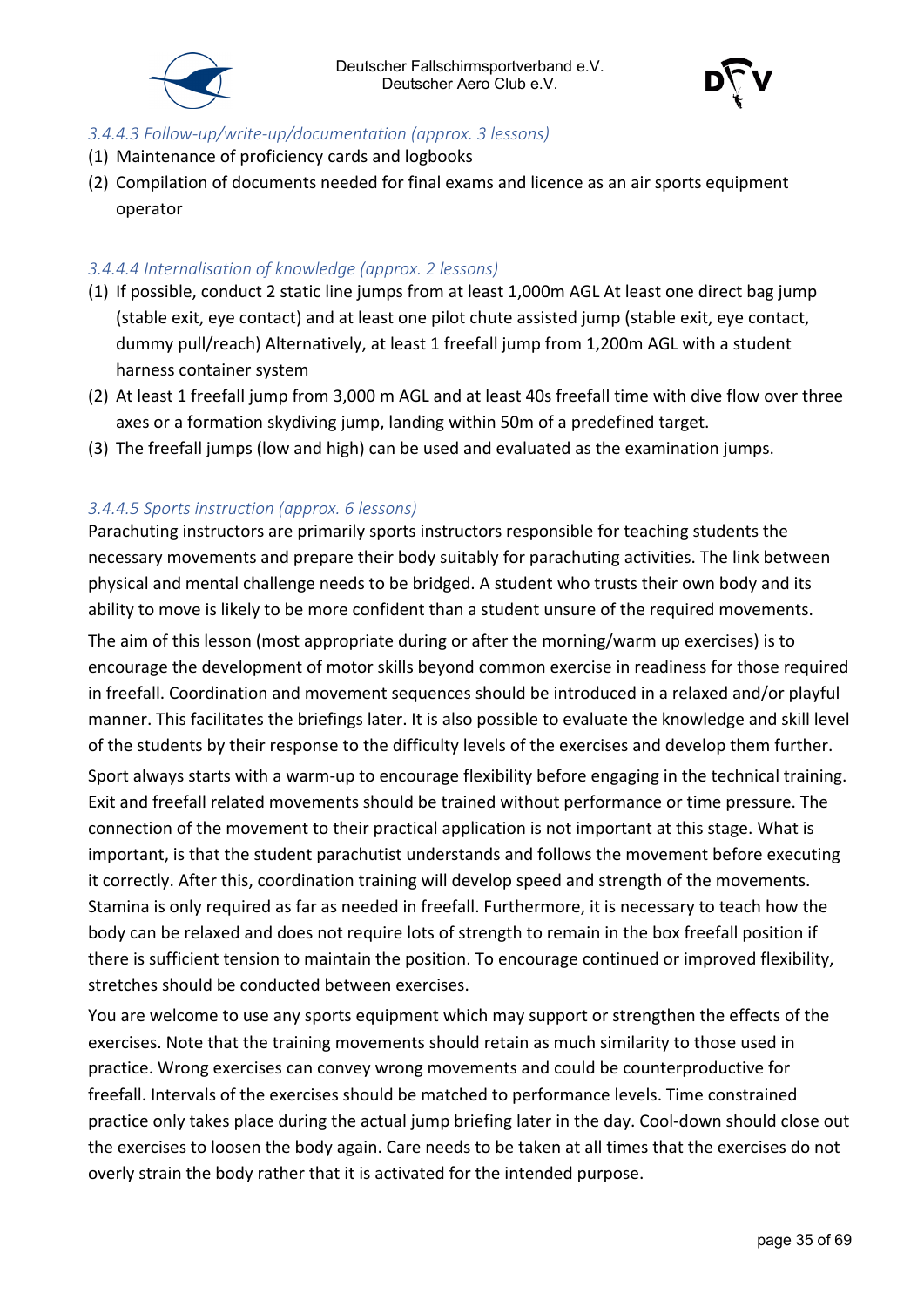

#### <span id="page-34-0"></span>*3.4.4.3 Follow-up/write-up/documentation (approx. 3 lessons)*

- (1) Maintenance of proficiency cards and logbooks
- (2) Compilation of documents needed for final exams and licence as an air sports equipment operator

#### <span id="page-34-1"></span>*3.4.4.4 Internalisation of knowledge (approx. 2 lessons)*

- (1) If possible, conduct 2 static line jumps from at least 1,000m AGL At least one direct bag jump (stable exit, eye contact) and at least one pilot chute assisted jump (stable exit, eye contact, dummy pull/reach) Alternatively, at least 1 freefall jump from 1,200m AGL with a student harness container system
- (2) At least 1 freefall jump from 3,000 m AGL and at least 40s freefall time with dive flow over three axes or a formation skydiving jump, landing within 50m of a predefined target.
- (3) The freefall jumps (low and high) can be used and evaluated as the examination jumps.

#### <span id="page-34-2"></span>*3.4.4.5 Sports instruction (approx. 6 lessons)*

Parachuting instructors are primarily sports instructors responsible for teaching students the necessary movements and prepare their body suitably for parachuting activities. The link between physical and mental challenge needs to be bridged. A student who trusts their own body and its ability to move is likely to be more confident than a student unsure of the required movements.

The aim of this lesson (most appropriate during or after the morning/warm up exercises) is to encourage the development of motor skills beyond common exercise in readiness for those required in freefall. Coordination and movement sequences should be introduced in a relaxed and/or playful manner. This facilitates the briefings later. It is also possible to evaluate the knowledge and skill level of the students by their response to the difficulty levels of the exercises and develop them further.

Sport always starts with a warm-up to encourage flexibility before engaging in the technical training. Exit and freefall related movements should be trained without performance or time pressure. The connection of the movement to their practical application is not important at this stage. What is important, is that the student parachutist understands and follows the movement before executing it correctly. After this, coordination training will develop speed and strength of the movements. Stamina is only required as far as needed in freefall. Furthermore, it is necessary to teach how the body can be relaxed and does not require lots of strength to remain in the box freefall position if there is sufficient tension to maintain the position. To encourage continued or improved flexibility, stretches should be conducted between exercises.

You are welcome to use any sports equipment which may support or strengthen the effects of the exercises. Note that the training movements should retain as much similarity to those used in practice. Wrong exercises can convey wrong movements and could be counterproductive for freefall. Intervals of the exercises should be matched to performance levels. Time constrained practice only takes place during the actual jump briefing later in the day. Cool-down should close out the exercises to loosen the body again. Care needs to be taken at all times that the exercises do not overly strain the body rather that it is activated for the intended purpose.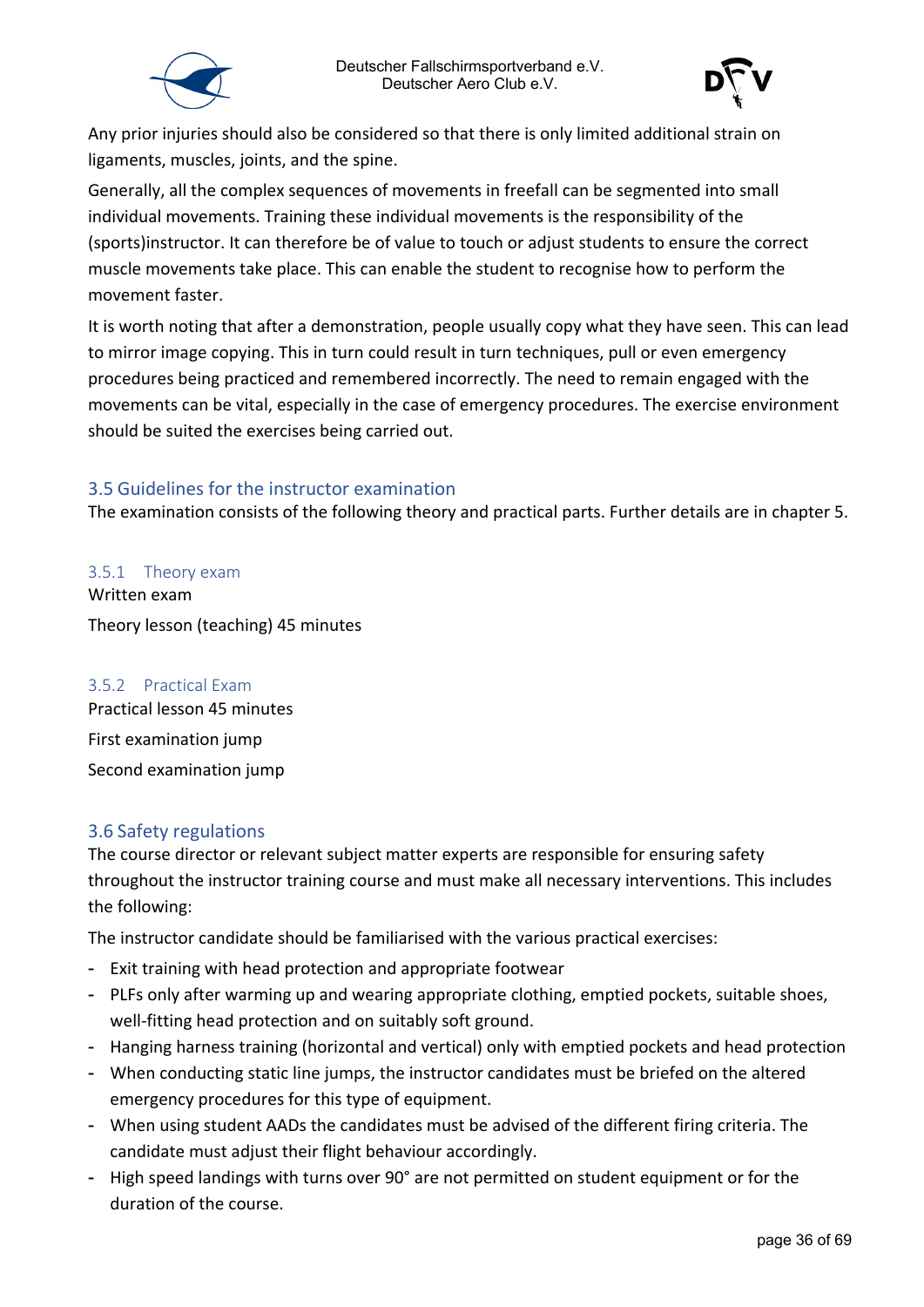



Any prior injuries should also be considered so that there is only limited additional strain on ligaments, muscles, joints, and the spine.

Generally, all the complex sequences of movements in freefall can be segmented into small individual movements. Training these individual movements is the responsibility of the (sports)instructor. It can therefore be of value to touch or adjust students to ensure the correct muscle movements take place. This can enable the student to recognise how to perform the movement faster.

It is worth noting that after a demonstration, people usually copy what they have seen. This can lead to mirror image copying. This in turn could result in turn techniques, pull or even emergency procedures being practiced and remembered incorrectly. The need to remain engaged with the movements can be vital, especially in the case of emergency procedures. The exercise environment should be suited the exercises being carried out.

#### <span id="page-35-0"></span>3.5 Guidelines for the instructor examination

The examination consists of the following theory and practical parts. Further details are in chapter 5.

<span id="page-35-1"></span>3.5.1 Theory exam Written exam Theory lesson (teaching) 45 minutes

#### <span id="page-35-2"></span>3.5.2 Practical Exam

Practical lesson 45 minutes First examination jump Second examination jump

#### <span id="page-35-3"></span>3.6 Safety regulations

The course director or relevant subject matter experts are responsible for ensuring safety throughout the instructor training course and must make all necessary interventions. This includes the following:

The instructor candidate should be familiarised with the various practical exercises:

- Exit training with head protection and appropriate footwear
- PLFs only after warming up and wearing appropriate clothing, emptied pockets, suitable shoes, well-fitting head protection and on suitably soft ground.
- Hanging harness training (horizontal and vertical) only with emptied pockets and head protection
- When conducting static line jumps, the instructor candidates must be briefed on the altered emergency procedures for this type of equipment.
- When using student AADs the candidates must be advised of the different firing criteria. The candidate must adjust their flight behaviour accordingly.
- High speed landings with turns over 90° are not permitted on student equipment or for the duration of the course.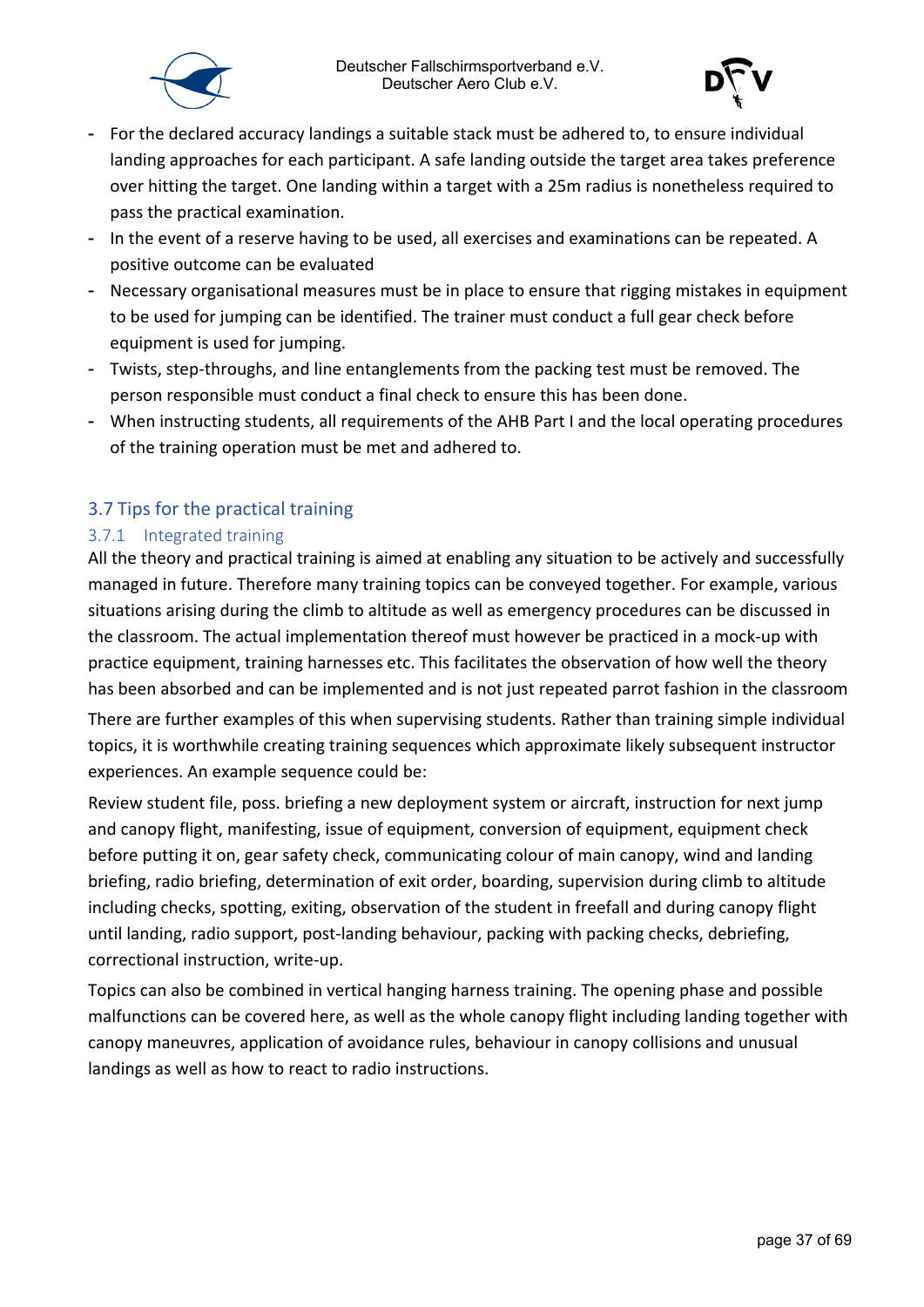



- For the declared accuracy landings a suitable stack must be adhered to, to ensure individual landing approaches for each participant. A safe landing outside the target area takes preference over hitting the target. One landing within a target with a 25m radius is nonetheless required to pass the practical examination.
- In the event of a reserve having to be used, all exercises and examinations can be repeated. A positive outcome can be evaluated
- Necessary organisational measures must be in place to ensure that rigging mistakes in equipment to be used for jumping can be identified. The trainer must conduct a full gear check before equipment is used for jumping.
- Twists, step-throughs, and line entanglements from the packing test must be removed. The person responsible must conduct a final check to ensure this has been done.
- When instructing students, all requirements of the AHB Part I and the local operating procedures of the training operation must be met and adhered to.

#### <span id="page-36-0"></span>3.7 Tips for the practical training

#### <span id="page-36-1"></span>3.7.1 Integrated training

All the theory and practical training is aimed at enabling any situation to be actively and successfully managed in future. Therefore many training topics can be conveyed together. For example, various situations arising during the climb to altitude as well as emergency procedures can be discussed in the classroom. The actual implementation thereof must however be practiced in a mock-up with practice equipment, training harnesses etc. This facilitates the observation of how well the theory has been absorbed and can be implemented and is not just repeated parrot fashion in the classroom

There are further examples of this when supervising students. Rather than training simple individual topics, it is worthwhile creating training sequences which approximate likely subsequent instructor experiences. An example sequence could be:

Review student file, poss. briefing a new deployment system or aircraft, instruction for next jump and canopy flight, manifesting, issue of equipment, conversion of equipment, equipment check before putting it on, gear safety check, communicating colour of main canopy, wind and landing briefing, radio briefing, determination of exit order, boarding, supervision during climb to altitude including checks, spotting, exiting, observation of the student in freefall and during canopy flight until landing, radio support, post-landing behaviour, packing with packing checks, debriefing, correctional instruction, write-up.

Topics can also be combined in vertical hanging harness training. The opening phase and possible malfunctions can be covered here, as well as the whole canopy flight including landing together with canopy maneuvres, application of avoidance rules, behaviour in canopy collisions and unusual landings as well as how to react to radio instructions.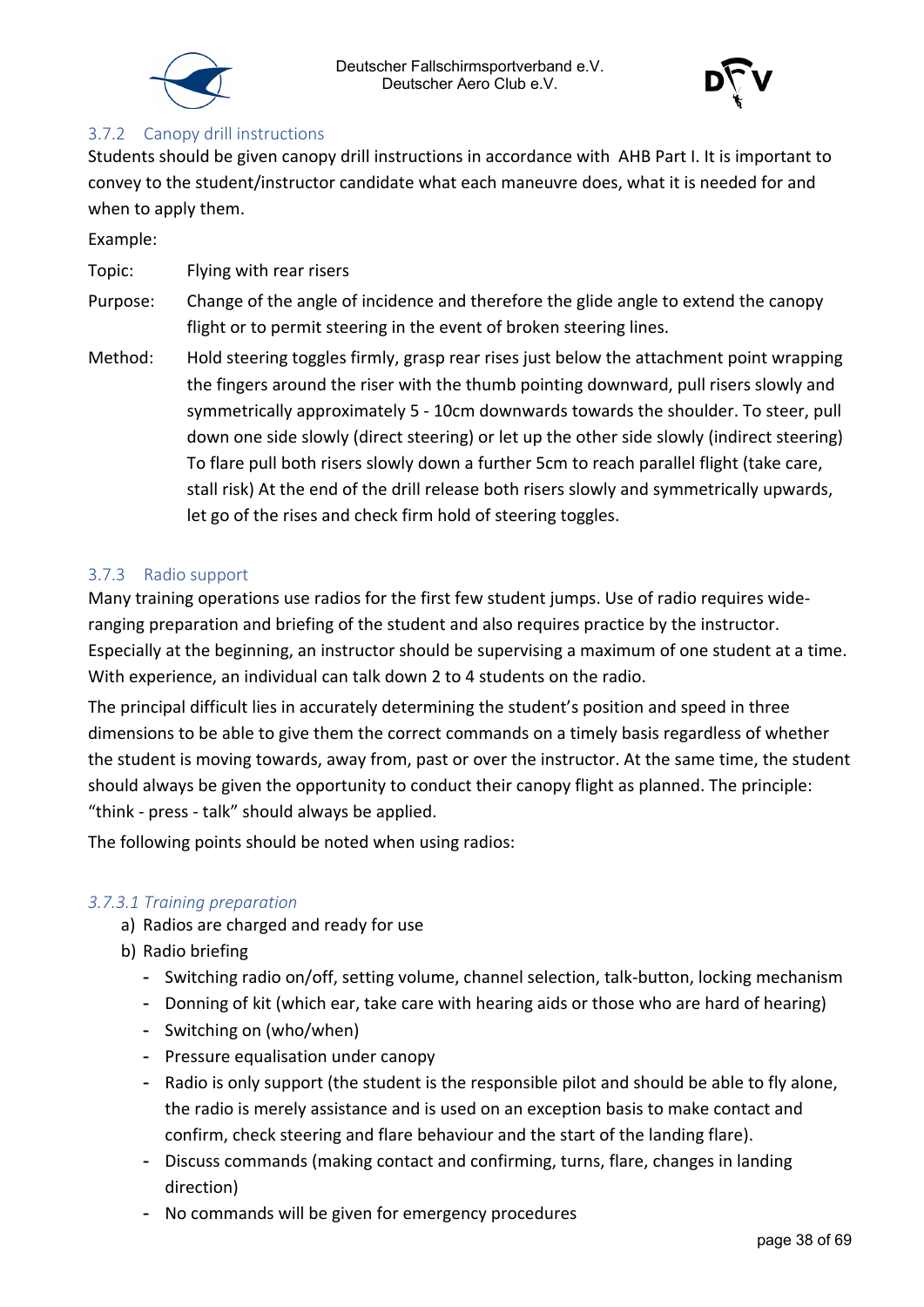



#### <span id="page-37-0"></span>3.7.2 Canopy drill instructions

Students should be given canopy drill instructions in accordance with AHB Part I. It is important to convey to the student/instructor candidate what each maneuvre does, what it is needed for and when to apply them.

Example:

Topic: Flying with rear risers

- Purpose: Change of the angle of incidence and therefore the glide angle to extend the canopy flight or to permit steering in the event of broken steering lines.
- Method: Hold steering toggles firmly, grasp rear rises just below the attachment point wrapping the fingers around the riser with the thumb pointing downward, pull risers slowly and symmetrically approximately 5 - 10cm downwards towards the shoulder. To steer, pull down one side slowly (direct steering) or let up the other side slowly (indirect steering) To flare pull both risers slowly down a further 5cm to reach parallel flight (take care, stall risk) At the end of the drill release both risers slowly and symmetrically upwards, let go of the rises and check firm hold of steering toggles.

#### <span id="page-37-1"></span>3.7.3 Radio support

Many training operations use radios for the first few student jumps. Use of radio requires wideranging preparation and briefing of the student and also requires practice by the instructor. Especially at the beginning, an instructor should be supervising a maximum of one student at a time. With experience, an individual can talk down 2 to 4 students on the radio.

The principal difficult lies in accurately determining the student's position and speed in three dimensions to be able to give them the correct commands on a timely basis regardless of whether the student is moving towards, away from, past or over the instructor. At the same time, the student should always be given the opportunity to conduct their canopy flight as planned. The principle: "think - press - talk" should always be applied.

The following points should be noted when using radios:

#### <span id="page-37-2"></span>*3.7.3.1 Training preparation*

- a) Radios are charged and ready for use
- b) Radio briefing
	- Switching radio on/off, setting volume, channel selection, talk-button, locking mechanism
	- Donning of kit (which ear, take care with hearing aids or those who are hard of hearing)
	- Switching on (who/when)
	- Pressure equalisation under canopy
	- Radio is only support (the student is the responsible pilot and should be able to fly alone, the radio is merely assistance and is used on an exception basis to make contact and confirm, check steering and flare behaviour and the start of the landing flare).
	- Discuss commands (making contact and confirming, turns, flare, changes in landing direction)
	- No commands will be given for emergency procedures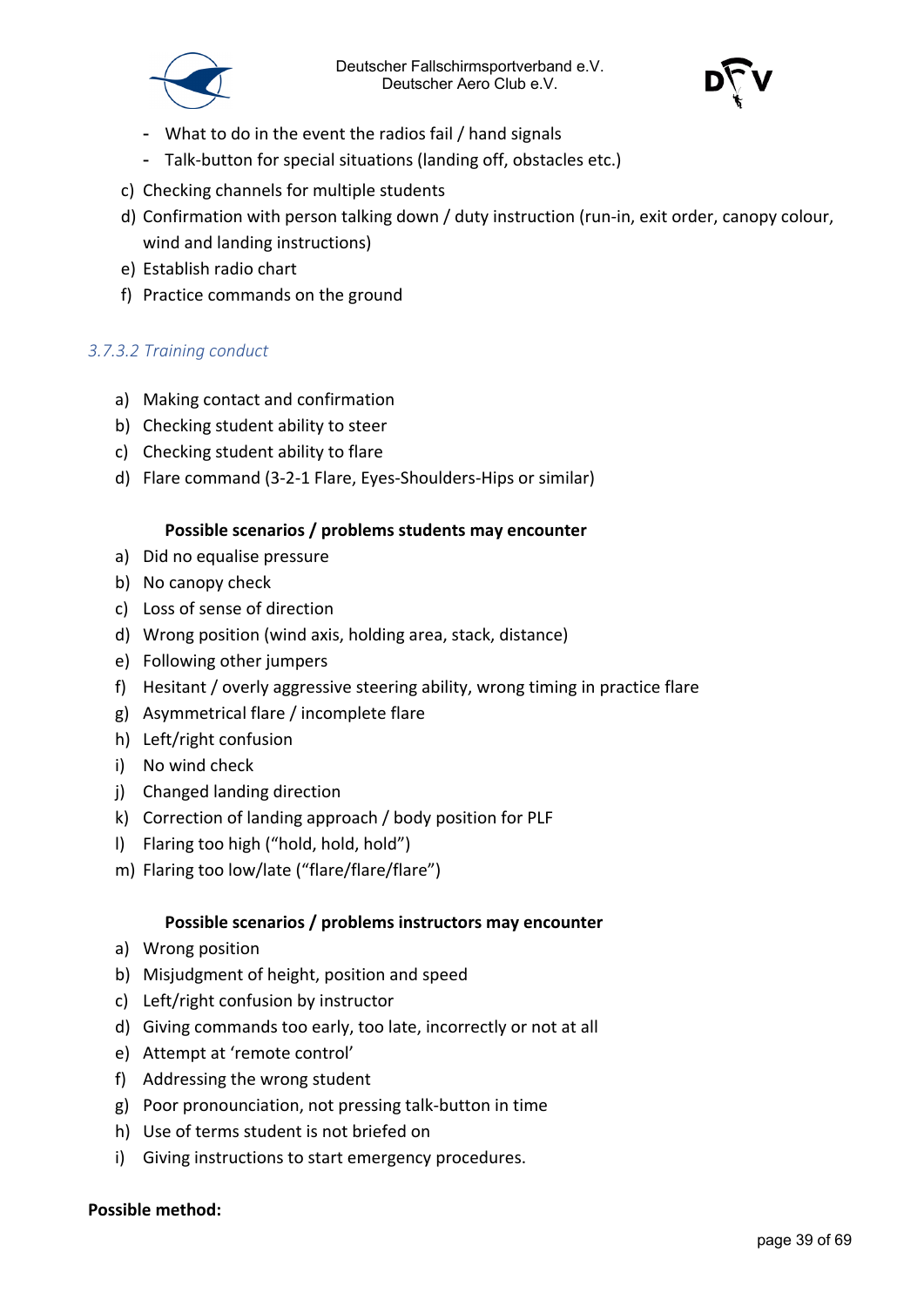

- What to do in the event the radios fail / hand signals
- Talk-button for special situations (landing off, obstacles etc.)
- c) Checking channels for multiple students
- d) Confirmation with person talking down / duty instruction (run-in, exit order, canopy colour, wind and landing instructions)
- e) Establish radio chart
- f) Practice commands on the ground

#### <span id="page-38-0"></span>*3.7.3.2 Training conduct*

- a) Making contact and confirmation
- b) Checking student ability to steer
- c) Checking student ability to flare
- d) Flare command (3-2-1 Flare, Eyes-Shoulders-Hips or similar)

#### **Possible scenarios / problems students may encounter**

- a) Did no equalise pressure
- b) No canopy check
- c) Loss of sense of direction
- d) Wrong position (wind axis, holding area, stack, distance)
- e) Following other jumpers
- f) Hesitant / overly aggressive steering ability, wrong timing in practice flare
- g) Asymmetrical flare / incomplete flare
- h) Left/right confusion
- i) No wind check
- j) Changed landing direction
- k) Correction of landing approach / body position for PLF
- l) Flaring too high ("hold, hold, hold")
- m) Flaring too low/late ("flare/flare/flare")

#### **Possible scenarios / problems instructors may encounter**

- a) Wrong position
- b) Misjudgment of height, position and speed
- c) Left/right confusion by instructor
- d) Giving commands too early, too late, incorrectly or not at all
- e) Attempt at 'remote control'
- f) Addressing the wrong student
- g) Poor pronounciation, not pressing talk-button in time
- h) Use of terms student is not briefed on
- i) Giving instructions to start emergency procedures.

#### **Possible method:**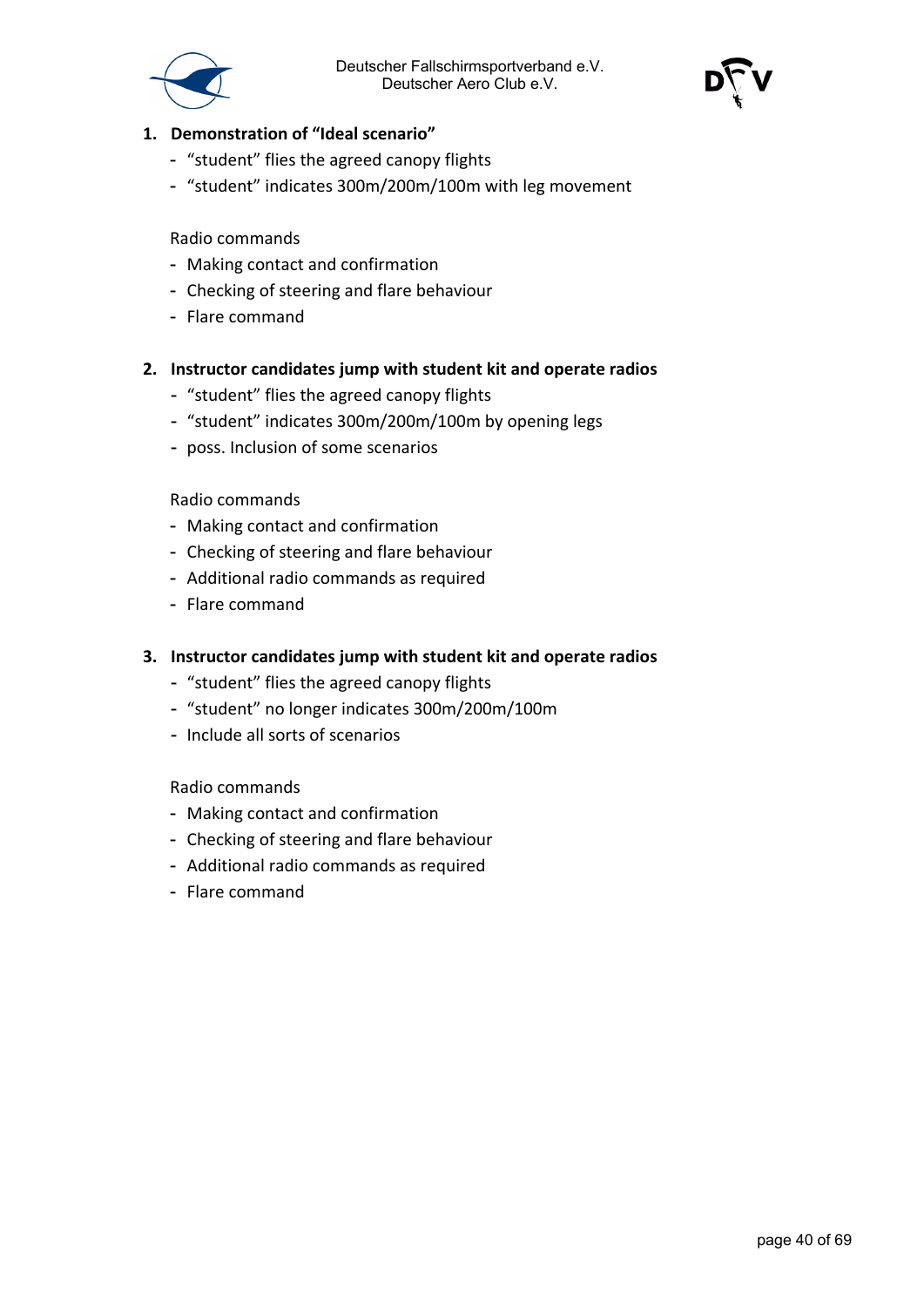

- **1. Demonstration of "Ideal scenario"**
	- "student" flies the agreed canopy flights
	- "student" indicates 300m/200m/100m with leg movement

#### Radio commands

- Making contact and confirmation
- Checking of steering and flare behaviour
- Flare command
- **2. Instructor candidates jump with student kit and operate radios**
	- "student" flies the agreed canopy flights
	- "student" indicates 300m/200m/100m by opening legs
	- poss. Inclusion of some scenarios

#### Radio commands

- Making contact and confirmation
- Checking of steering and flare behaviour
- Additional radio commands as required
- Flare command

#### **3. Instructor candidates jump with student kit and operate radios**

- "student" flies the agreed canopy flights
- "student" no longer indicates 300m/200m/100m
- Include all sorts of scenarios

#### Radio commands

- Making contact and confirmation
- Checking of steering and flare behaviour
- Additional radio commands as required
- Flare command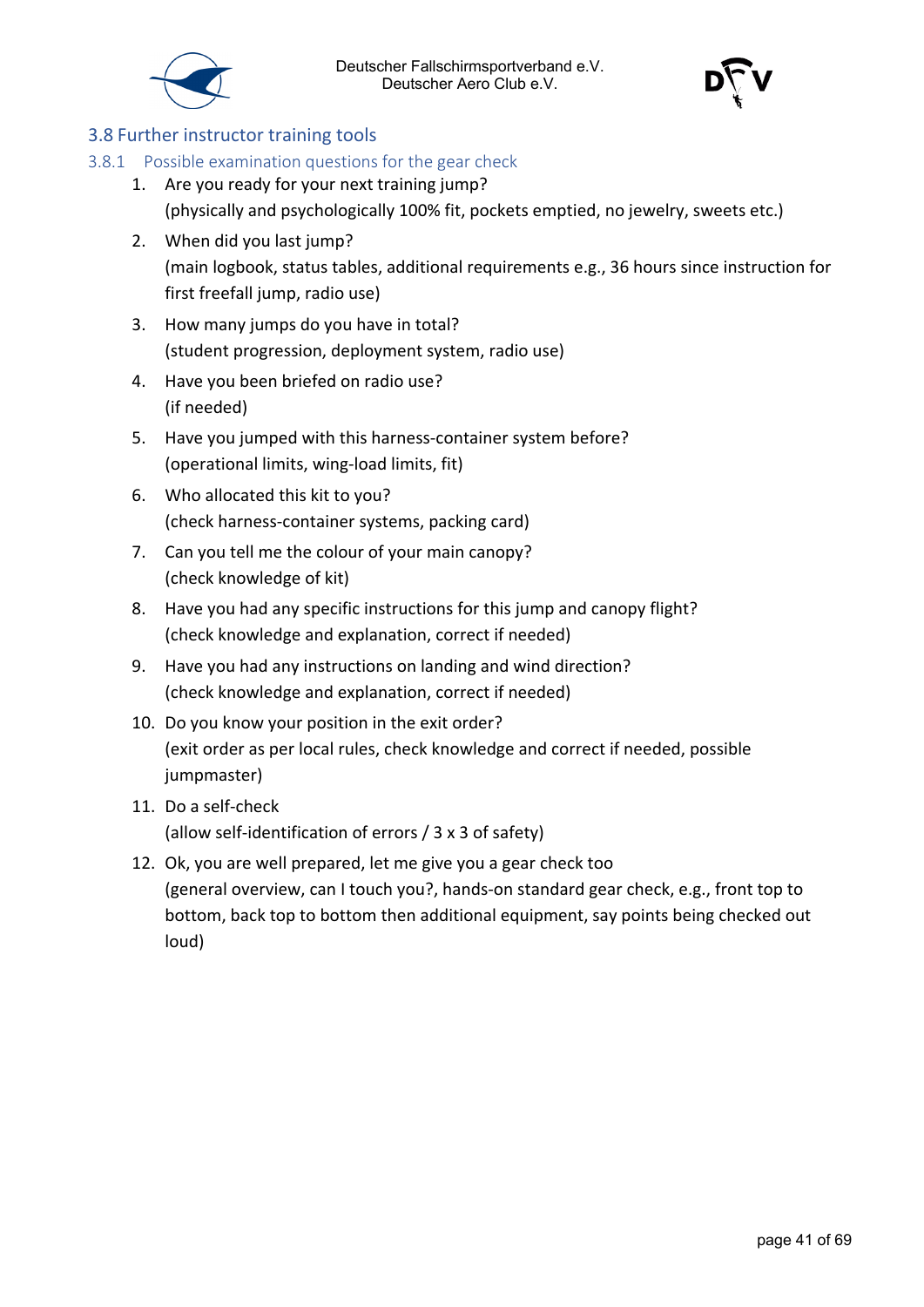



#### <span id="page-40-0"></span>3.8 Further instructor training tools

#### <span id="page-40-1"></span>3.8.1 Possible examination questions for the gear check

- 1. Are you ready for your next training jump? (physically and psychologically 100% fit, pockets emptied, no jewelry, sweets etc.)
- 2. When did you last jump? (main logbook, status tables, additional requirements e.g., 36 hours since instruction for first freefall jump, radio use)
- 3. How many jumps do you have in total? (student progression, deployment system, radio use)
- 4. Have you been briefed on radio use? (if needed)
- 5. Have you jumped with this harness-container system before? (operational limits, wing-load limits, fit)
- 6. Who allocated this kit to you? (check harness-container systems, packing card)
- 7. Can you tell me the colour of your main canopy? (check knowledge of kit)
- 8. Have you had any specific instructions for this jump and canopy flight? (check knowledge and explanation, correct if needed)
- 9. Have you had any instructions on landing and wind direction? (check knowledge and explanation, correct if needed)
- 10. Do you know your position in the exit order? (exit order as per local rules, check knowledge and correct if needed, possible jumpmaster)
- 11. Do a self-check (allow self-identification of errors / 3 x 3 of safety)
- 12. Ok, you are well prepared, let me give you a gear check too (general overview, can I touch you?, hands-on standard gear check, e.g., front top to bottom, back top to bottom then additional equipment, say points being checked out loud)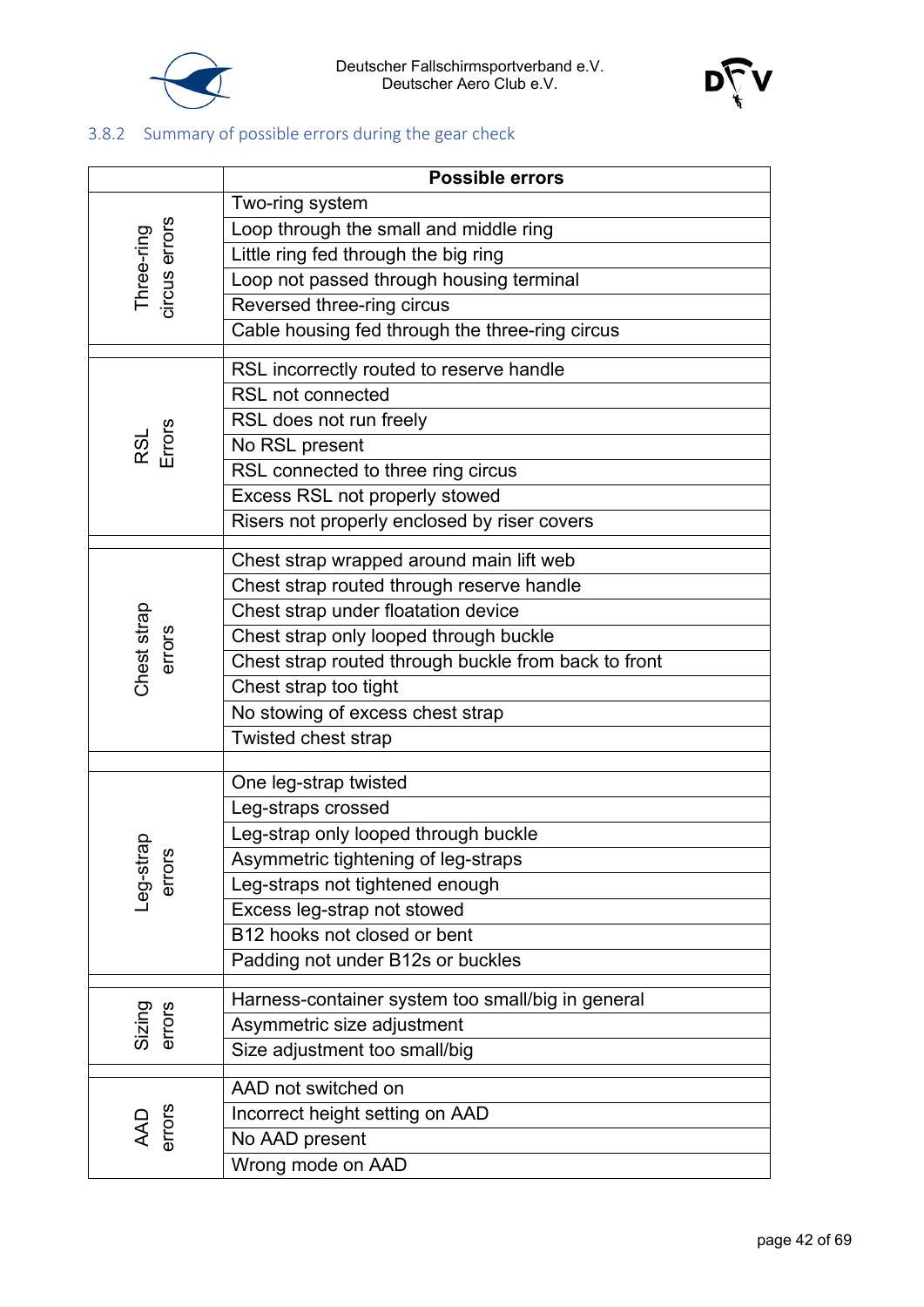



#### <span id="page-41-0"></span>3.8.2 Summary of possible errors during the gear check

|                             | <b>Possible errors</b>                               |  |  |  |  |  |
|-----------------------------|------------------------------------------------------|--|--|--|--|--|
|                             | Two-ring system                                      |  |  |  |  |  |
|                             | Loop through the small and middle ring               |  |  |  |  |  |
|                             | Little ring fed through the big ring                 |  |  |  |  |  |
|                             | Loop not passed through housing terminal             |  |  |  |  |  |
| Three-ring<br>circus errors | Reversed three-ring circus                           |  |  |  |  |  |
|                             | Cable housing fed through the three-ring circus      |  |  |  |  |  |
|                             | RSL incorrectly routed to reserve handle             |  |  |  |  |  |
|                             | <b>RSL not connected</b>                             |  |  |  |  |  |
|                             | RSL does not run freely                              |  |  |  |  |  |
| RSL<br>Errors               | No RSL present                                       |  |  |  |  |  |
|                             | RSL connected to three ring circus                   |  |  |  |  |  |
|                             | Excess RSL not properly stowed                       |  |  |  |  |  |
|                             | Risers not properly enclosed by riser covers         |  |  |  |  |  |
|                             |                                                      |  |  |  |  |  |
|                             | Chest strap wrapped around main lift web             |  |  |  |  |  |
|                             | Chest strap routed through reserve handle            |  |  |  |  |  |
|                             | Chest strap under floatation device                  |  |  |  |  |  |
|                             | Chest strap only looped through buckle               |  |  |  |  |  |
| Chest strap<br>errors       | Chest strap routed through buckle from back to front |  |  |  |  |  |
|                             | Chest strap too tight                                |  |  |  |  |  |
|                             | No stowing of excess chest strap                     |  |  |  |  |  |
|                             | Twisted chest strap                                  |  |  |  |  |  |
|                             | One leg-strap twisted                                |  |  |  |  |  |
|                             | Leg-straps crossed                                   |  |  |  |  |  |
|                             | Leg-strap only looped through buckle                 |  |  |  |  |  |
| rap<br>ဖို                  | Asymmetric tightening of leg-straps                  |  |  |  |  |  |
| Leg-st<br>erro              | Leg-straps not tightened enough                      |  |  |  |  |  |
|                             | Excess leg-strap not stowed                          |  |  |  |  |  |
|                             | B12 hooks not closed or bent                         |  |  |  |  |  |
|                             | Padding not under B12s or buckles                    |  |  |  |  |  |
|                             | Harness-container system too small/big in general    |  |  |  |  |  |
| Sizing<br>errors            | Asymmetric size adjustment                           |  |  |  |  |  |
|                             | Size adjustment too small/big                        |  |  |  |  |  |
|                             | AAD not switched on                                  |  |  |  |  |  |
|                             | Incorrect height setting on AAD                      |  |  |  |  |  |
| AAD<br>errors               | No AAD present                                       |  |  |  |  |  |
|                             | Wrong mode on AAD                                    |  |  |  |  |  |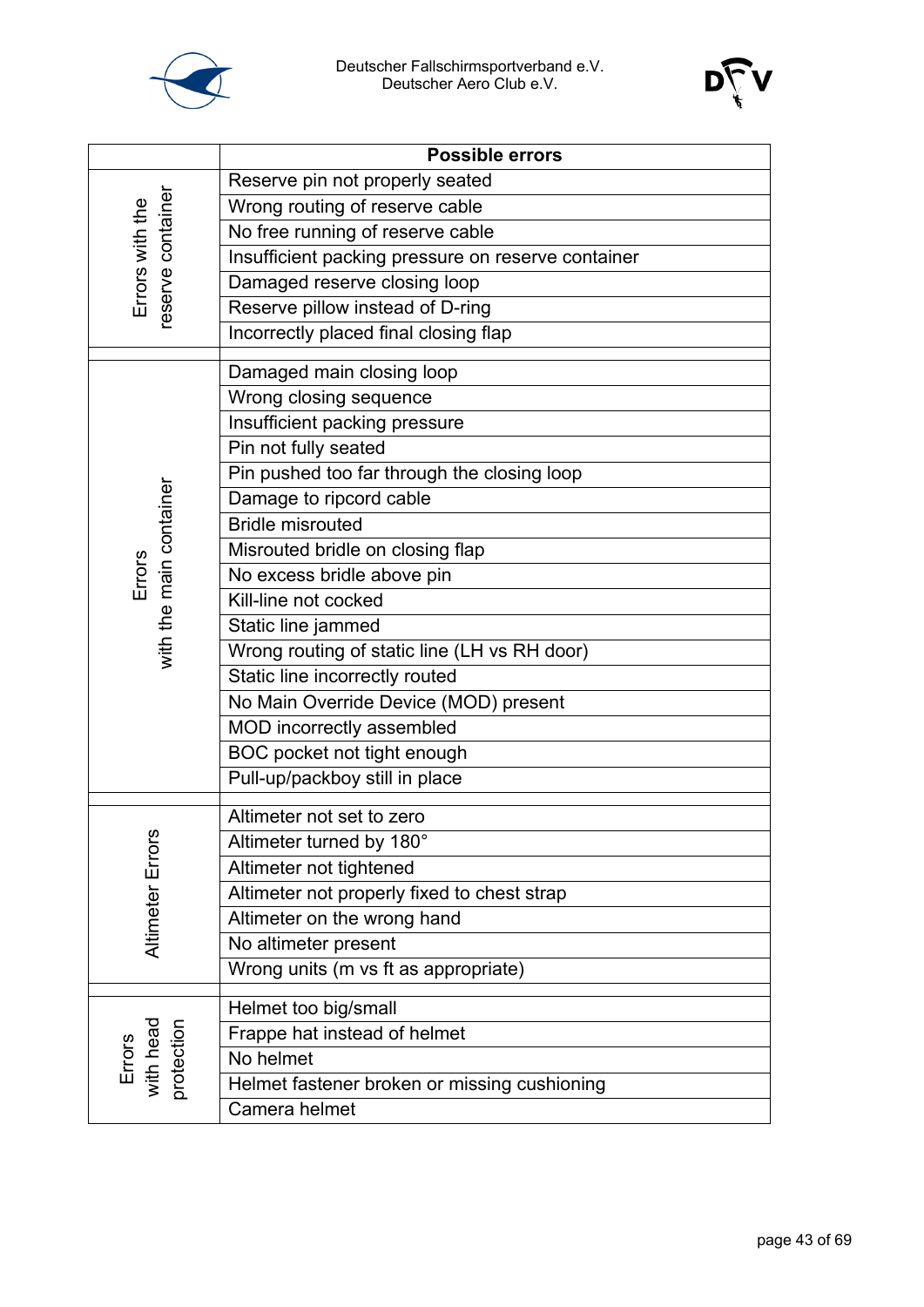



|                                   | <b>Possible errors</b>                             |  |  |  |  |
|-----------------------------------|----------------------------------------------------|--|--|--|--|
|                                   | Reserve pin not properly seated                    |  |  |  |  |
|                                   | Wrong routing of reserve cable                     |  |  |  |  |
|                                   | No free running of reserve cable                   |  |  |  |  |
| Errors with the                   | Insufficient packing pressure on reserve container |  |  |  |  |
|                                   | Damaged reserve closing loop                       |  |  |  |  |
| eserve container                  | Reserve pillow instead of D-ring                   |  |  |  |  |
|                                   | Incorrectly placed final closing flap              |  |  |  |  |
|                                   | Damaged main closing loop                          |  |  |  |  |
|                                   | Wrong closing sequence                             |  |  |  |  |
|                                   | Insufficient packing pressure                      |  |  |  |  |
|                                   | Pin not fully seated                               |  |  |  |  |
|                                   | Pin pushed too far through the closing loop        |  |  |  |  |
|                                   | Damage to ripcord cable                            |  |  |  |  |
| with the main container           | <b>Bridle misrouted</b>                            |  |  |  |  |
|                                   | Misrouted bridle on closing flap                   |  |  |  |  |
| Errors                            | No excess bridle above pin                         |  |  |  |  |
|                                   | Kill-line not cocked                               |  |  |  |  |
|                                   | Static line jammed                                 |  |  |  |  |
|                                   | Wrong routing of static line (LH vs RH door)       |  |  |  |  |
|                                   | Static line incorrectly routed                     |  |  |  |  |
|                                   | No Main Override Device (MOD) present              |  |  |  |  |
|                                   | MOD incorrectly assembled                          |  |  |  |  |
|                                   | BOC pocket not tight enough                        |  |  |  |  |
|                                   | Pull-up/packboy still in place                     |  |  |  |  |
|                                   |                                                    |  |  |  |  |
|                                   | Altimeter not set to zero                          |  |  |  |  |
| ø                                 | Altimeter turned by 180°                           |  |  |  |  |
|                                   | Altimeter not tightened                            |  |  |  |  |
|                                   | Altimeter not properly fixed to chest strap        |  |  |  |  |
| Altimeter Error                   | Altimeter on the wrong hand                        |  |  |  |  |
|                                   | No altimeter present                               |  |  |  |  |
|                                   | Wrong units (m vs ft as appropriate)               |  |  |  |  |
|                                   | Helmet too big/small                               |  |  |  |  |
|                                   | Frappe hat instead of helmet                       |  |  |  |  |
| Errors<br>with head<br>protection | No helmet                                          |  |  |  |  |
|                                   | Helmet fastener broken or missing cushioning       |  |  |  |  |
|                                   | Camera helmet                                      |  |  |  |  |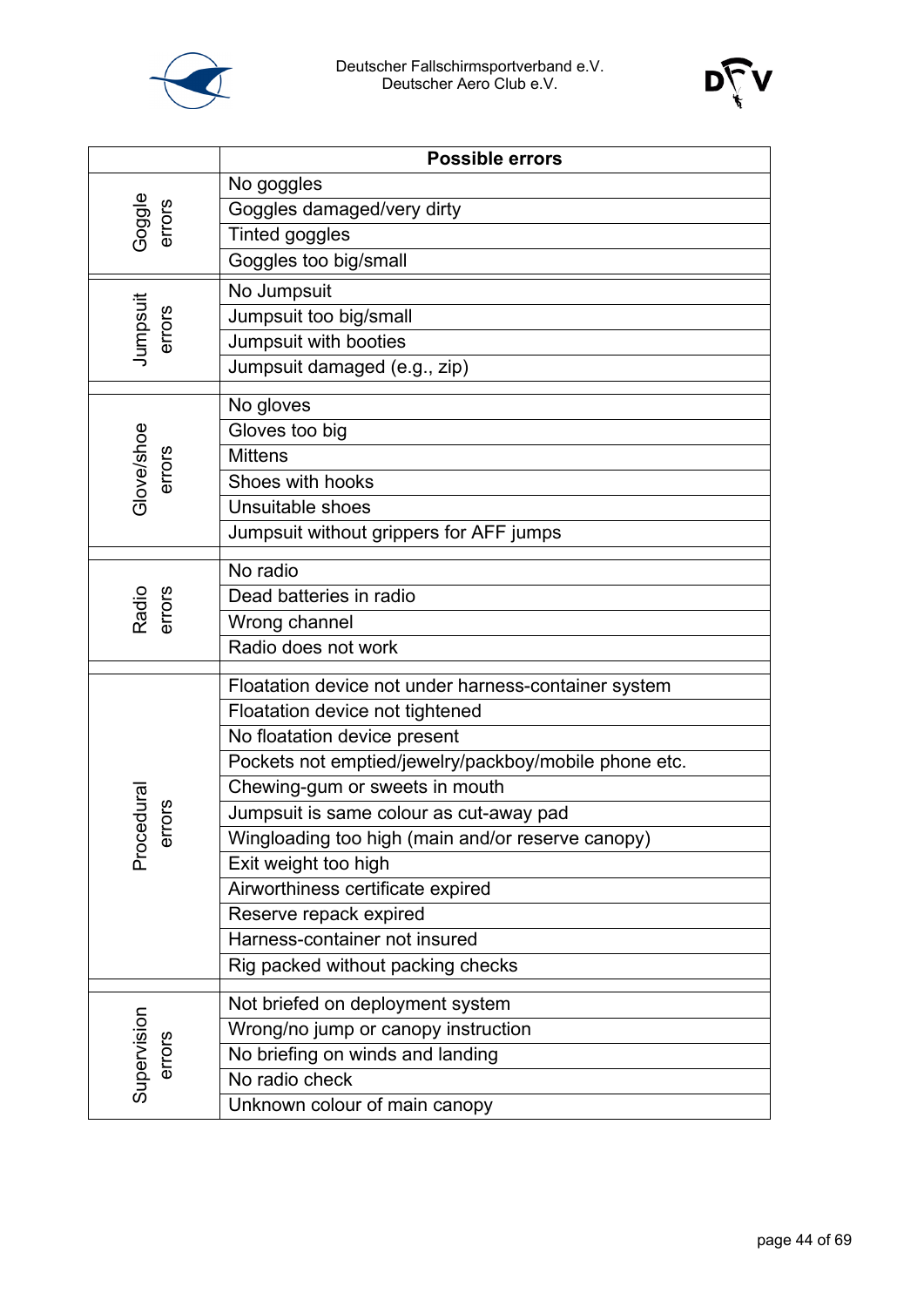



|                      | Possible errors                                             |
|----------------------|-------------------------------------------------------------|
|                      | No goggles                                                  |
| Goggle<br>errors     | Goggles damaged/very dirty                                  |
|                      | Tinted goggles                                              |
|                      | Goggles too big/small                                       |
|                      | No Jumpsuit                                                 |
| Jumpsuit<br>errors   | Jumpsuit too big/small                                      |
|                      | Jumpsuit with booties                                       |
|                      | Jumpsuit damaged (e.g., zip)                                |
|                      | No gloves                                                   |
|                      | Gloves too big                                              |
|                      | <b>Mittens</b>                                              |
| Glove/shoe<br>errors | Shoes with hooks                                            |
|                      | Unsuitable shoes                                            |
|                      | Jumpsuit without grippers for AFF jumps                     |
|                      | No radio                                                    |
|                      | Dead batteries in radio                                     |
| Radio<br>errors      | Wrong channel                                               |
|                      | Radio does not work                                         |
|                      |                                                             |
|                      | Floatation device not under harness-container system        |
|                      | Floatation device not tightened                             |
|                      | No floatation device present                                |
|                      | Pockets not emptied/jewelry/packboy/mobile phone etc.       |
|                      | Chewing-gum or sweets in mouth                              |
| cedura<br>errors     | Jumpsuit is same colour as cut-away pad                     |
| Pro                  | Wingloading too high (main and/or reserve canopy)           |
|                      | Exit weight too high                                        |
|                      | Airworthiness certificate expired<br>Reserve repack expired |
|                      | Harness-container not insured                               |
|                      | Rig packed without packing checks                           |
|                      |                                                             |
|                      | Not briefed on deployment system                            |
| Supervision          | Wrong/no jump or canopy instruction                         |
| errors               | No briefing on winds and landing                            |
|                      | No radio check                                              |
|                      | Unknown colour of main canopy                               |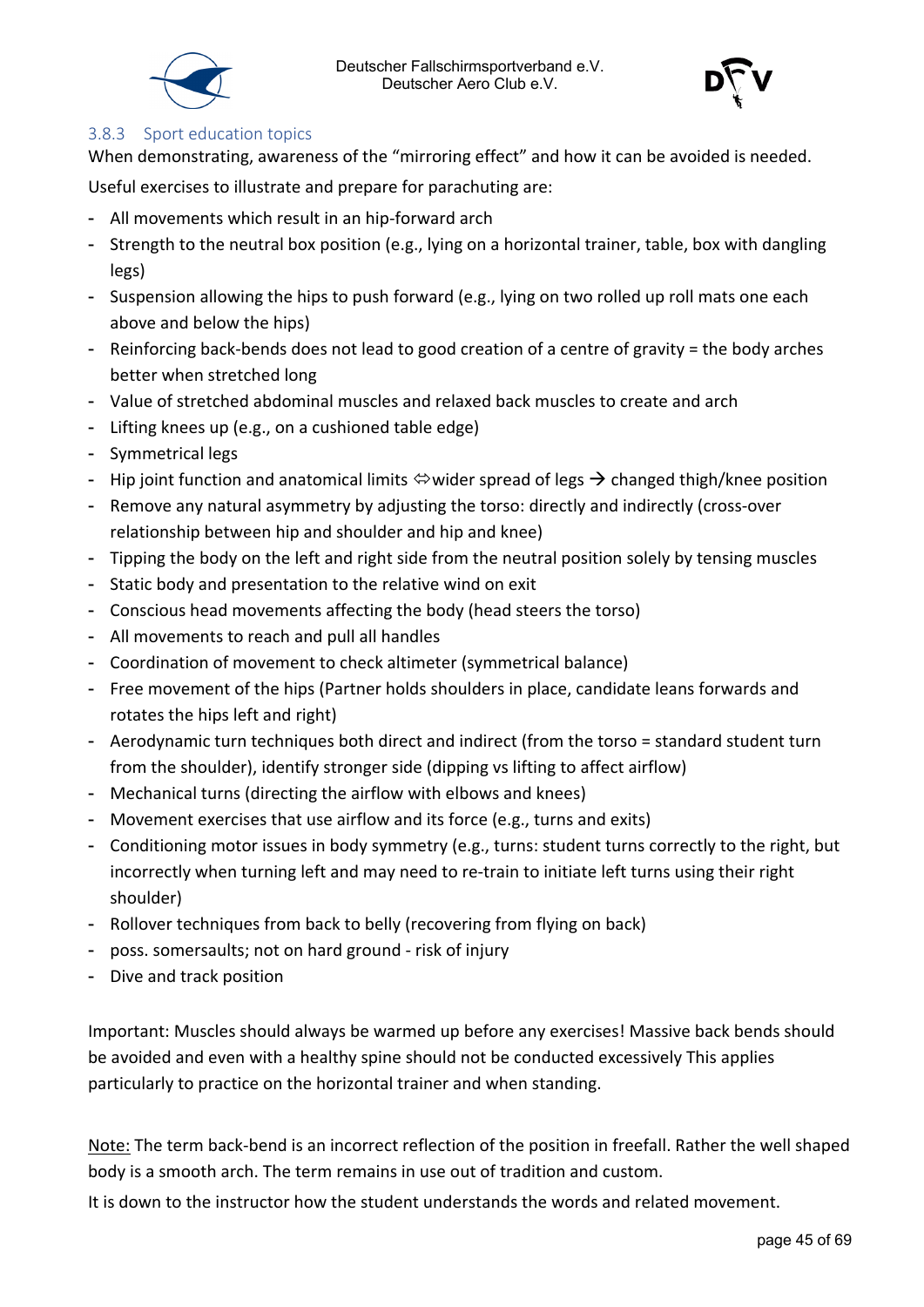



#### <span id="page-44-0"></span>3.8.3 Sport education topics

When demonstrating, awareness of the "mirroring effect" and how it can be avoided is needed.

Useful exercises to illustrate and prepare for parachuting are:

- All movements which result in an hip-forward arch
- Strength to the neutral box position (e.g., lying on a horizontal trainer, table, box with dangling legs)
- Suspension allowing the hips to push forward (e.g., lying on two rolled up roll mats one each above and below the hips)
- Reinforcing back-bends does not lead to good creation of a centre of gravity = the body arches better when stretched long
- Value of stretched abdominal muscles and relaxed back muscles to create and arch
- Lifting knees up (e.g., on a cushioned table edge)
- Symmetrical legs
- Hip joint function and anatomical limits  $\Leftrightarrow$  wider spread of legs  $\rightarrow$  changed thigh/knee position
- Remove any natural asymmetry by adjusting the torso: directly and indirectly (cross-over relationship between hip and shoulder and hip and knee)
- Tipping the body on the left and right side from the neutral position solely by tensing muscles
- Static body and presentation to the relative wind on exit
- Conscious head movements affecting the body (head steers the torso)
- All movements to reach and pull all handles
- Coordination of movement to check altimeter (symmetrical balance)
- Free movement of the hips (Partner holds shoulders in place, candidate leans forwards and rotates the hips left and right)
- Aerodynamic turn techniques both direct and indirect (from the torso = standard student turn from the shoulder), identify stronger side (dipping vs lifting to affect airflow)
- Mechanical turns (directing the airflow with elbows and knees)
- Movement exercises that use airflow and its force (e.g., turns and exits)
- Conditioning motor issues in body symmetry (e.g., turns: student turns correctly to the right, but incorrectly when turning left and may need to re-train to initiate left turns using their right shoulder)
- Rollover techniques from back to belly (recovering from flying on back)
- poss. somersaults; not on hard ground risk of injury
- Dive and track position

Important: Muscles should always be warmed up before any exercises! Massive back bends should be avoided and even with a healthy spine should not be conducted excessively This applies particularly to practice on the horizontal trainer and when standing.

Note: The term back-bend is an incorrect reflection of the position in freefall. Rather the well shaped body is a smooth arch. The term remains in use out of tradition and custom.

It is down to the instructor how the student understands the words and related movement.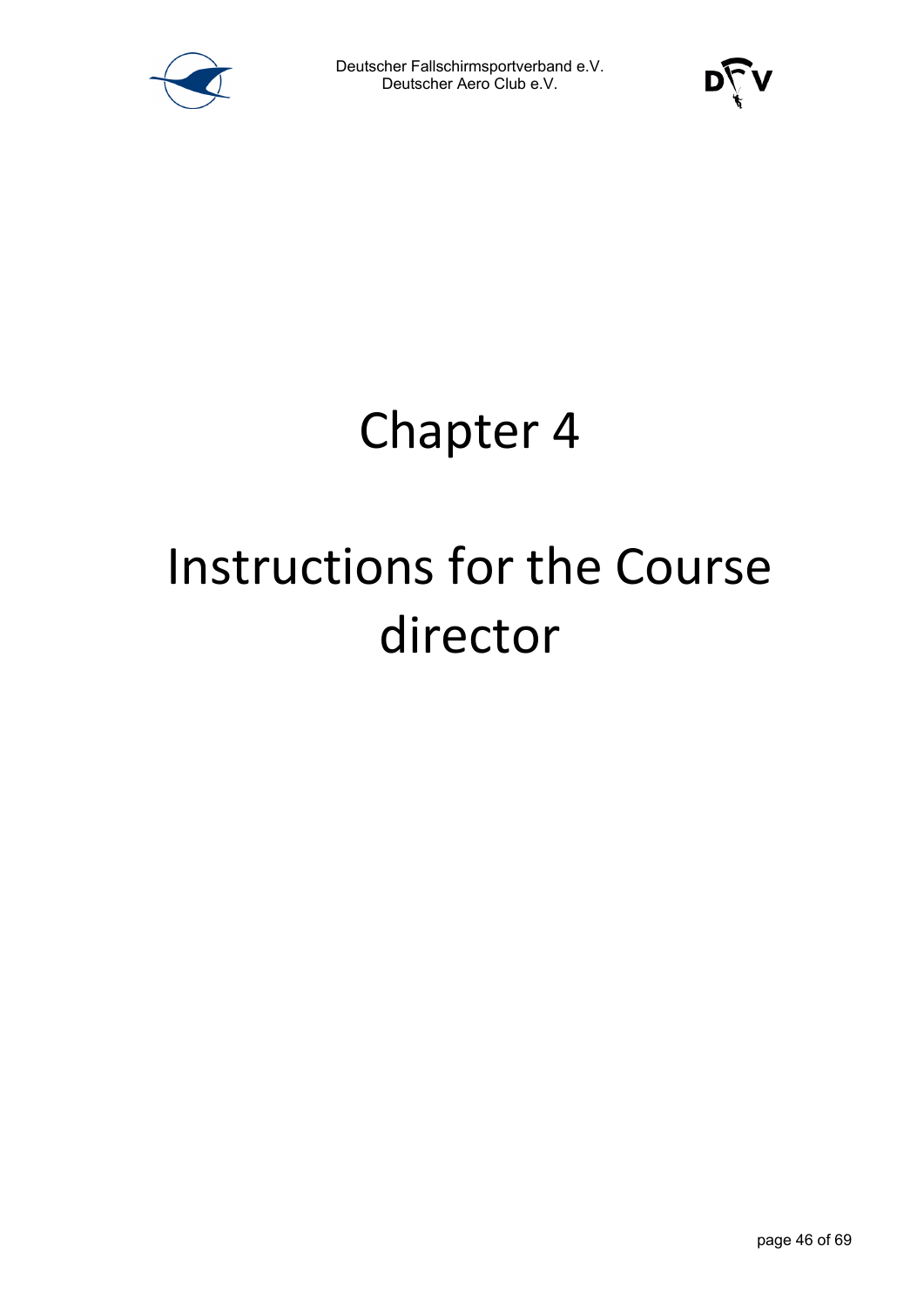



### Chapter 4

# Instructions for the Course director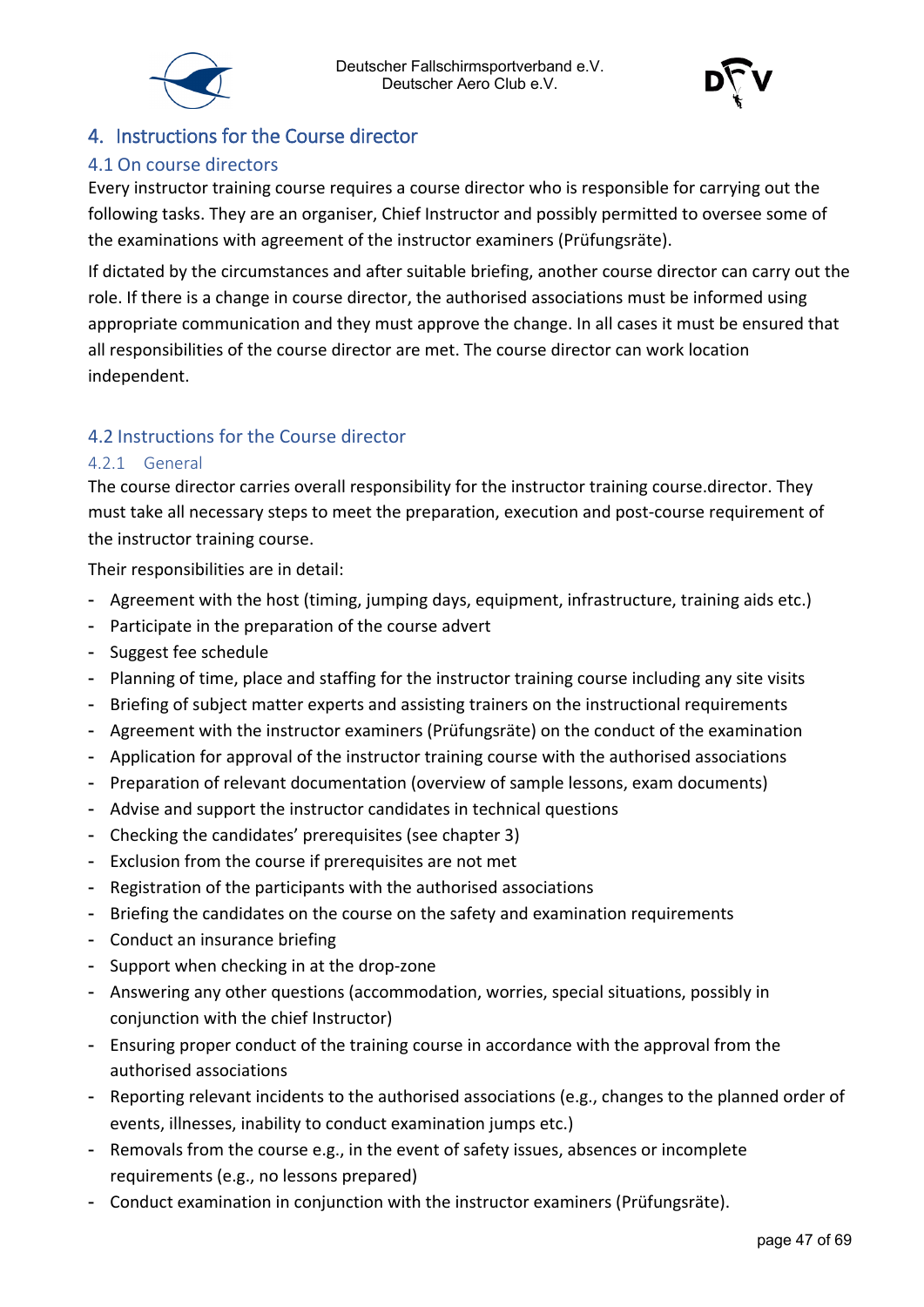



#### <span id="page-46-0"></span>4. Instructions for the Course director

#### <span id="page-46-1"></span>4.1 On course directors

Every instructor training course requires a course director who is responsible for carrying out the following tasks. They are an organiser, Chief Instructor and possibly permitted to oversee some of the examinations with agreement of the instructor examiners (Prüfungsräte).

If dictated by the circumstances and after suitable briefing, another course director can carry out the role. If there is a change in course director, the authorised associations must be informed using appropriate communication and they must approve the change. In all cases it must be ensured that all responsibilities of the course director are met. The course director can work location independent.

#### <span id="page-46-2"></span>4.2 Instructions for the Course director

#### <span id="page-46-3"></span>4.2.1 General

The course director carries overall responsibility for the instructor training course.director. They must take all necessary steps to meet the preparation, execution and post-course requirement of the instructor training course.

Their responsibilities are in detail:

- Agreement with the host (timing, jumping days, equipment, infrastructure, training aids etc.)
- Participate in the preparation of the course advert
- Suggest fee schedule
- Planning of time, place and staffing for the instructor training course including any site visits
- Briefing of subject matter experts and assisting trainers on the instructional requirements
- Agreement with the instructor examiners (Prüfungsräte) on the conduct of the examination
- Application for approval of the instructor training course with the authorised associations
- Preparation of relevant documentation (overview of sample lessons, exam documents)
- Advise and support the instructor candidates in technical questions
- Checking the candidates' prerequisites (see chapter 3)
- Exclusion from the course if prerequisites are not met
- Registration of the participants with the authorised associations
- Briefing the candidates on the course on the safety and examination requirements
- Conduct an insurance briefing
- Support when checking in at the drop-zone
- Answering any other questions (accommodation, worries, special situations, possibly in conjunction with the chief Instructor)
- Ensuring proper conduct of the training course in accordance with the approval from the authorised associations
- Reporting relevant incidents to the authorised associations (e.g., changes to the planned order of events, illnesses, inability to conduct examination jumps etc.)
- Removals from the course e.g., in the event of safety issues, absences or incomplete requirements (e.g., no lessons prepared)
- Conduct examination in conjunction with the instructor examiners (Prüfungsräte).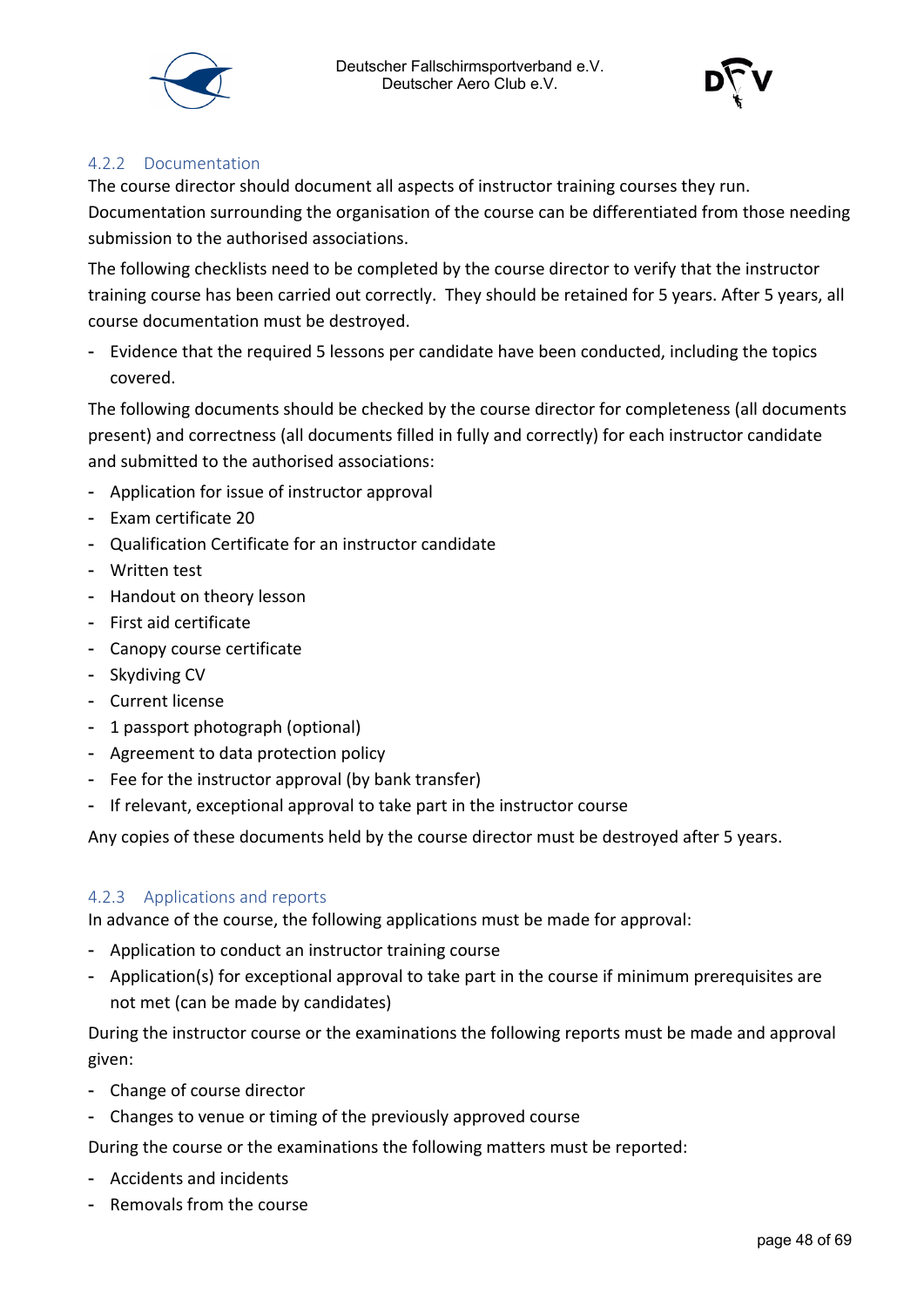



#### <span id="page-47-0"></span>4.2.2 Documentation

The course director should document all aspects of instructor training courses they run. Documentation surrounding the organisation of the course can be differentiated from those needing submission to the authorised associations.

The following checklists need to be completed by the course director to verify that the instructor training course has been carried out correctly. They should be retained for 5 years. After 5 years, all course documentation must be destroyed.

- Evidence that the required 5 lessons per candidate have been conducted, including the topics covered.

The following documents should be checked by the course director for completeness (all documents present) and correctness (all documents filled in fully and correctly) for each instructor candidate and submitted to the authorised associations:

- Application for issue of instructor approval
- Exam certificate 20
- Qualification Certificate for an instructor candidate
- Written test
- Handout on theory lesson
- First aid certificate
- Canopy course certificate
- Skydiving CV
- Current license
- 1 passport photograph (optional)
- Agreement to data protection policy
- Fee for the instructor approval (by bank transfer)
- If relevant, exceptional approval to take part in the instructor course

Any copies of these documents held by the course director must be destroyed after 5 years.

#### <span id="page-47-1"></span>4.2.3 Applications and reports

In advance of the course, the following applications must be made for approval:

- Application to conduct an instructor training course
- Application(s) for exceptional approval to take part in the course if minimum prerequisites are not met (can be made by candidates)

During the instructor course or the examinations the following reports must be made and approval given:

- Change of course director
- Changes to venue or timing of the previously approved course

During the course or the examinations the following matters must be reported:

- Accidents and incidents
- Removals from the course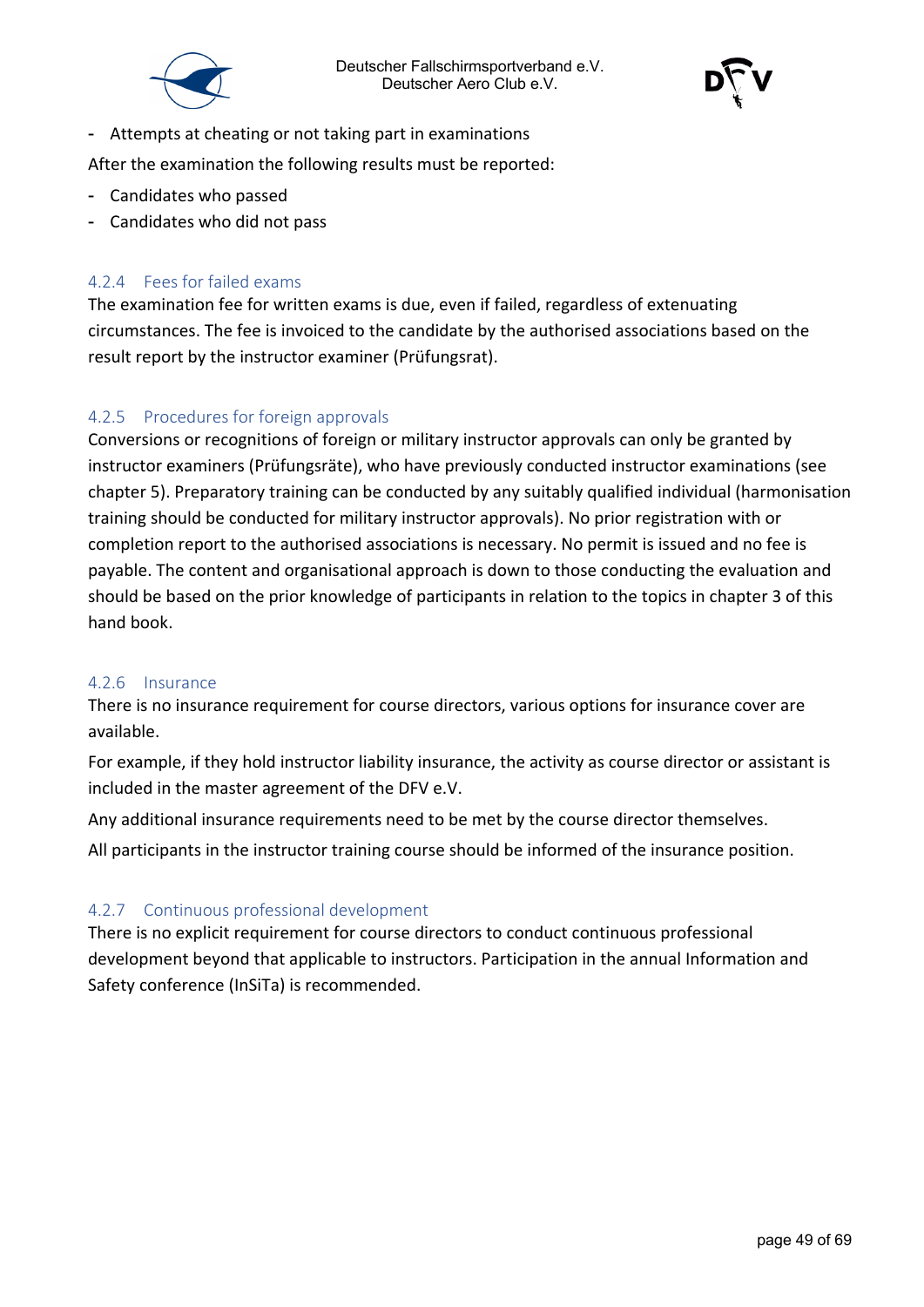



- Attempts at cheating or not taking part in examinations

After the examination the following results must be reported:

- Candidates who passed
- Candidates who did not pass

#### <span id="page-48-0"></span>4.2.4 Fees for failed exams

The examination fee for written exams is due, even if failed, regardless of extenuating circumstances. The fee is invoiced to the candidate by the authorised associations based on the result report by the instructor examiner (Prüfungsrat).

#### <span id="page-48-1"></span>4.2.5 Procedures for foreign approvals

Conversions or recognitions of foreign or military instructor approvals can only be granted by instructor examiners (Prüfungsräte), who have previously conducted instructor examinations (see chapter 5). Preparatory training can be conducted by any suitably qualified individual (harmonisation training should be conducted for military instructor approvals). No prior registration with or completion report to the authorised associations is necessary. No permit is issued and no fee is payable. The content and organisational approach is down to those conducting the evaluation and should be based on the prior knowledge of participants in relation to the topics in chapter 3 of this hand book.

#### <span id="page-48-2"></span>4.2.6 Insurance

There is no insurance requirement for course directors, various options for insurance cover are available.

For example, if they hold instructor liability insurance, the activity as course director or assistant is included in the master agreement of the DFV e.V.

Any additional insurance requirements need to be met by the course director themselves.

All participants in the instructor training course should be informed of the insurance position.

#### <span id="page-48-3"></span>4.2.7 Continuous professional development

There is no explicit requirement for course directors to conduct continuous professional development beyond that applicable to instructors. Participation in the annual Information and Safety conference (InSiTa) is recommended.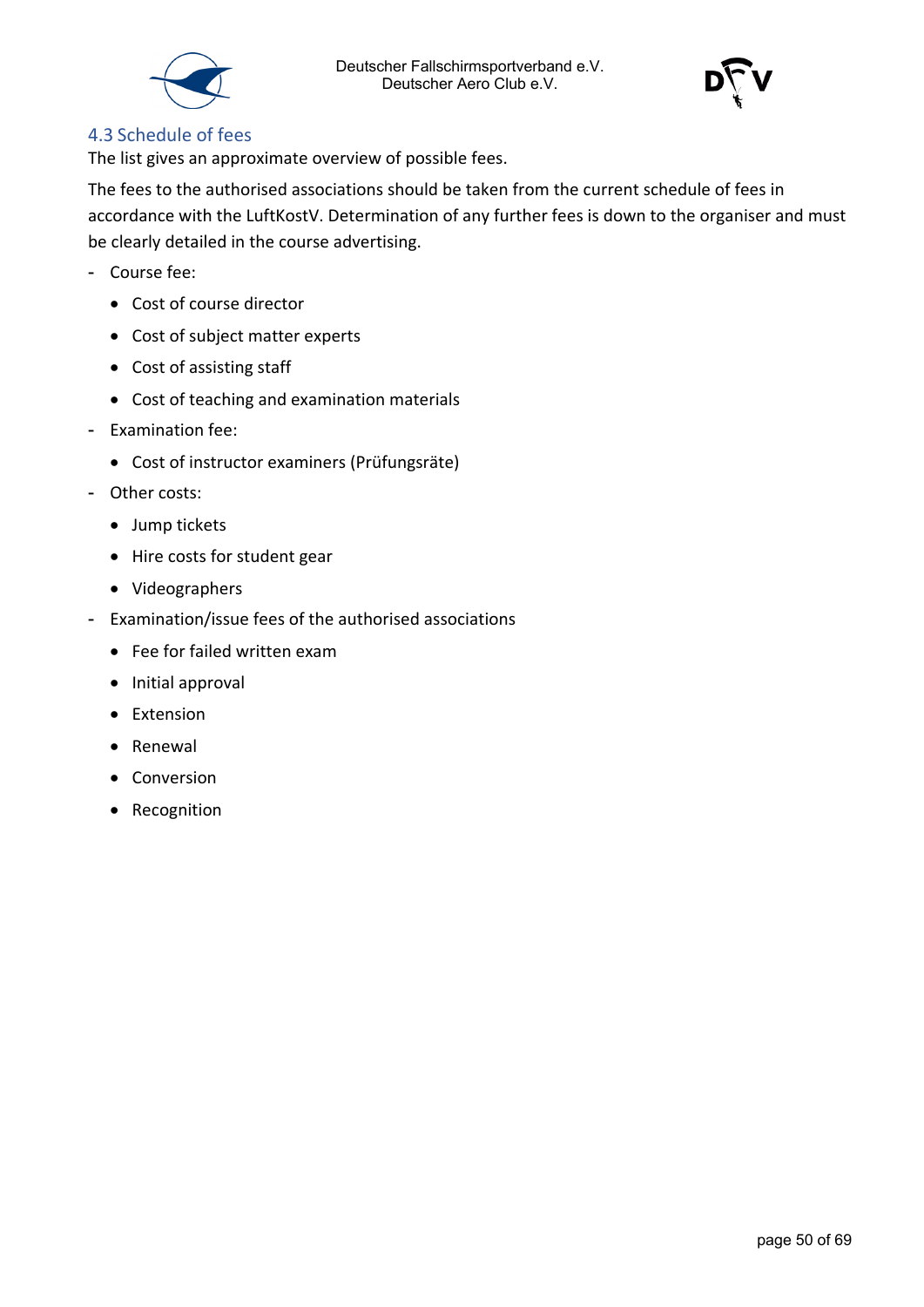



#### <span id="page-49-0"></span>4.3 Schedule of fees

The list gives an approximate overview of possible fees.

The fees to the authorised associations should be taken from the current schedule of fees in accordance with the LuftKostV. Determination of any further fees is down to the organiser and must be clearly detailed in the course advertising.

- Course fee:
	- Cost of course director
	- Cost of subject matter experts
	- Cost of assisting staff
	- Cost of teaching and examination materials
- Examination fee:
	- Cost of instructor examiners (Prüfungsräte)
- Other costs:
	- Jump tickets
	- Hire costs for student gear
	- Videographers
- Examination/issue fees of the authorised associations
	- Fee for failed written exam
	- Initial approval
	- Extension
	- Renewal
	- Conversion
	- Recognition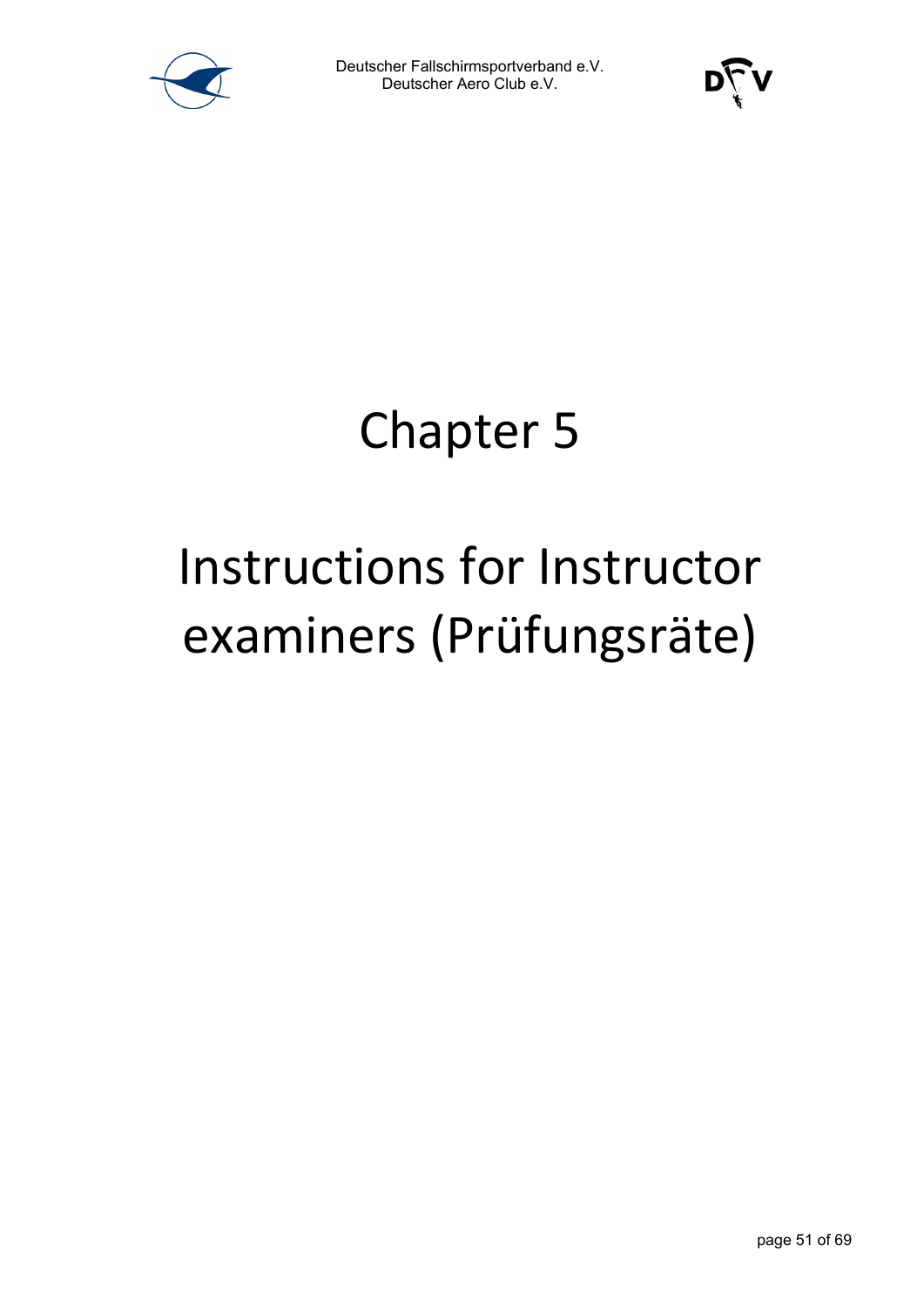



### Chapter 5

# Instructions for Instructor examiners (Prüfungsräte)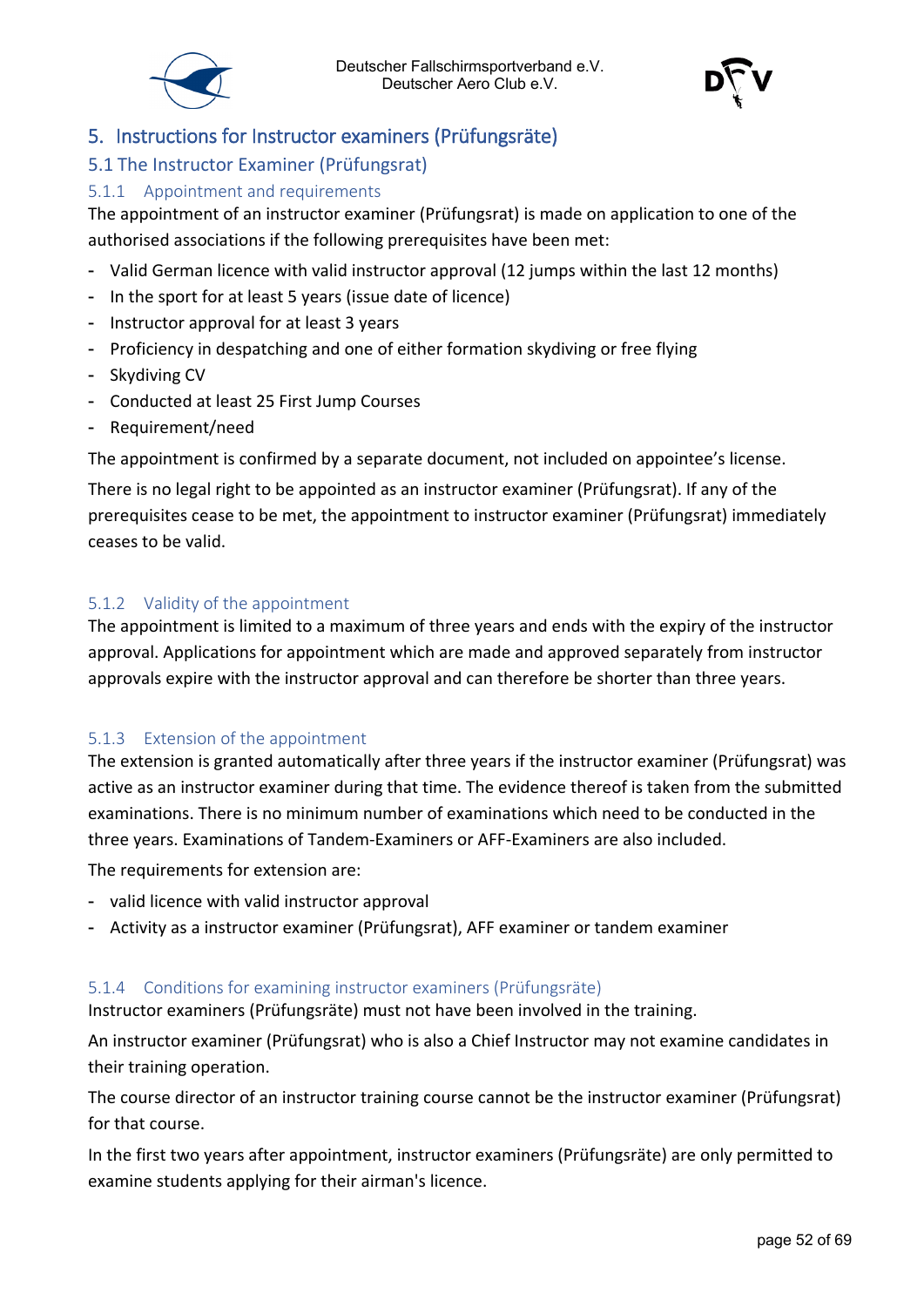



#### <span id="page-51-0"></span>5. Instructions for Instructor examiners (Prüfungsräte)

#### <span id="page-51-1"></span>5.1 The Instructor Examiner (Prüfungsrat)

#### <span id="page-51-2"></span>5.1.1 Appointment and requirements

The appointment of an instructor examiner (Prüfungsrat) is made on application to one of the authorised associations if the following prerequisites have been met:

- Valid German licence with valid instructor approval (12 jumps within the last 12 months)
- In the sport for at least 5 years (issue date of licence)
- Instructor approval for at least 3 years
- Proficiency in despatching and one of either formation skydiving or free flying
- Skydiving CV
- Conducted at least 25 First Jump Courses
- Requirement/need

The appointment is confirmed by a separate document, not included on appointee's license.

There is no legal right to be appointed as an instructor examiner (Prüfungsrat). If any of the prerequisites cease to be met, the appointment to instructor examiner (Prüfungsrat) immediately ceases to be valid.

#### <span id="page-51-3"></span>5.1.2 Validity of the appointment

The appointment is limited to a maximum of three years and ends with the expiry of the instructor approval. Applications for appointment which are made and approved separately from instructor approvals expire with the instructor approval and can therefore be shorter than three years.

#### <span id="page-51-4"></span>5.1.3 Extension of the appointment

The extension is granted automatically after three years if the instructor examiner (Prüfungsrat) was active as an instructor examiner during that time. The evidence thereof is taken from the submitted examinations. There is no minimum number of examinations which need to be conducted in the three years. Examinations of Tandem-Examiners or AFF-Examiners are also included.

The requirements for extension are:

- valid licence with valid instructor approval
- Activity as a instructor examiner (Prüfungsrat), AFF examiner or tandem examiner

#### <span id="page-51-5"></span>5.1.4 Conditions for examining instructor examiners (Prüfungsräte)

Instructor examiners (Prüfungsräte) must not have been involved in the training.

An instructor examiner (Prüfungsrat) who is also a Chief Instructor may not examine candidates in their training operation.

The course director of an instructor training course cannot be the instructor examiner (Prüfungsrat) for that course.

In the first two years after appointment, instructor examiners (Prüfungsräte) are only permitted to examine students applying for their airman's licence.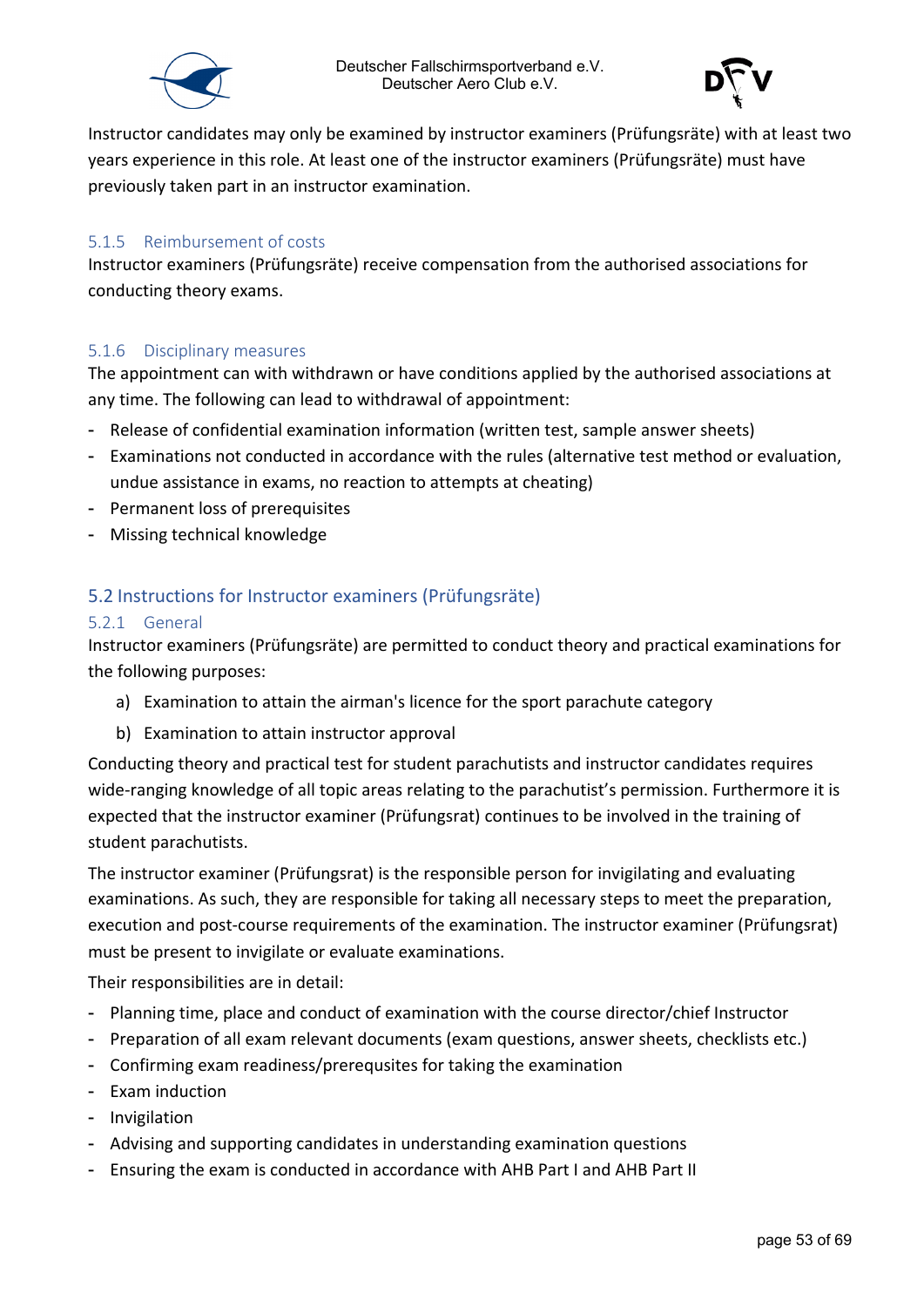



Instructor candidates may only be examined by instructor examiners (Prüfungsräte) with at least two years experience in this role. At least one of the instructor examiners (Prüfungsräte) must have previously taken part in an instructor examination.

#### <span id="page-52-0"></span>5.1.5 Reimbursement of costs

Instructor examiners (Prüfungsräte) receive compensation from the authorised associations for conducting theory exams.

#### <span id="page-52-1"></span>5.1.6 Disciplinary measures

The appointment can with withdrawn or have conditions applied by the authorised associations at any time. The following can lead to withdrawal of appointment:

- Release of confidential examination information (written test, sample answer sheets)
- Examinations not conducted in accordance with the rules (alternative test method or evaluation, undue assistance in exams, no reaction to attempts at cheating)
- Permanent loss of prerequisites
- Missing technical knowledge

#### <span id="page-52-2"></span>5.2 Instructions for Instructor examiners (Prüfungsräte)

#### <span id="page-52-3"></span>5.2.1 General

Instructor examiners (Prüfungsräte) are permitted to conduct theory and practical examinations for the following purposes:

- a) Examination to attain the airman's licence for the sport parachute category
- b) Examination to attain instructor approval

Conducting theory and practical test for student parachutists and instructor candidates requires wide-ranging knowledge of all topic areas relating to the parachutist's permission. Furthermore it is expected that the instructor examiner (Prüfungsrat) continues to be involved in the training of student parachutists.

The instructor examiner (Prüfungsrat) is the responsible person for invigilating and evaluating examinations. As such, they are responsible for taking all necessary steps to meet the preparation, execution and post-course requirements of the examination. The instructor examiner (Prüfungsrat) must be present to invigilate or evaluate examinations.

Their responsibilities are in detail:

- Planning time, place and conduct of examination with the course director/chief Instructor
- Preparation of all exam relevant documents (exam questions, answer sheets, checklists etc.)
- Confirming exam readiness/prerequsites for taking the examination
- Exam induction
- Invigilation
- Advising and supporting candidates in understanding examination questions
- Ensuring the exam is conducted in accordance with AHB Part I and AHB Part II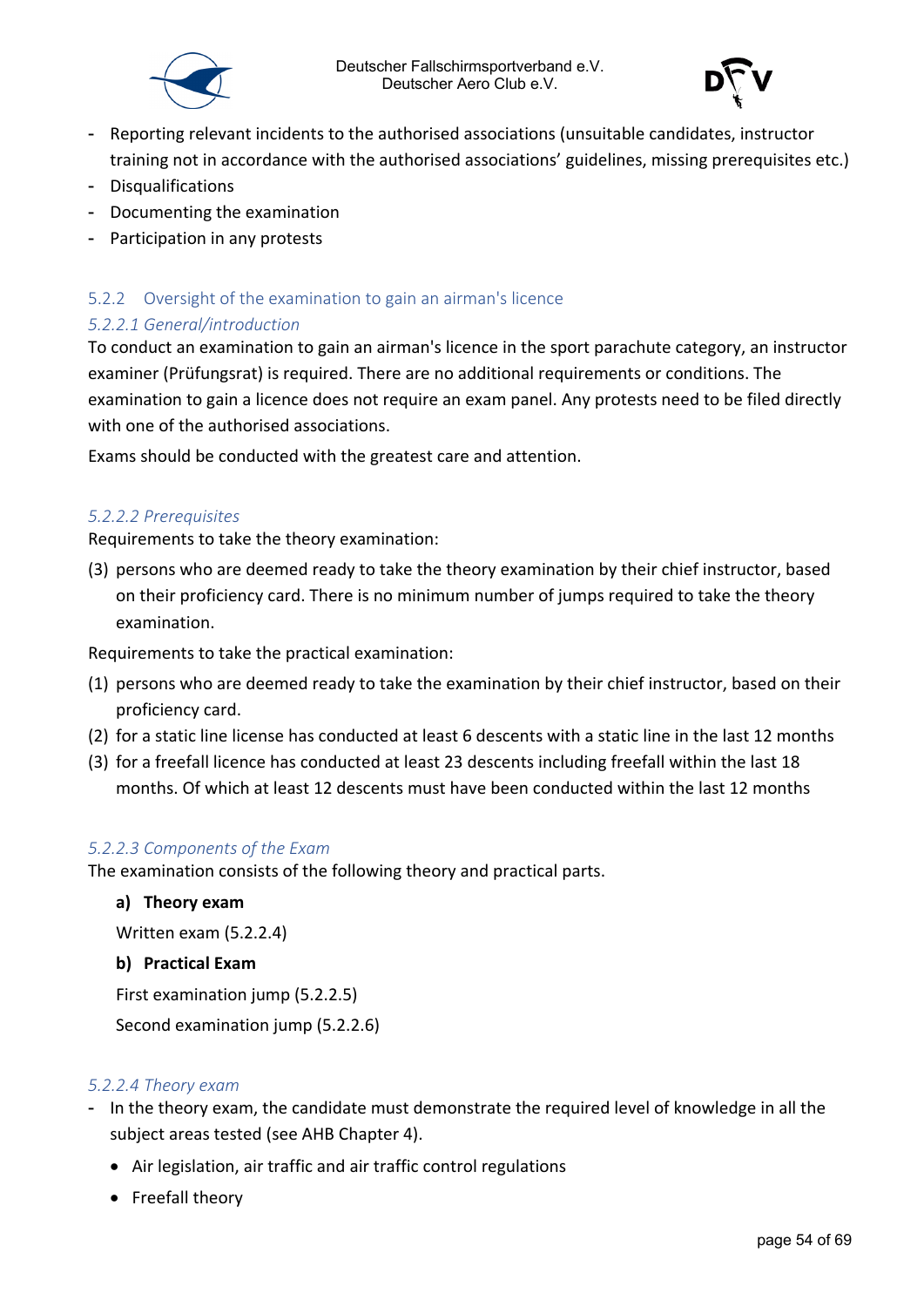



- Reporting relevant incidents to the authorised associations (unsuitable candidates, instructor training not in accordance with the authorised associations' guidelines, missing prerequisites etc.)
- Disqualifications
- Documenting the examination
- Participation in any protests

#### <span id="page-53-0"></span>5.2.2 Oversight of the examination to gain an airman's licence

#### <span id="page-53-1"></span>*5.2.2.1 General/introduction*

To conduct an examination to gain an airman's licence in the sport parachute category, an instructor examiner (Prüfungsrat) is required. There are no additional requirements or conditions. The examination to gain a licence does not require an exam panel. Any protests need to be filed directly with one of the authorised associations.

Exams should be conducted with the greatest care and attention.

#### <span id="page-53-2"></span>*5.2.2.2 Prerequisites*

Requirements to take the theory examination:

(3) persons who are deemed ready to take the theory examination by their chief instructor, based on their proficiency card. There is no minimum number of jumps required to take the theory examination.

Requirements to take the practical examination:

- (1) persons who are deemed ready to take the examination by their chief instructor, based on their proficiency card.
- (2) for a static line license has conducted at least 6 descents with a static line in the last 12 months
- (3) for a freefall licence has conducted at least 23 descents including freefall within the last 18 months. Of which at least 12 descents must have been conducted within the last 12 months

#### <span id="page-53-3"></span>*5.2.2.3 Components of the Exam*

The examination consists of the following theory and practical parts.

#### **a) Theory exam**

Written exam (5.2.2.4)

#### **b) Practical Exam**

First examination jump (5.2.2.5)

Second examination jump (5.2.2.6)

#### <span id="page-53-4"></span>*5.2.2.4 Theory exam*

- In the theory exam, the candidate must demonstrate the required level of knowledge in all the subject areas tested (see AHB Chapter 4).
	- Air legislation, air traffic and air traffic control regulations
	- Freefall theory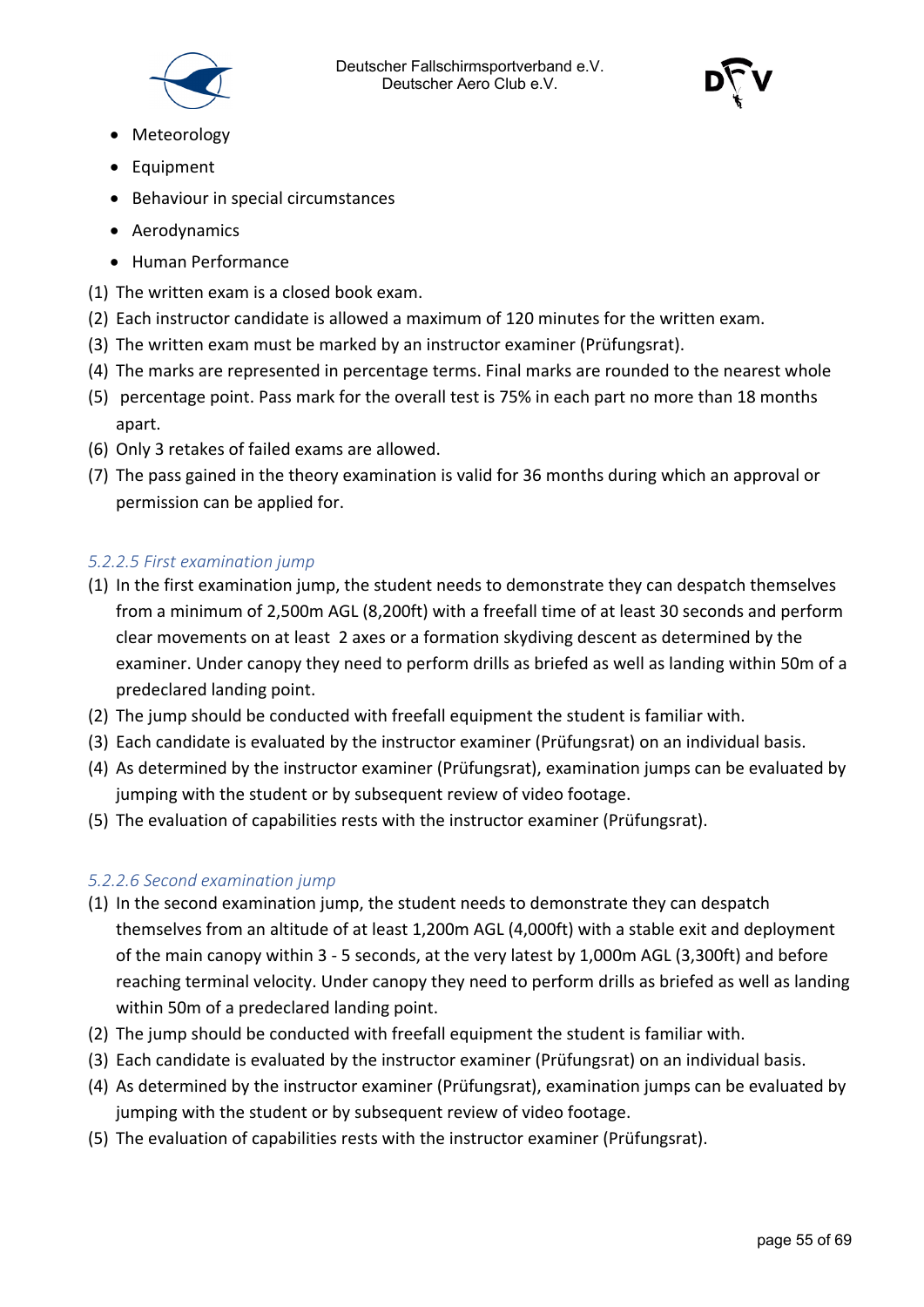



- Meteorology
- Equipment
- Behaviour in special circumstances
- Aerodynamics
- Human Performance
- (1) The written exam is a closed book exam.
- (2) Each instructor candidate is allowed a maximum of 120 minutes for the written exam.
- (3) The written exam must be marked by an instructor examiner (Prüfungsrat).
- (4) The marks are represented in percentage terms. Final marks are rounded to the nearest whole
- (5) percentage point. Pass mark for the overall test is 75% in each part no more than 18 months apart.
- (6) Only 3 retakes of failed exams are allowed.
- (7) The pass gained in the theory examination is valid for 36 months during which an approval or permission can be applied for.

#### <span id="page-54-0"></span>*5.2.2.5 First examination jump*

- (1) In the first examination jump, the student needs to demonstrate they can despatch themselves from a minimum of 2,500m AGL (8,200ft) with a freefall time of at least 30 seconds and perform clear movements on at least 2 axes or a formation skydiving descent as determined by the examiner. Under canopy they need to perform drills as briefed as well as landing within 50m of a predeclared landing point.
- (2) The jump should be conducted with freefall equipment the student is familiar with.
- (3) Each candidate is evaluated by the instructor examiner (Prüfungsrat) on an individual basis.
- (4) As determined by the instructor examiner (Prüfungsrat), examination jumps can be evaluated by jumping with the student or by subsequent review of video footage.
- (5) The evaluation of capabilities rests with the instructor examiner (Prüfungsrat).

#### <span id="page-54-1"></span>*5.2.2.6 Second examination jump*

- (1) In the second examination jump, the student needs to demonstrate they can despatch themselves from an altitude of at least 1,200m AGL (4,000ft) with a stable exit and deployment of the main canopy within 3 - 5 seconds, at the very latest by 1,000m AGL (3,300ft) and before reaching terminal velocity. Under canopy they need to perform drills as briefed as well as landing within 50m of a predeclared landing point.
- (2) The jump should be conducted with freefall equipment the student is familiar with.
- (3) Each candidate is evaluated by the instructor examiner (Prüfungsrat) on an individual basis.
- (4) As determined by the instructor examiner (Prüfungsrat), examination jumps can be evaluated by jumping with the student or by subsequent review of video footage.
- (5) The evaluation of capabilities rests with the instructor examiner (Prüfungsrat).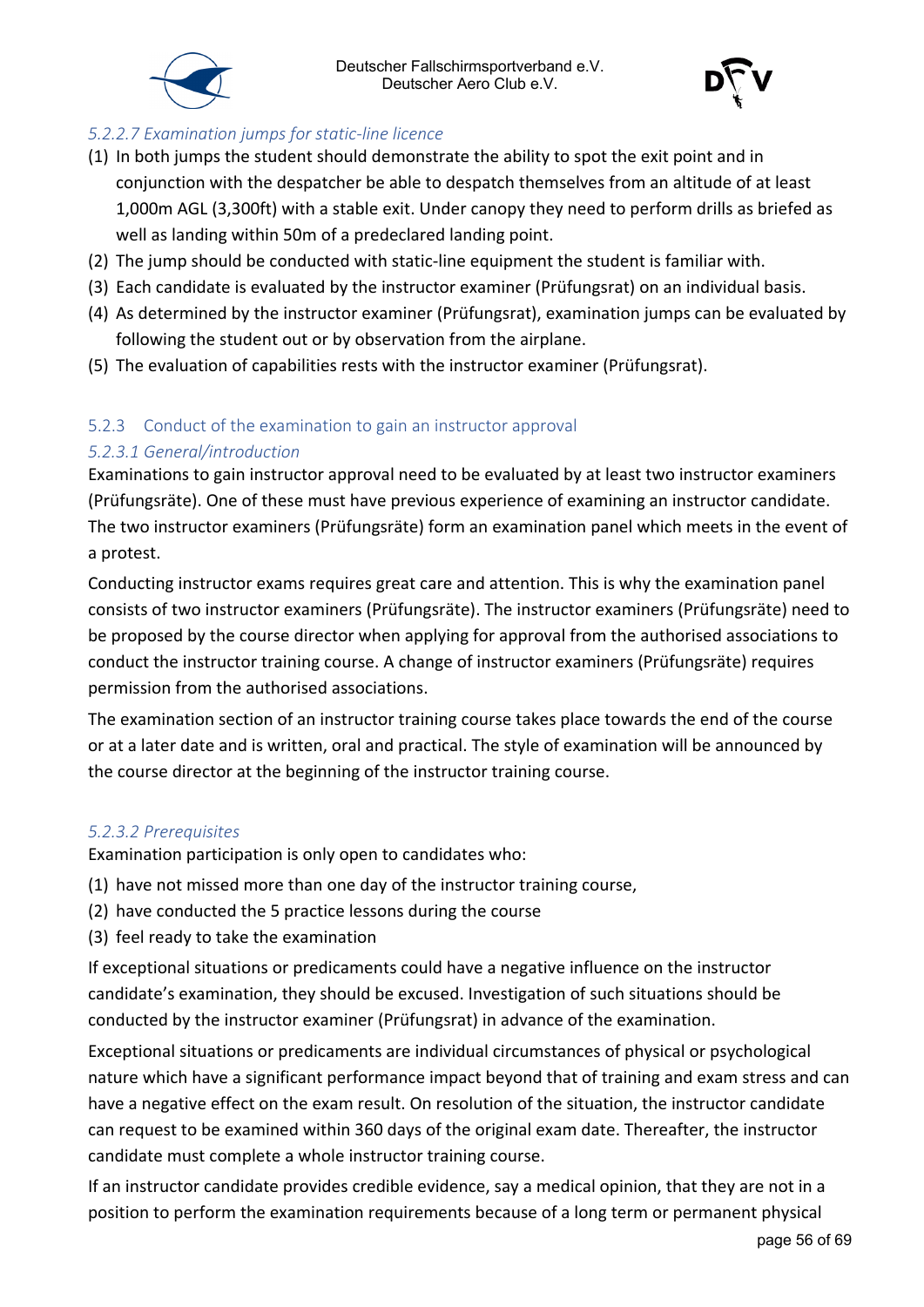



#### <span id="page-55-0"></span>*5.2.2.7 Examination jumps for static-line licence*

- (1) In both jumps the student should demonstrate the ability to spot the exit point and in conjunction with the despatcher be able to despatch themselves from an altitude of at least 1,000m AGL (3,300ft) with a stable exit. Under canopy they need to perform drills as briefed as well as landing within 50m of a predeclared landing point.
- (2) The jump should be conducted with static-line equipment the student is familiar with.
- (3) Each candidate is evaluated by the instructor examiner (Prüfungsrat) on an individual basis.
- (4) As determined by the instructor examiner (Prüfungsrat), examination jumps can be evaluated by following the student out or by observation from the airplane.
- (5) The evaluation of capabilities rests with the instructor examiner (Prüfungsrat).

#### <span id="page-55-1"></span>5.2.3 Conduct of the examination to gain an instructor approval

#### <span id="page-55-2"></span>*5.2.3.1 General/introduction*

Examinations to gain instructor approval need to be evaluated by at least two instructor examiners (Prüfungsräte). One of these must have previous experience of examining an instructor candidate. The two instructor examiners (Prüfungsräte) form an examination panel which meets in the event of a protest.

Conducting instructor exams requires great care and attention. This is why the examination panel consists of two instructor examiners (Prüfungsräte). The instructor examiners (Prüfungsräte) need to be proposed by the course director when applying for approval from the authorised associations to conduct the instructor training course. A change of instructor examiners (Prüfungsräte) requires permission from the authorised associations.

The examination section of an instructor training course takes place towards the end of the course or at a later date and is written, oral and practical. The style of examination will be announced by the course director at the beginning of the instructor training course.

#### <span id="page-55-3"></span>*5.2.3.2 Prerequisites*

Examination participation is only open to candidates who:

- (1) have not missed more than one day of the instructor training course,
- (2) have conducted the 5 practice lessons during the course
- (3) feel ready to take the examination

If exceptional situations or predicaments could have a negative influence on the instructor candidate's examination, they should be excused. Investigation of such situations should be conducted by the instructor examiner (Prüfungsrat) in advance of the examination.

Exceptional situations or predicaments are individual circumstances of physical or psychological nature which have a significant performance impact beyond that of training and exam stress and can have a negative effect on the exam result. On resolution of the situation, the instructor candidate can request to be examined within 360 days of the original exam date. Thereafter, the instructor candidate must complete a whole instructor training course.

If an instructor candidate provides credible evidence, say a medical opinion, that they are not in a position to perform the examination requirements because of a long term or permanent physical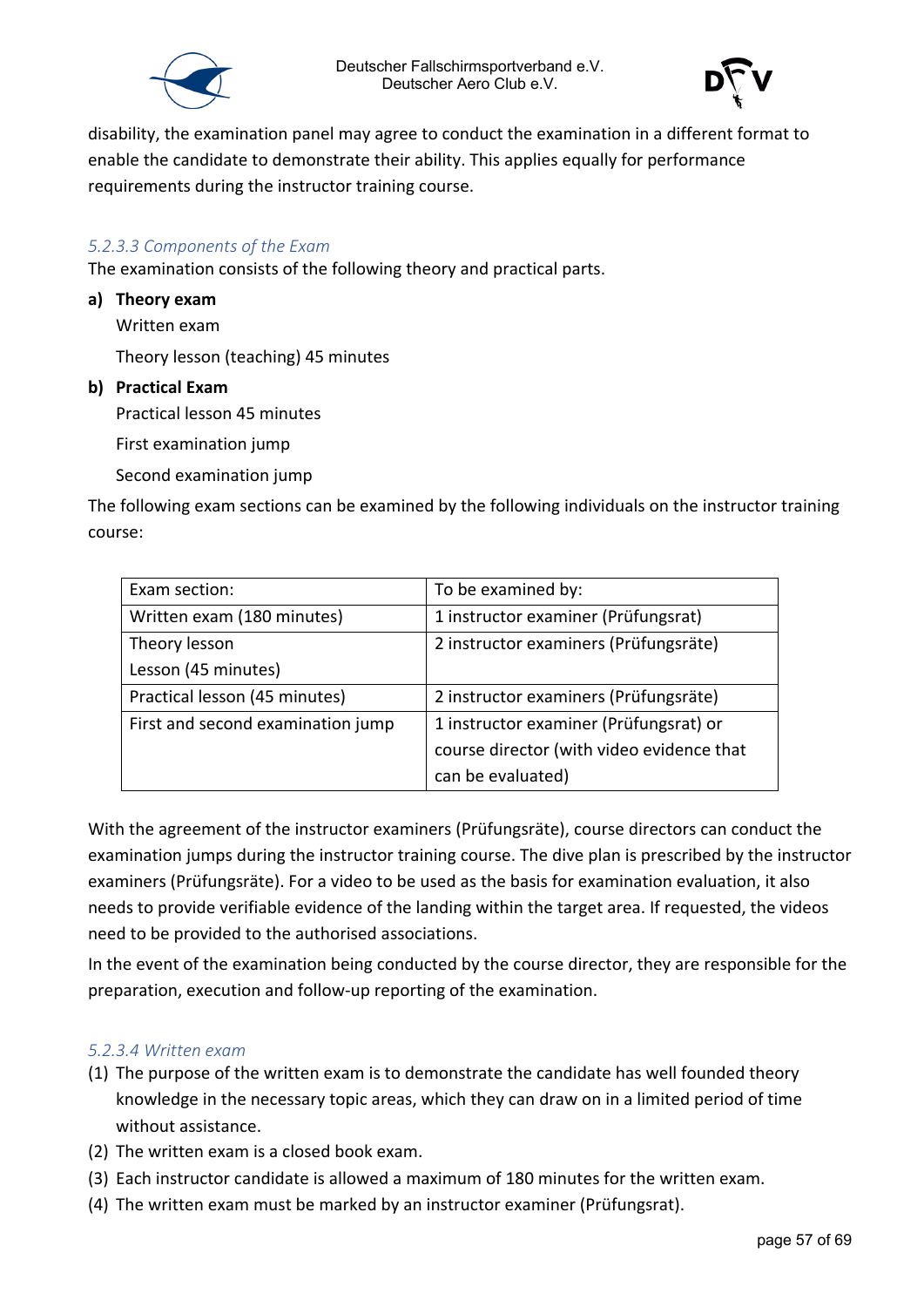



disability, the examination panel may agree to conduct the examination in a different format to enable the candidate to demonstrate their ability. This applies equally for performance requirements during the instructor training course.

#### <span id="page-56-0"></span>*5.2.3.3 Components of the Exam*

The examination consists of the following theory and practical parts.

**a) Theory exam**

Written exam

Theory lesson (teaching) 45 minutes

**b) Practical Exam**

Practical lesson 45 minutes

First examination jump

Second examination jump

The following exam sections can be examined by the following individuals on the instructor training course:

| Exam section:                     | To be examined by:                        |
|-----------------------------------|-------------------------------------------|
| Written exam (180 minutes)        | 1 instructor examiner (Prüfungsrat)       |
| Theory lesson                     | 2 instructor examiners (Prüfungsräte)     |
| Lesson (45 minutes)               |                                           |
| Practical lesson (45 minutes)     | 2 instructor examiners (Prüfungsräte)     |
| First and second examination jump | 1 instructor examiner (Prüfungsrat) or    |
|                                   | course director (with video evidence that |
|                                   | can be evaluated)                         |

With the agreement of the instructor examiners (Prüfungsräte), course directors can conduct the examination jumps during the instructor training course. The dive plan is prescribed by the instructor examiners (Prüfungsräte). For a video to be used as the basis for examination evaluation, it also needs to provide verifiable evidence of the landing within the target area. If requested, the videos need to be provided to the authorised associations.

In the event of the examination being conducted by the course director, they are responsible for the preparation, execution and follow-up reporting of the examination.

#### <span id="page-56-1"></span>*5.2.3.4 Written exam*

- (1) The purpose of the written exam is to demonstrate the candidate has well founded theory knowledge in the necessary topic areas, which they can draw on in a limited period of time without assistance.
- (2) The written exam is a closed book exam.
- (3) Each instructor candidate is allowed a maximum of 180 minutes for the written exam.
- (4) The written exam must be marked by an instructor examiner (Prüfungsrat).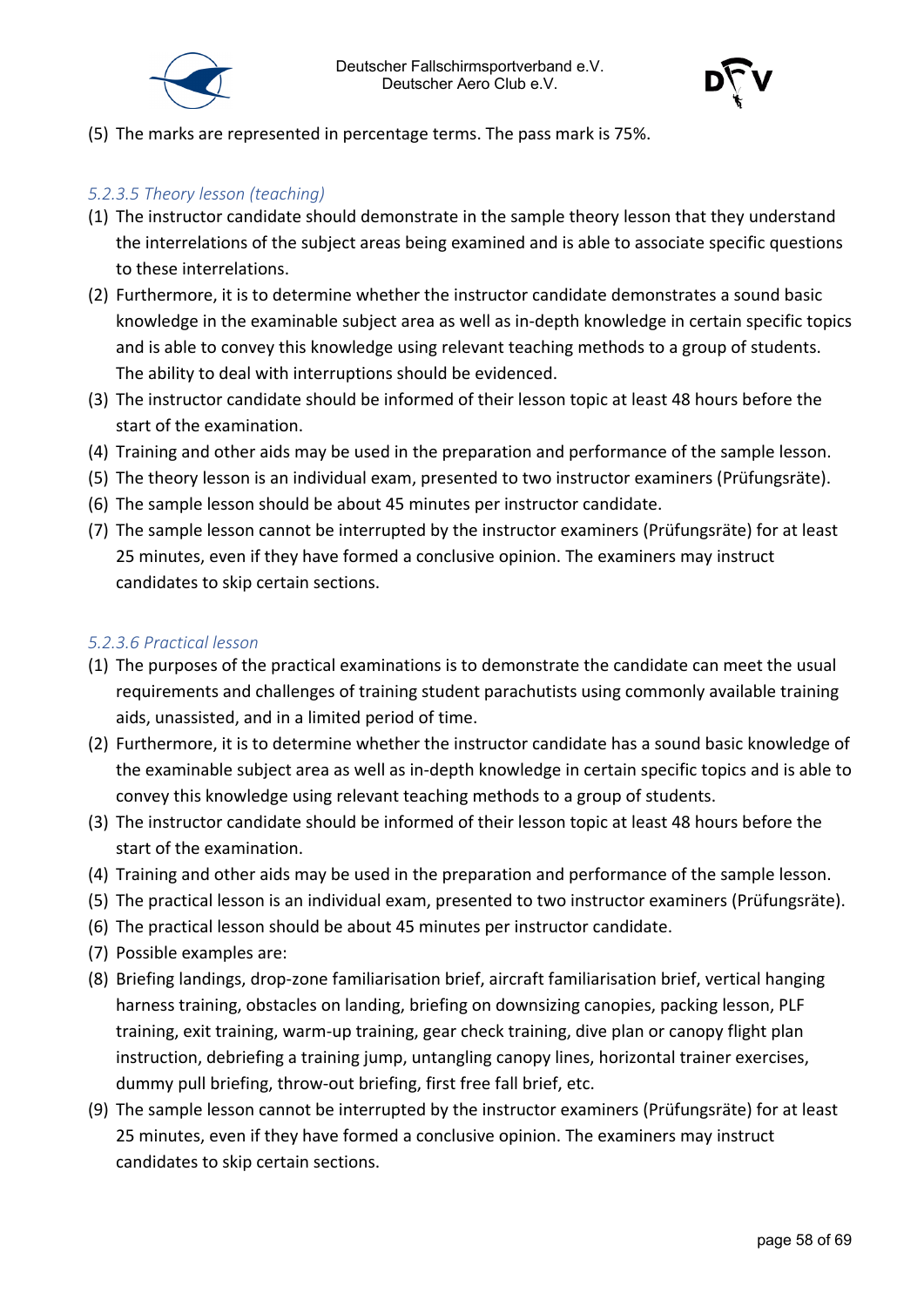



(5) The marks are represented in percentage terms. The pass mark is 75%.

#### <span id="page-57-0"></span>*5.2.3.5 Theory lesson (teaching)*

- (1) The instructor candidate should demonstrate in the sample theory lesson that they understand the interrelations of the subject areas being examined and is able to associate specific questions to these interrelations.
- (2) Furthermore, it is to determine whether the instructor candidate demonstrates a sound basic knowledge in the examinable subject area as well as in-depth knowledge in certain specific topics and is able to convey this knowledge using relevant teaching methods to a group of students. The ability to deal with interruptions should be evidenced.
- (3) The instructor candidate should be informed of their lesson topic at least 48 hours before the start of the examination.
- (4) Training and other aids may be used in the preparation and performance of the sample lesson.
- (5) The theory lesson is an individual exam, presented to two instructor examiners (Prüfungsräte).
- (6) The sample lesson should be about 45 minutes per instructor candidate.
- (7) The sample lesson cannot be interrupted by the instructor examiners (Prüfungsräte) for at least 25 minutes, even if they have formed a conclusive opinion. The examiners may instruct candidates to skip certain sections.

#### <span id="page-57-1"></span>*5.2.3.6 Practical lesson*

- (1) The purposes of the practical examinations is to demonstrate the candidate can meet the usual requirements and challenges of training student parachutists using commonly available training aids, unassisted, and in a limited period of time.
- (2) Furthermore, it is to determine whether the instructor candidate has a sound basic knowledge of the examinable subject area as well as in-depth knowledge in certain specific topics and is able to convey this knowledge using relevant teaching methods to a group of students.
- (3) The instructor candidate should be informed of their lesson topic at least 48 hours before the start of the examination.
- (4) Training and other aids may be used in the preparation and performance of the sample lesson.
- (5) The practical lesson is an individual exam, presented to two instructor examiners (Prüfungsräte).
- (6) The practical lesson should be about 45 minutes per instructor candidate.
- (7) Possible examples are:
- (8) Briefing landings, drop-zone familiarisation brief, aircraft familiarisation brief, vertical hanging harness training, obstacles on landing, briefing on downsizing canopies, packing lesson, PLF training, exit training, warm-up training, gear check training, dive plan or canopy flight plan instruction, debriefing a training jump, untangling canopy lines, horizontal trainer exercises, dummy pull briefing, throw-out briefing, first free fall brief, etc.
- (9) The sample lesson cannot be interrupted by the instructor examiners (Prüfungsräte) for at least 25 minutes, even if they have formed a conclusive opinion. The examiners may instruct candidates to skip certain sections.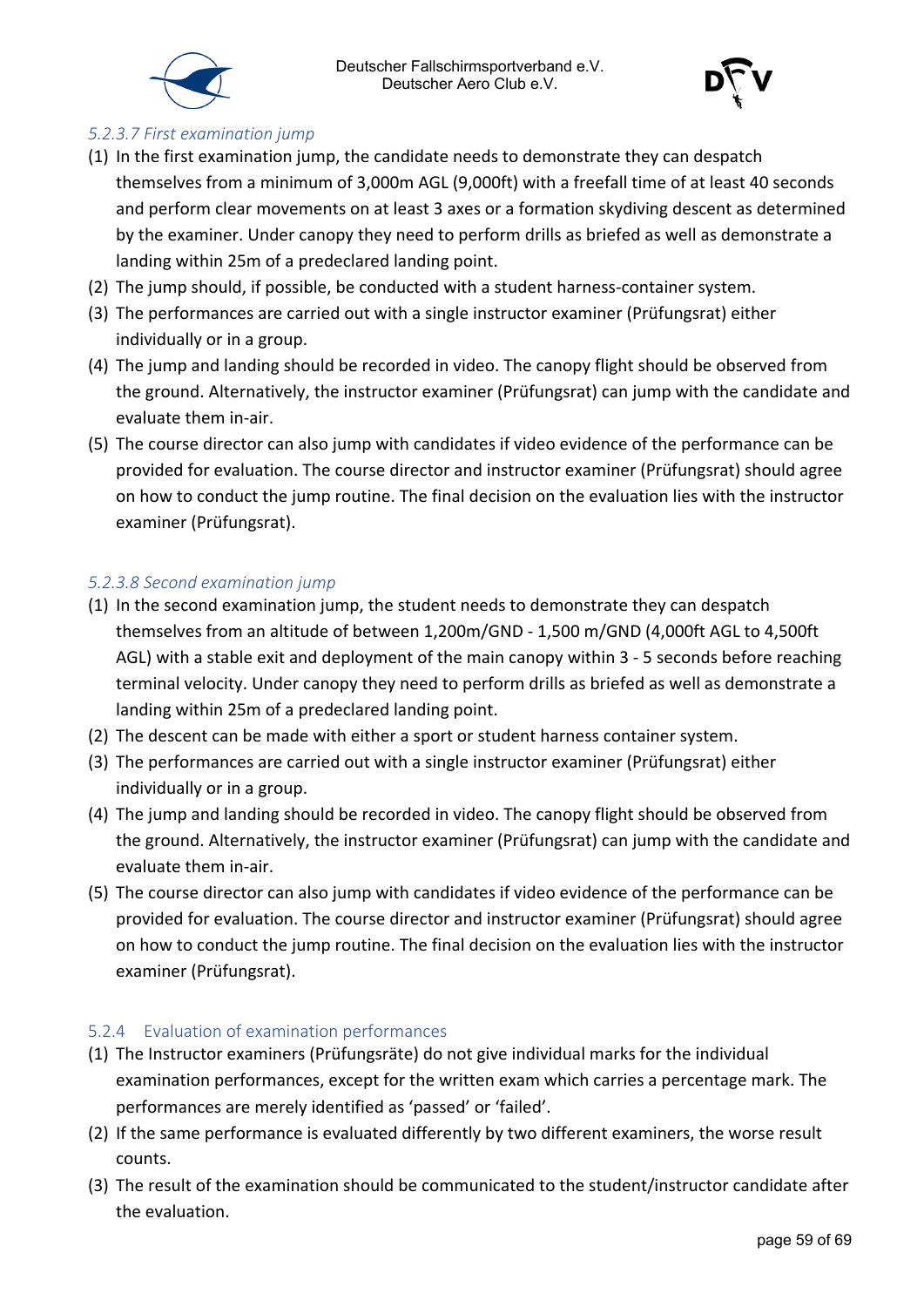



#### <span id="page-58-0"></span>*5.2.3.7 First examination jump*

- (1) In the first examination jump, the candidate needs to demonstrate they can despatch themselves from a minimum of 3,000m AGL (9,000ft) with a freefall time of at least 40 seconds and perform clear movements on at least 3 axes or a formation skydiving descent as determined by the examiner. Under canopy they need to perform drills as briefed as well as demonstrate a landing within 25m of a predeclared landing point.
- (2) The jump should, if possible, be conducted with a student harness-container system.
- (3) The performances are carried out with a single instructor examiner (Prüfungsrat) either individually or in a group.
- (4) The jump and landing should be recorded in video. The canopy flight should be observed from the ground. Alternatively, the instructor examiner (Prüfungsrat) can jump with the candidate and evaluate them in-air.
- (5) The course director can also jump with candidates if video evidence of the performance can be provided for evaluation. The course director and instructor examiner (Prüfungsrat) should agree on how to conduct the jump routine. The final decision on the evaluation lies with the instructor examiner (Prüfungsrat).

#### <span id="page-58-1"></span>*5.2.3.8 Second examination jump*

- (1) In the second examination jump, the student needs to demonstrate they can despatch themselves from an altitude of between 1,200m/GND - 1,500 m/GND (4,000ft AGL to 4,500ft AGL) with a stable exit and deployment of the main canopy within 3 - 5 seconds before reaching terminal velocity. Under canopy they need to perform drills as briefed as well as demonstrate a landing within 25m of a predeclared landing point.
- (2) The descent can be made with either a sport or student harness container system.
- (3) The performances are carried out with a single instructor examiner (Prüfungsrat) either individually or in a group.
- (4) The jump and landing should be recorded in video. The canopy flight should be observed from the ground. Alternatively, the instructor examiner (Prüfungsrat) can jump with the candidate and evaluate them in-air.
- (5) The course director can also jump with candidates if video evidence of the performance can be provided for evaluation. The course director and instructor examiner (Prüfungsrat) should agree on how to conduct the jump routine. The final decision on the evaluation lies with the instructor examiner (Prüfungsrat).

#### <span id="page-58-2"></span>5.2.4 Evaluation of examination performances

- (1) The Instructor examiners (Prüfungsräte) do not give individual marks for the individual examination performances, except for the written exam which carries a percentage mark. The performances are merely identified as 'passed' or 'failed'.
- (2) If the same performance is evaluated differently by two different examiners, the worse result counts.
- (3) The result of the examination should be communicated to the student/instructor candidate after the evaluation.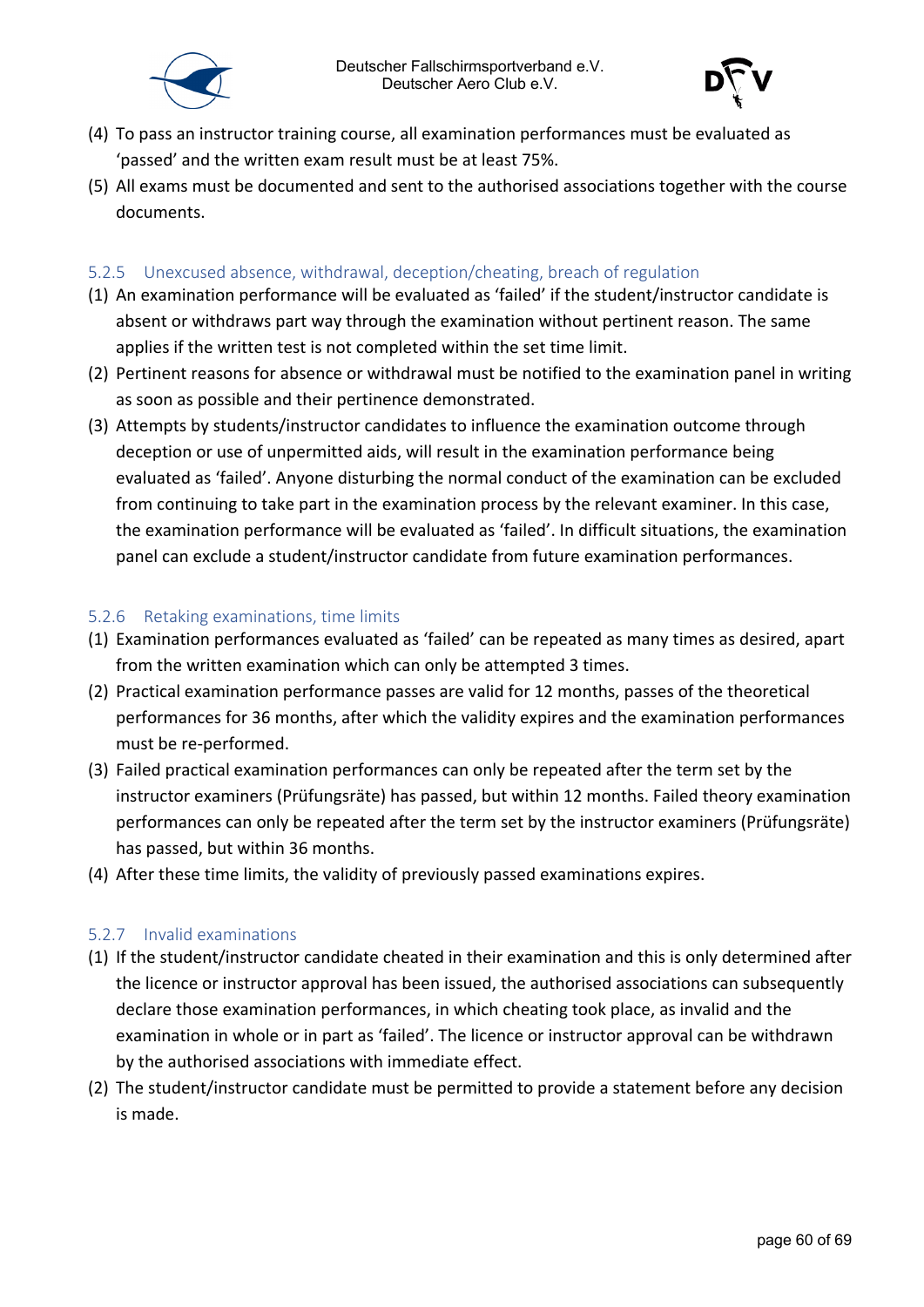



- (4) To pass an instructor training course, all examination performances must be evaluated as 'passed' and the written exam result must be at least 75%.
- (5) All exams must be documented and sent to the authorised associations together with the course documents.

#### <span id="page-59-0"></span>5.2.5 Unexcused absence, withdrawal, deception/cheating, breach of regulation

- (1) An examination performance will be evaluated as 'failed' if the student/instructor candidate is absent or withdraws part way through the examination without pertinent reason. The same applies if the written test is not completed within the set time limit.
- (2) Pertinent reasons for absence or withdrawal must be notified to the examination panel in writing as soon as possible and their pertinence demonstrated.
- (3) Attempts by students/instructor candidates to influence the examination outcome through deception or use of unpermitted aids, will result in the examination performance being evaluated as 'failed'. Anyone disturbing the normal conduct of the examination can be excluded from continuing to take part in the examination process by the relevant examiner. In this case, the examination performance will be evaluated as 'failed'. In difficult situations, the examination panel can exclude a student/instructor candidate from future examination performances.

#### <span id="page-59-1"></span>5.2.6 Retaking examinations, time limits

- (1) Examination performances evaluated as 'failed' can be repeated as many times as desired, apart from the written examination which can only be attempted 3 times.
- (2) Practical examination performance passes are valid for 12 months, passes of the theoretical performances for 36 months, after which the validity expires and the examination performances must be re-performed.
- (3) Failed practical examination performances can only be repeated after the term set by the instructor examiners (Prüfungsräte) has passed, but within 12 months. Failed theory examination performances can only be repeated after the term set by the instructor examiners (Prüfungsräte) has passed, but within 36 months.
- (4) After these time limits, the validity of previously passed examinations expires.

#### <span id="page-59-2"></span>5.2.7 Invalid examinations

- (1) If the student/instructor candidate cheated in their examination and this is only determined after the licence or instructor approval has been issued, the authorised associations can subsequently declare those examination performances, in which cheating took place, as invalid and the examination in whole or in part as 'failed'. The licence or instructor approval can be withdrawn by the authorised associations with immediate effect.
- (2) The student/instructor candidate must be permitted to provide a statement before any decision is made.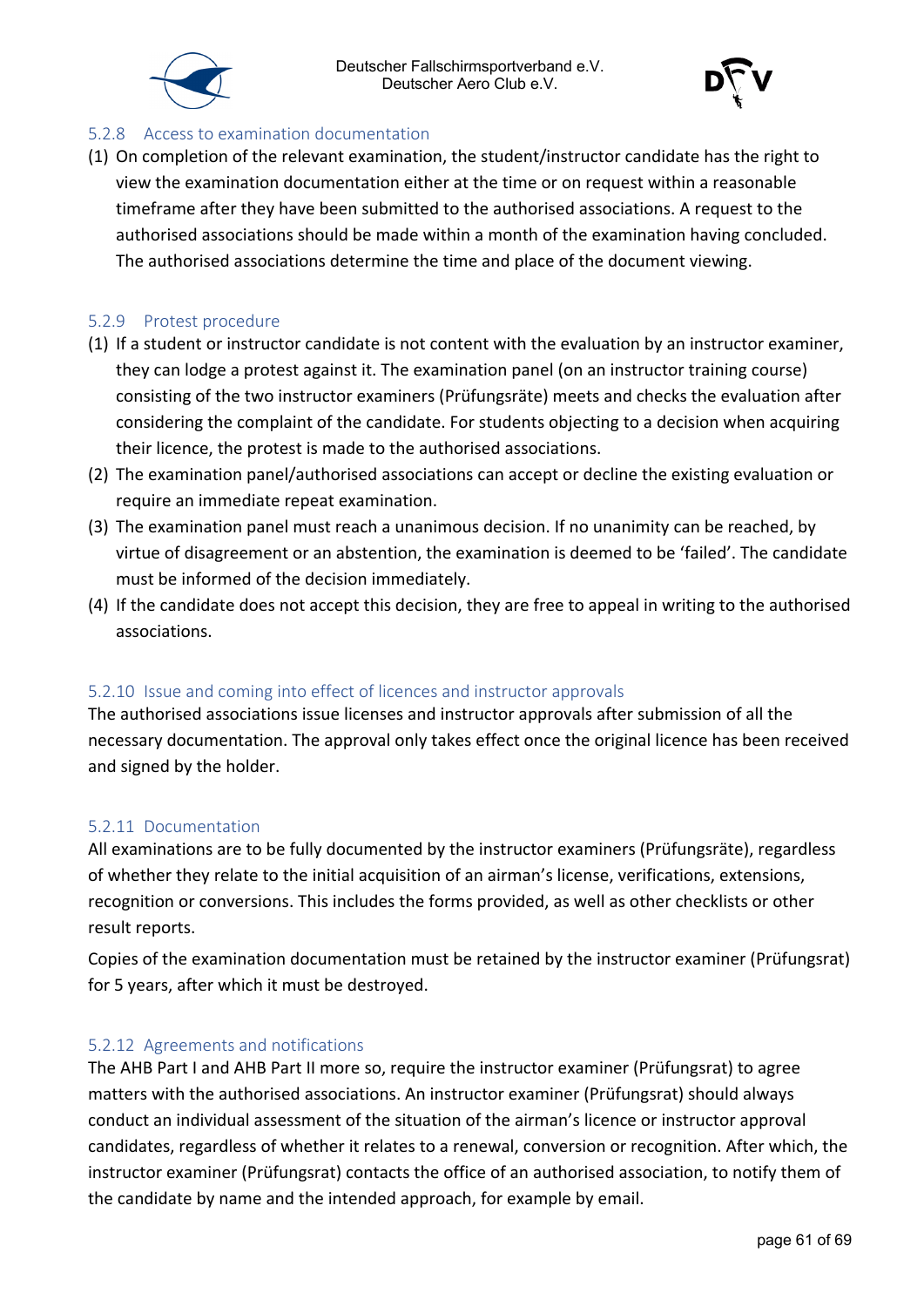



#### <span id="page-60-0"></span>5.2.8 Access to examination documentation

(1) On completion of the relevant examination, the student/instructor candidate has the right to view the examination documentation either at the time or on request within a reasonable timeframe after they have been submitted to the authorised associations. A request to the authorised associations should be made within a month of the examination having concluded. The authorised associations determine the time and place of the document viewing.

#### <span id="page-60-1"></span>5.2.9 Protest procedure

- (1) If a student or instructor candidate is not content with the evaluation by an instructor examiner, they can lodge a protest against it. The examination panel (on an instructor training course) consisting of the two instructor examiners (Prüfungsräte) meets and checks the evaluation after considering the complaint of the candidate. For students objecting to a decision when acquiring their licence, the protest is made to the authorised associations.
- (2) The examination panel/authorised associations can accept or decline the existing evaluation or require an immediate repeat examination.
- (3) The examination panel must reach a unanimous decision. If no unanimity can be reached, by virtue of disagreement or an abstention, the examination is deemed to be 'failed'. The candidate must be informed of the decision immediately.
- (4) If the candidate does not accept this decision, they are free to appeal in writing to the authorised associations.

#### <span id="page-60-2"></span>5.2.10 Issue and coming into effect of licences and instructor approvals

The authorised associations issue licenses and instructor approvals after submission of all the necessary documentation. The approval only takes effect once the original licence has been received and signed by the holder.

#### <span id="page-60-3"></span>5.2.11 Documentation

All examinations are to be fully documented by the instructor examiners (Prüfungsräte), regardless of whether they relate to the initial acquisition of an airman's license, verifications, extensions, recognition or conversions. This includes the forms provided, as well as other checklists or other result reports.

Copies of the examination documentation must be retained by the instructor examiner (Prüfungsrat) for 5 years, after which it must be destroyed.

#### <span id="page-60-4"></span>5.2.12 Agreements and notifications

The AHB Part I and AHB Part II more so, require the instructor examiner (Prüfungsrat) to agree matters with the authorised associations. An instructor examiner (Prüfungsrat) should always conduct an individual assessment of the situation of the airman's licence or instructor approval candidates, regardless of whether it relates to a renewal, conversion or recognition. After which, the instructor examiner (Prüfungsrat) contacts the office of an authorised association, to notify them of the candidate by name and the intended approach, for example by email.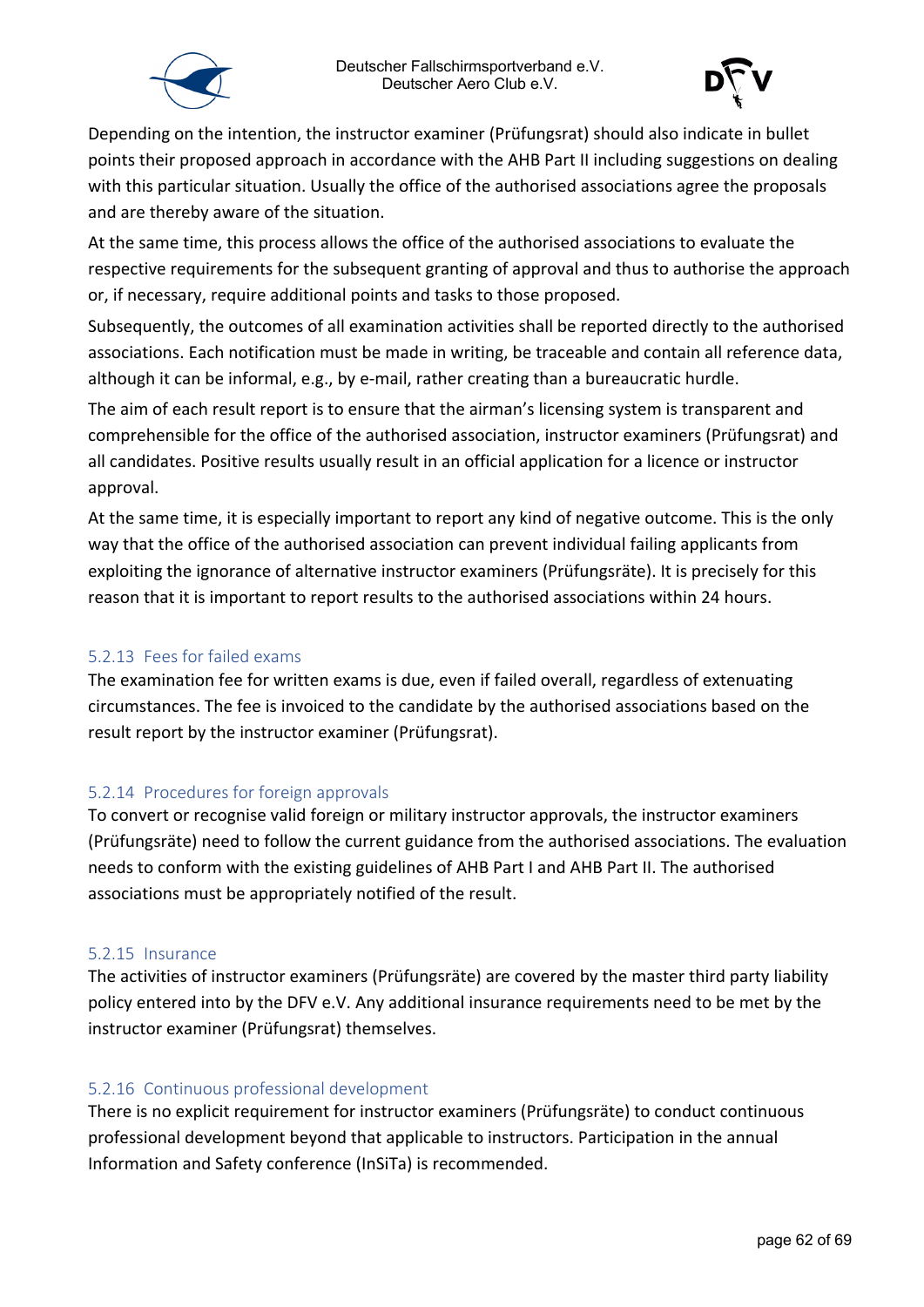



Depending on the intention, the instructor examiner (Prüfungsrat) should also indicate in bullet points their proposed approach in accordance with the AHB Part II including suggestions on dealing with this particular situation. Usually the office of the authorised associations agree the proposals and are thereby aware of the situation.

At the same time, this process allows the office of the authorised associations to evaluate the respective requirements for the subsequent granting of approval and thus to authorise the approach or, if necessary, require additional points and tasks to those proposed.

Subsequently, the outcomes of all examination activities shall be reported directly to the authorised associations. Each notification must be made in writing, be traceable and contain all reference data, although it can be informal, e.g., by e-mail, rather creating than a bureaucratic hurdle.

The aim of each result report is to ensure that the airman's licensing system is transparent and comprehensible for the office of the authorised association, instructor examiners (Prüfungsrat) and all candidates. Positive results usually result in an official application for a licence or instructor approval.

At the same time, it is especially important to report any kind of negative outcome. This is the only way that the office of the authorised association can prevent individual failing applicants from exploiting the ignorance of alternative instructor examiners (Prüfungsräte). It is precisely for this reason that it is important to report results to the authorised associations within 24 hours.

#### <span id="page-61-0"></span>5.2.13 Fees for failed exams

The examination fee for written exams is due, even if failed overall, regardless of extenuating circumstances. The fee is invoiced to the candidate by the authorised associations based on the result report by the instructor examiner (Prüfungsrat).

#### <span id="page-61-1"></span>5.2.14 Procedures for foreign approvals

To convert or recognise valid foreign or military instructor approvals, the instructor examiners (Prüfungsräte) need to follow the current guidance from the authorised associations. The evaluation needs to conform with the existing guidelines of AHB Part I and AHB Part II. The authorised associations must be appropriately notified of the result.

#### <span id="page-61-2"></span>5.2.15 Insurance

The activities of instructor examiners (Prüfungsräte) are covered by the master third party liability policy entered into by the DFV e.V. Any additional insurance requirements need to be met by the instructor examiner (Prüfungsrat) themselves.

#### <span id="page-61-3"></span>5.2.16 Continuous professional development

There is no explicit requirement for instructor examiners (Prüfungsräte) to conduct continuous professional development beyond that applicable to instructors. Participation in the annual Information and Safety conference (InSiTa) is recommended.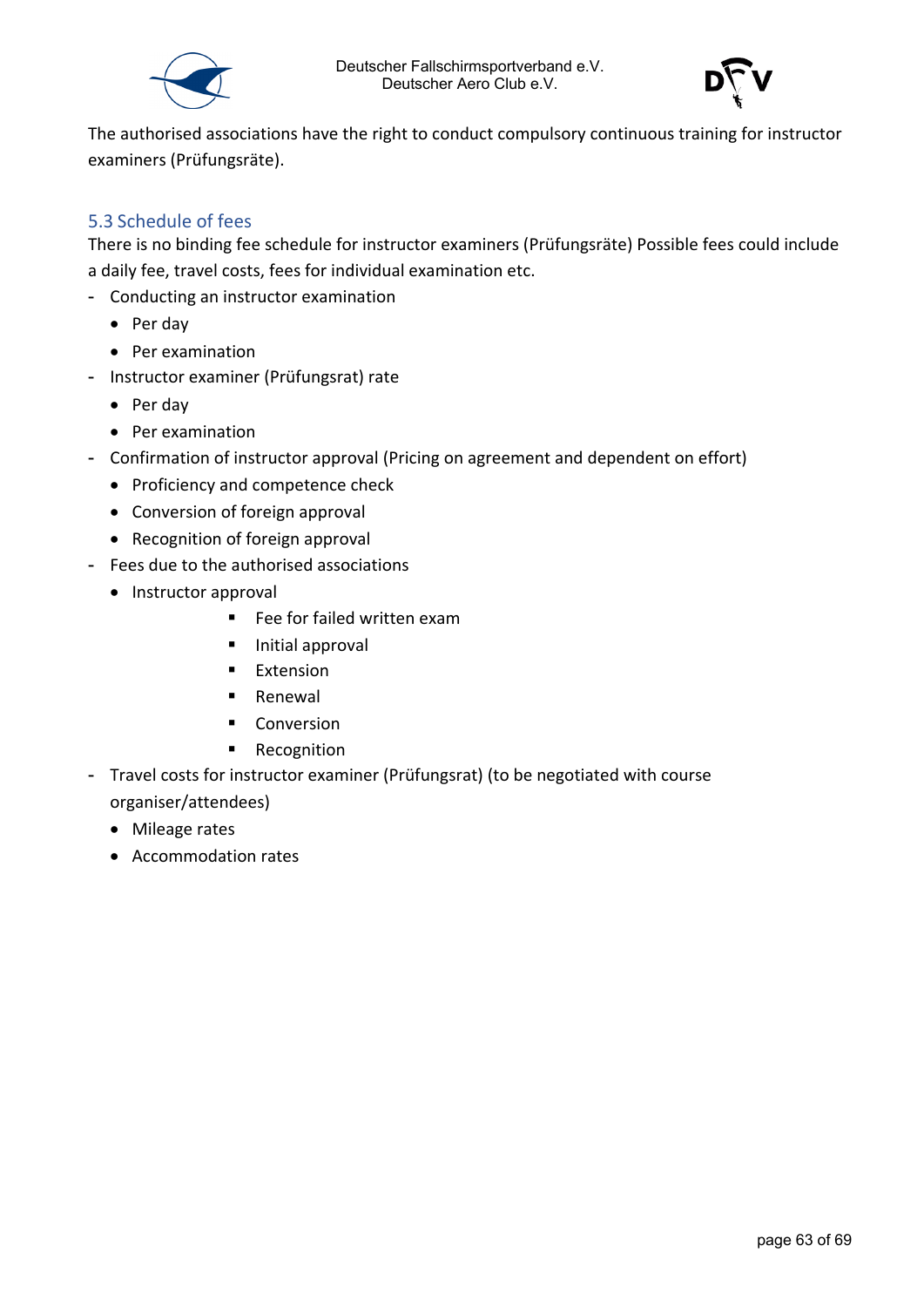



The authorised associations have the right to conduct compulsory continuous training for instructor examiners (Prüfungsräte).

#### <span id="page-62-0"></span>5.3 Schedule of fees

There is no binding fee schedule for instructor examiners (Prüfungsräte) Possible fees could include a daily fee, travel costs, fees for individual examination etc.

- Conducting an instructor examination
	- Per day
	- Per examination
- Instructor examiner (Prüfungsrat) rate
	- Per day
	- Per examination
- Confirmation of instructor approval (Pricing on agreement and dependent on effort)
	- Proficiency and competence check
	- Conversion of foreign approval
	- Recognition of foreign approval
- Fees due to the authorised associations
	- Instructor approval
		- Fee for failed written exam
		- **Initial approval**
		- **Extension**
		- **Renewal**
		- **Conversion**
		- **Recognition**
- Travel costs for instructor examiner (Prüfungsrat) (to be negotiated with course organiser/attendees)
	- Mileage rates
	- Accommodation rates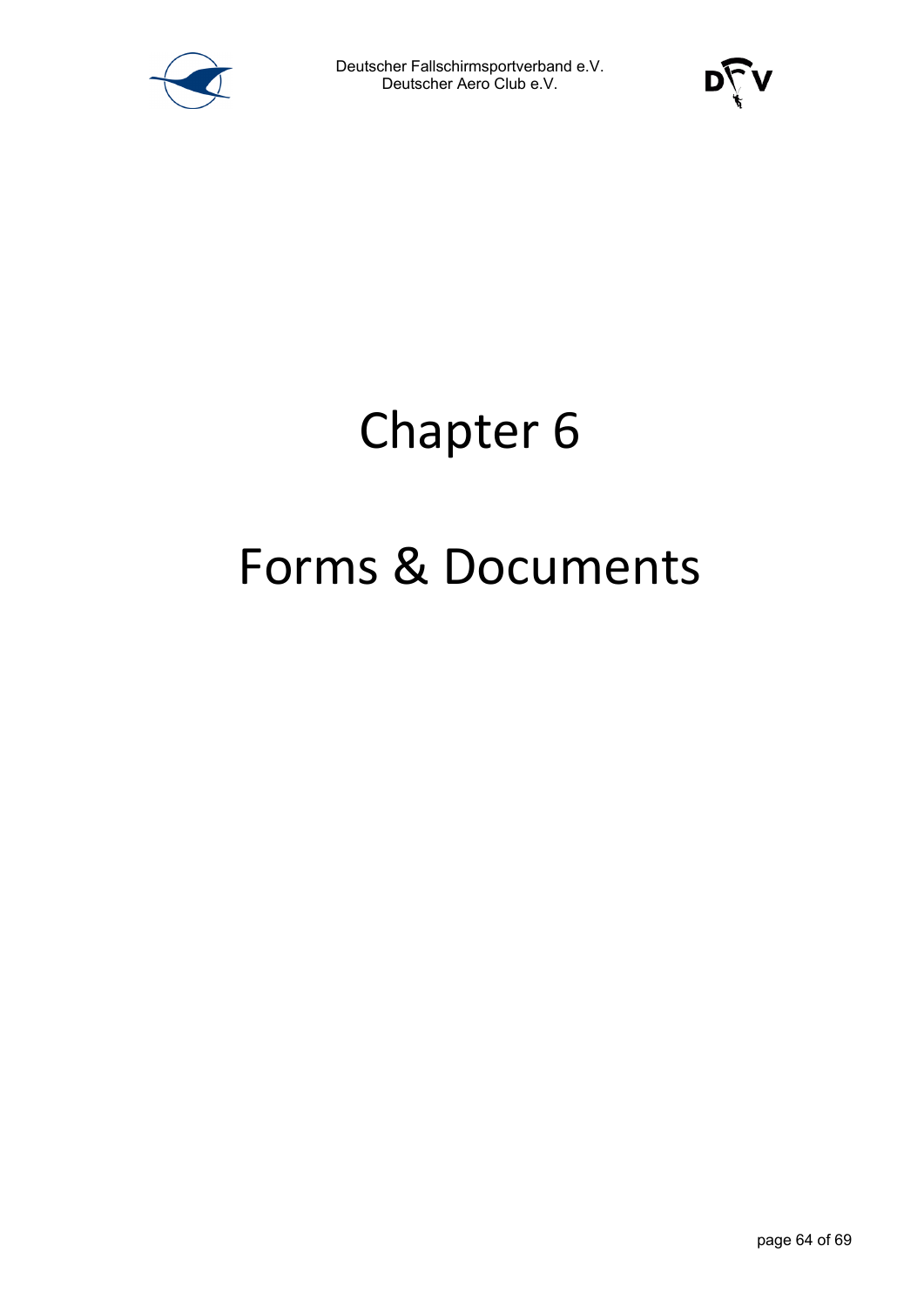



### Chapter 6

### Forms & Documents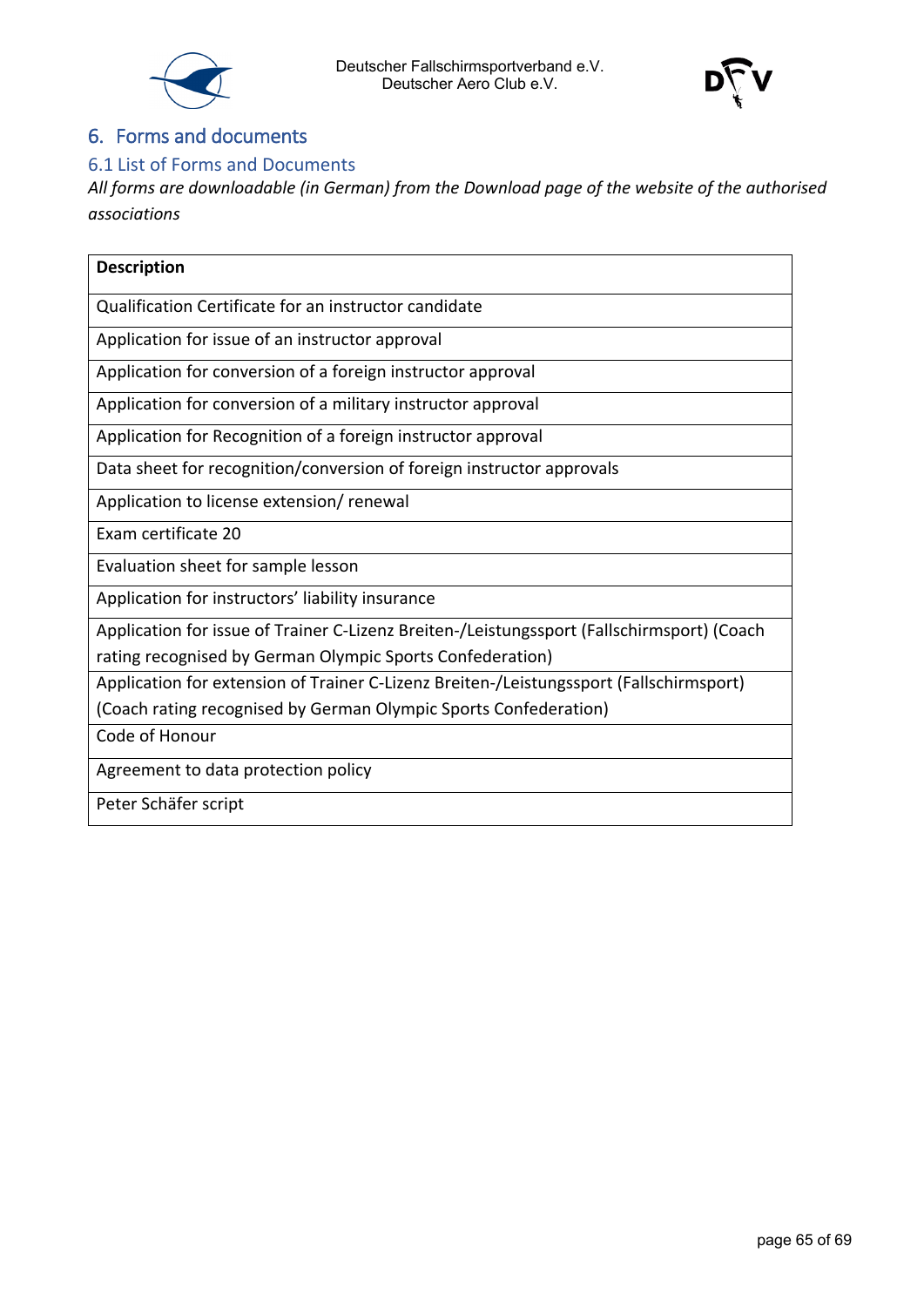



#### <span id="page-64-0"></span>6. Forms and documents

#### <span id="page-64-1"></span>6.1 List of Forms and Documents

*All forms are downloadable (in German) from the Download page of the website of the authorised associations*

| <b>Description</b>                                                                                                                                      |
|---------------------------------------------------------------------------------------------------------------------------------------------------------|
| Qualification Certificate for an instructor candidate                                                                                                   |
| Application for issue of an instructor approval                                                                                                         |
| Application for conversion of a foreign instructor approval                                                                                             |
| Application for conversion of a military instructor approval                                                                                            |
| Application for Recognition of a foreign instructor approval                                                                                            |
| Data sheet for recognition/conversion of foreign instructor approvals                                                                                   |
| Application to license extension/renewal                                                                                                                |
| Exam certificate 20                                                                                                                                     |
| Evaluation sheet for sample lesson                                                                                                                      |
| Application for instructors' liability insurance                                                                                                        |
| Application for issue of Trainer C-Lizenz Breiten-/Leistungssport (Fallschirmsport) (Coach<br>rating recognised by German Olympic Sports Confederation) |
| Application for extension of Trainer C-Lizenz Breiten-/Leistungssport (Fallschirmsport)                                                                 |
| (Coach rating recognised by German Olympic Sports Confederation)                                                                                        |
| Code of Honour                                                                                                                                          |
| Agreement to data protection policy                                                                                                                     |
| Peter Schäfer script                                                                                                                                    |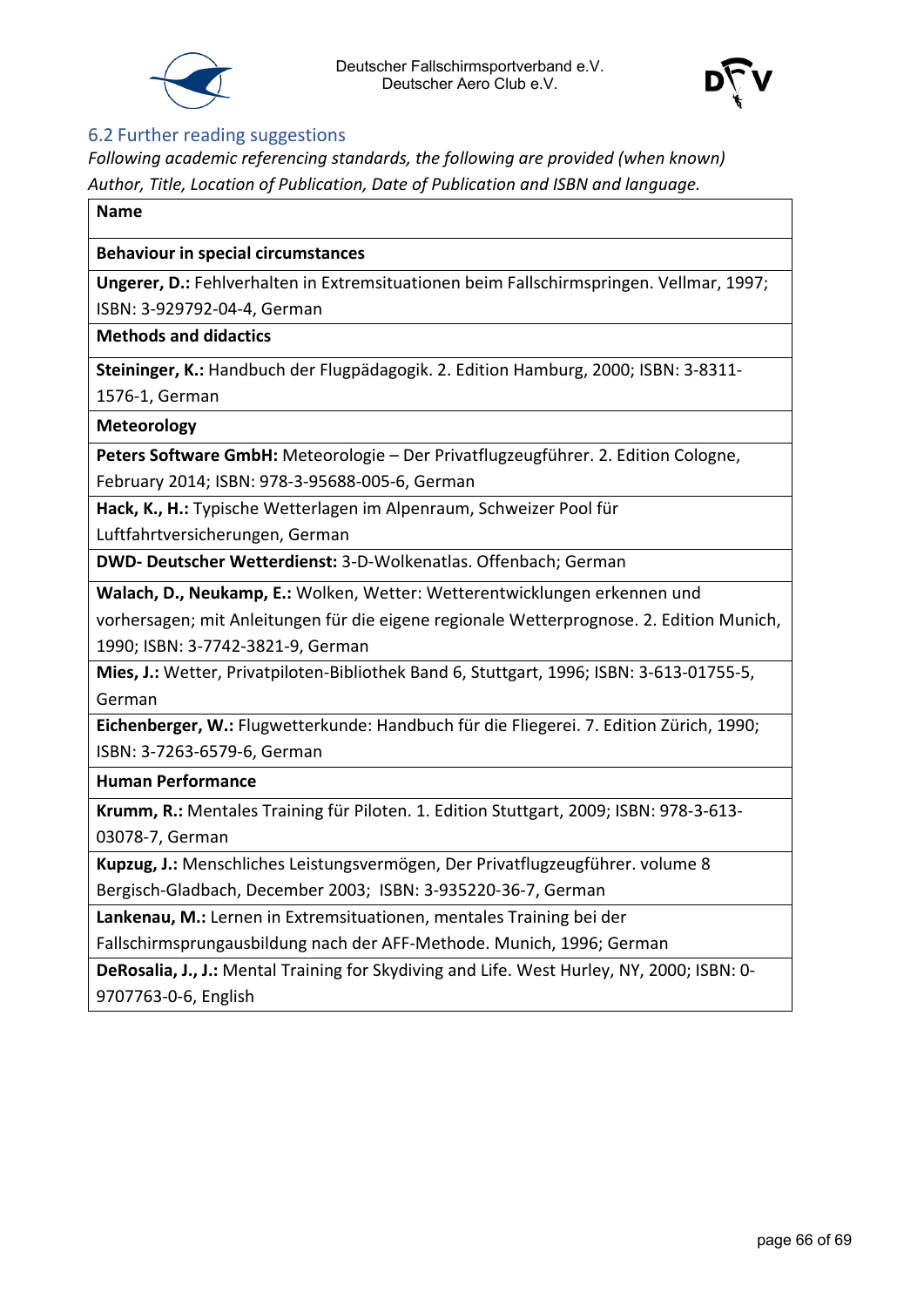



#### <span id="page-65-0"></span>6.2 Further reading suggestions

*Following academic referencing standards, the following are provided (when known) Author, Title, Location of Publication, Date of Publication and ISBN and language.*

#### **Name**

#### **Behaviour in special circumstances**

**Ungerer, D.:** Fehlverhalten in Extremsituationen beim Fallschirmspringen. Vellmar, 1997; ISBN: 3-929792-04-4, German

**Methods and didactics**

**Steininger, K.:** Handbuch der Flugpädagogik. 2. Edition Hamburg, 2000; ISBN: 3-8311- 1576-1, German

#### **Meteorology**

**Peters Software GmbH:** Meteorologie – Der Privatflugzeugführer. 2. Edition Cologne,

February 2014; ISBN: 978-3-95688-005-6, German

**Hack, K., H.:** Typische Wetterlagen im Alpenraum, Schweizer Pool für

Luftfahrtversicherungen, German

**DWD- Deutscher Wetterdienst:** 3-D-Wolkenatlas. Offenbach; German

**Walach, D., Neukamp, E.:** Wolken, Wetter: Wetterentwicklungen erkennen und

vorhersagen; mit Anleitungen für die eigene regionale Wetterprognose. 2. Edition Munich, 1990; ISBN: 3-7742-3821-9, German

**Mies, J.:** Wetter, Privatpiloten-Bibliothek Band 6, Stuttgart, 1996; ISBN: 3-613-01755-5, German

**Eichenberger, W.:** Flugwetterkunde: Handbuch für die Fliegerei. 7. Edition Zürich, 1990; ISBN: 3-7263-6579-6, German

**Human Performance**

**Krumm, R.:** Mentales Training für Piloten. 1. Edition Stuttgart, 2009; ISBN: 978-3-613- 03078-7, German

**Kupzug, J.:** Menschliches Leistungsvermögen, Der Privatflugzeugführer. volume 8 Bergisch-Gladbach, December 2003; ISBN: 3-935220-36-7, German

**Lankenau, M.:** Lernen in Extremsituationen, mentales Training bei der

Fallschirmsprungausbildung nach der AFF-Methode. Munich, 1996; German

**DeRosalia, J., J.:** Mental Training for Skydiving and Life. West Hurley, NY, 2000; ISBN: 0- 9707763-0-6, English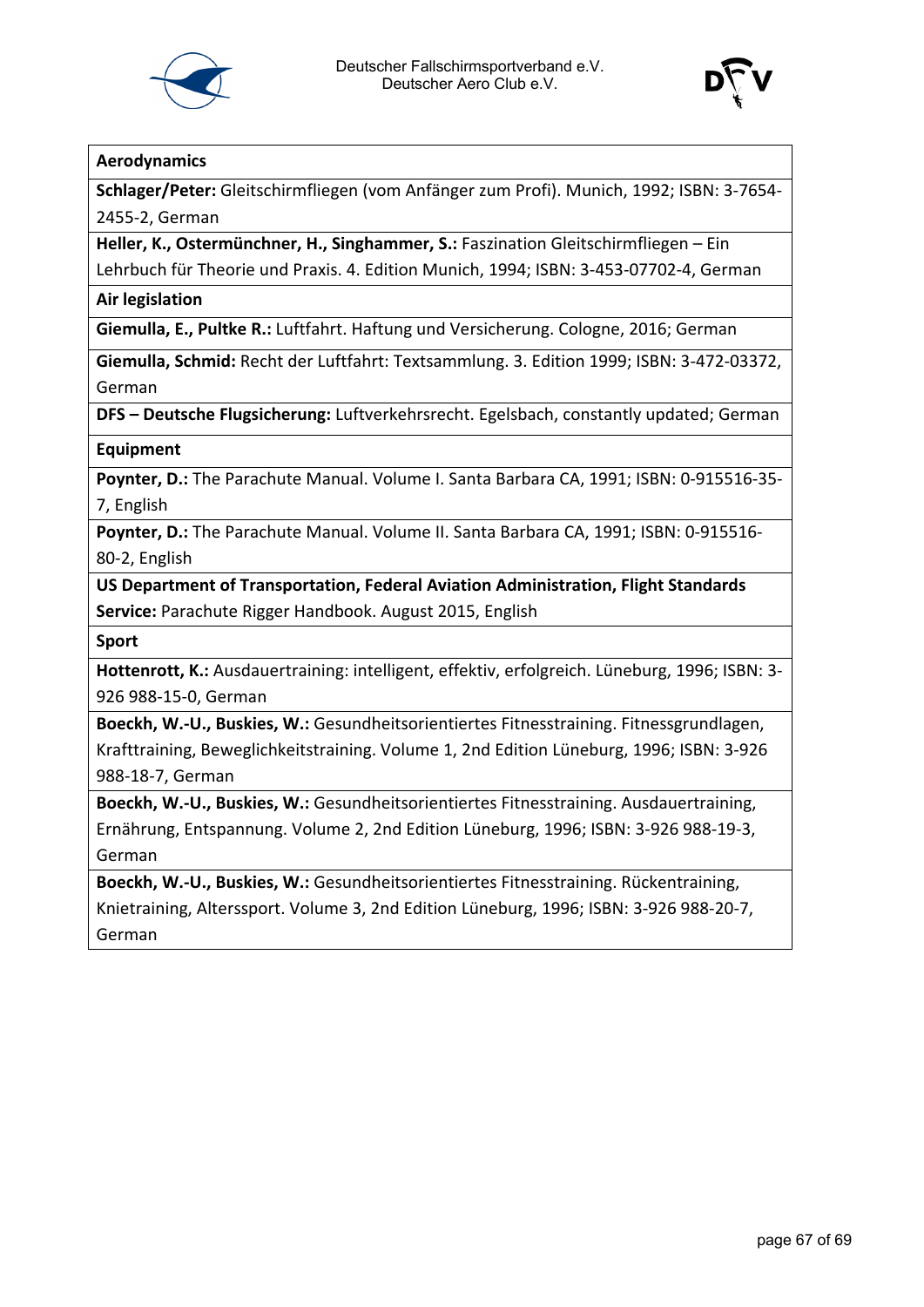



#### **Aerodynamics**

**Schlager/Peter:** Gleitschirmfliegen (vom Anfänger zum Profi). Munich, 1992; ISBN: 3-7654- 2455-2, German

**Heller, K., Ostermünchner, H., Singhammer, S.:** Faszination Gleitschirmfliegen – Ein Lehrbuch für Theorie und Praxis. 4. Edition Munich, 1994; ISBN: 3-453-07702-4, German

**Air legislation**

**Giemulla, E., Pultke R.:** Luftfahrt. Haftung und Versicherung. Cologne, 2016; German

**Giemulla, Schmid:** Recht der Luftfahrt: Textsammlung. 3. Edition 1999; ISBN: 3-472-03372, German

**DFS – Deutsche Flugsicherung:** Luftverkehrsrecht. Egelsbach, constantly updated; German

**Equipment**

**Poynter, D.:** The Parachute Manual. Volume I. Santa Barbara CA, 1991; ISBN: 0-915516-35- 7, English

**Poynter, D.:** The Parachute Manual. Volume II. Santa Barbara CA, 1991; ISBN: 0-915516- 80-2, English

**US Department of Transportation, Federal Aviation Administration, Flight Standards Service:** Parachute Rigger Handbook. August 2015, English

**Sport**

**Hottenrott, K.:** Ausdauertraining: intelligent, effektiv, erfolgreich. Lüneburg, 1996; ISBN: 3- 926 988-15-0, German

**Boeckh, W.-U., Buskies, W.:** Gesundheitsorientiertes Fitnesstraining. Fitnessgrundlagen, Krafttraining, Beweglichkeitstraining. Volume 1, 2nd Edition Lüneburg, 1996; ISBN: 3-926 988-18-7, German

**Boeckh, W.-U., Buskies, W.:** Gesundheitsorientiertes Fitnesstraining. Ausdauertraining, Ernährung, Entspannung. Volume 2, 2nd Edition Lüneburg, 1996; ISBN: 3-926 988-19-3, German

**Boeckh, W.-U., Buskies, W.:** Gesundheitsorientiertes Fitnesstraining. Rückentraining, Knietraining, Alterssport. Volume 3, 2nd Edition Lüneburg, 1996; ISBN: 3-926 988-20-7, German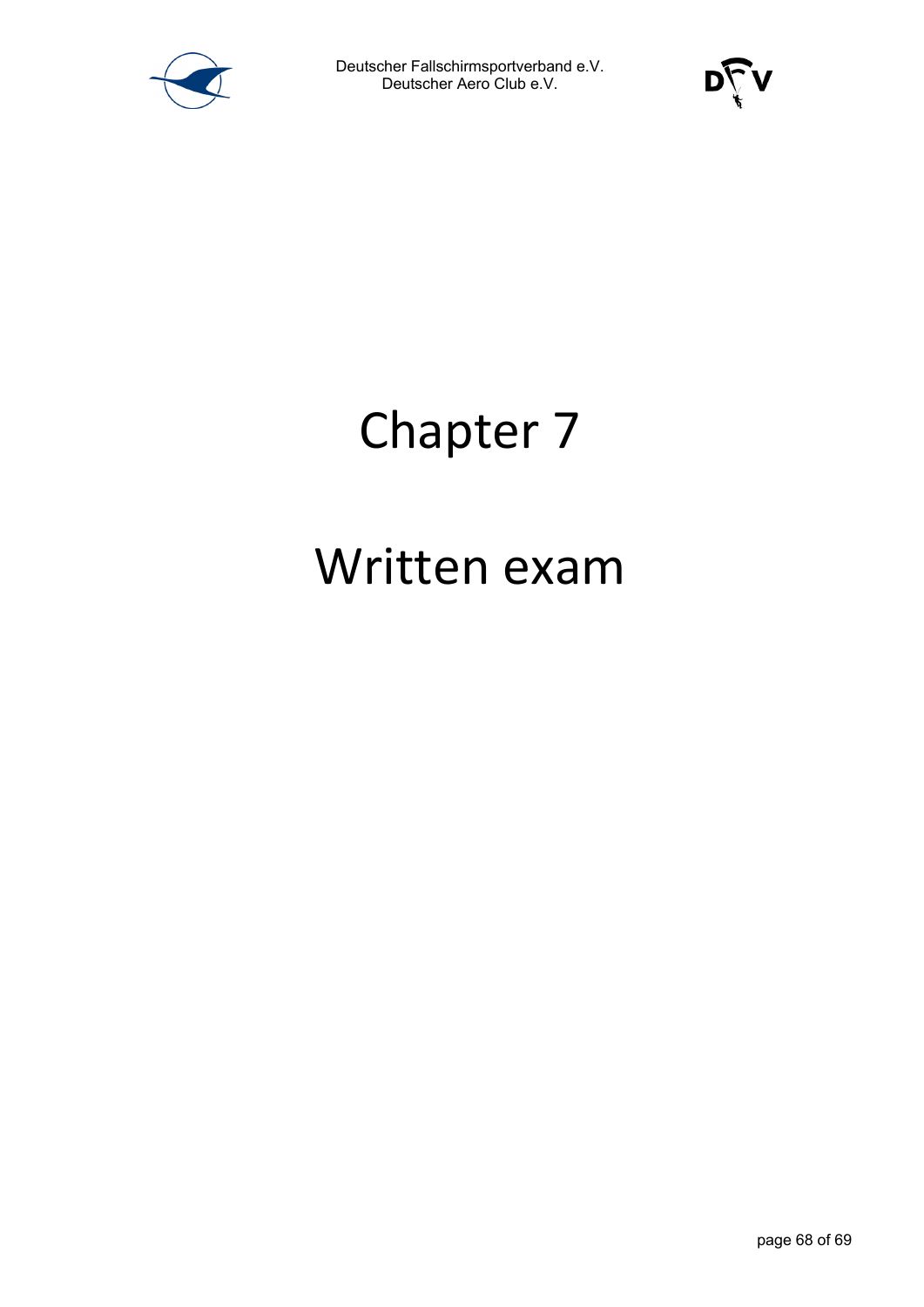



### Chapter 7

### Written exam